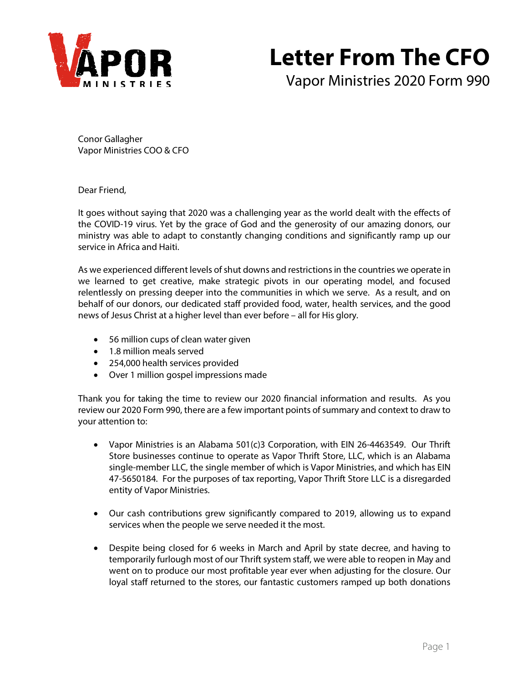

# **Letter From The CFO**

Vapor Ministries 2020 Form 990

Conor Gallagher Vapor Ministries COO & CFO

Dear Friend,

It goes without saying that 2020 was a challenging year as the world dealt with the effects of the COVID-19 virus. Yet by the grace of God and the generosity of our amazing donors, our ministry was able to adapt to constantly changing conditions and significantly ramp up our service in Africa and Haiti.

As we experienced different levels of shut downs and restrictions in the countries we operate in we learned to get creative, make strategic pivots in our operating model, and focused relentlessly on pressing deeper into the communities in which we serve. As a result, and on behalf of our donors, our dedicated staff provided food, water, health services, and the good news of Jesus Christ at a higher level than ever before – all for His glory.

- 56 million cups of clean water given
- 1.8 million meals served
- 254,000 health services provided
- Over 1 million gospel impressions made

Thank you for taking the time to review our 2020 financial information and results. As you review our 2020 Form 990, there are a few important points of summary and context to draw to your attention to:

- Vapor Ministries is an Alabama 501(c)3 Corporation, with EIN 26-4463549. Our Thrift Store businesses continue to operate as Vapor Thrift Store, LLC, which is an Alabama single-member LLC, the single member of which is Vapor Ministries, and which has EIN 47-5650184. For the purposes of tax reporting, Vapor Thrift Store LLC is a disregarded entity of Vapor Ministries.
- Our cash contributions grew significantly compared to 2019, allowing us to expand services when the people we serve needed it the most.
- Despite being closed for 6 weeks in March and April by state decree, and having to temporarily furlough most of our Thrift system staff, we were able to reopen in May and went on to produce our most profitable year ever when adjusting for the closure. Our loyal staff returned to the stores, our fantastic customers ramped up both donations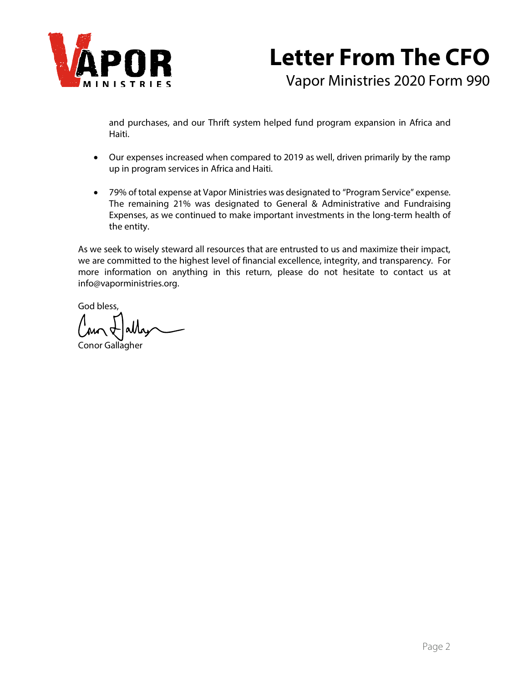



and purchases, and our Thrift system helped fund program expansion in Africa and Haiti.

- Our expenses increased when compared to 2019 as well, driven primarily by the ramp up in program services in Africa and Haiti.
- 79% of total expense at Vapor Ministries was designated to "Program Service" expense. The remaining 21% was designated to General & Administrative and Fundraising Expenses, as we continued to make important investments in the long-term health of the entity.

As we seek to wisely steward all resources that are entrusted to us and maximize their impact, we are committed to the highest level of financial excellence, integrity, and transparency. For more information on anything in this return, please do not hesitate to contact us at info@vaporministries.org.

God bless,

Conor Gallagher

Page 2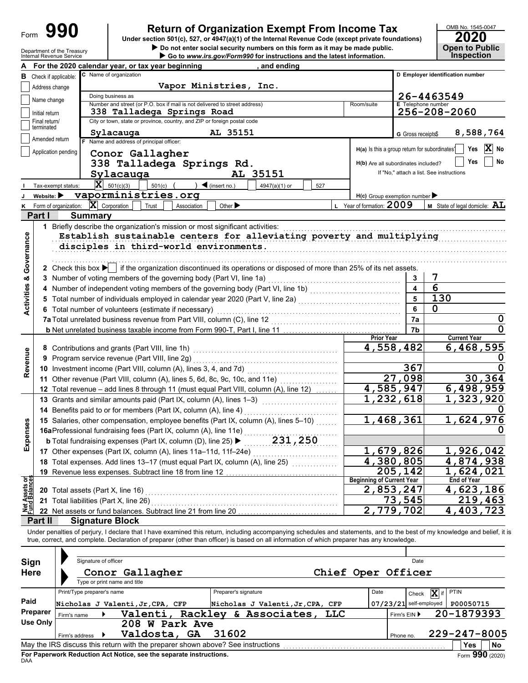## **Return of Organization Exempt From Income Tax**<br>**Partion 501(c), 527, or 4947(a)(1) of the Internal Revenue Code (except private foundations)**

Department of the Treasury<br>Internal Revenue Service **★ Go to** *www.irs.gov/Form990* for instructions and the latest information. ▶ Do not enter social security numbers on this form as it may be made public. **Open to Public Under section 501(c), 527, or 4947(a)(1) of the Internal Revenue Code (except private foundations)**

|                                |                                                                                    | For the 2020 calendar year, or tax year beginning                                                                                                                                                                                                                                                                     |                                   | and ending    |            |                                               |                           |                                          |  |  |  |
|--------------------------------|------------------------------------------------------------------------------------|-----------------------------------------------------------------------------------------------------------------------------------------------------------------------------------------------------------------------------------------------------------------------------------------------------------------------|-----------------------------------|---------------|------------|-----------------------------------------------|---------------------------|------------------------------------------|--|--|--|
| в                              | C Name of organization<br>D Employer identification number<br>Check if applicable: |                                                                                                                                                                                                                                                                                                                       |                                   |               |            |                                               |                           |                                          |  |  |  |
|                                | Address change                                                                     |                                                                                                                                                                                                                                                                                                                       | Vapor Ministries, Inc.            |               |            |                                               |                           |                                          |  |  |  |
|                                | Name change                                                                        | Doing business as                                                                                                                                                                                                                                                                                                     |                                   |               |            |                                               |                           | 26-4463549                               |  |  |  |
|                                |                                                                                    | Number and street (or P.O. box if mail is not delivered to street address)                                                                                                                                                                                                                                            |                                   |               |            | Room/suite                                    | <b>E</b> Telephone number |                                          |  |  |  |
|                                | Initial return<br>Final return/                                                    | 338 Talladega Springs Road<br>City or town, state or province, country, and ZIP or foreign postal code                                                                                                                                                                                                                |                                   |               |            |                                               |                           | 256-208-2060                             |  |  |  |
|                                | terminated                                                                         |                                                                                                                                                                                                                                                                                                                       |                                   |               |            |                                               |                           |                                          |  |  |  |
|                                | Amended return                                                                     | Sylacauga<br>F Name and address of principal officer:                                                                                                                                                                                                                                                                 | AL 35151                          |               |            |                                               | G Gross receipts\$        | 8,588,764                                |  |  |  |
|                                | Application pending                                                                |                                                                                                                                                                                                                                                                                                                       |                                   |               |            | H(a) Is this a group return for subordinates? |                           | $ \mathbf{x} $<br>Yes<br>No              |  |  |  |
|                                |                                                                                    | Conor Gallagher                                                                                                                                                                                                                                                                                                       |                                   |               |            |                                               |                           | No<br>Yes                                |  |  |  |
|                                |                                                                                    | 338 Talladega Springs Rd.                                                                                                                                                                                                                                                                                             |                                   |               |            | H(b) Are all subordinates included?           |                           |                                          |  |  |  |
|                                |                                                                                    | Sylacauga                                                                                                                                                                                                                                                                                                             | AL 35151                          |               |            |                                               |                           | If "No," attach a list. See instructions |  |  |  |
|                                | Tax-exempt status:                                                                 | $ \mathbf{X} $ 501(c)(3)<br>501(c)                                                                                                                                                                                                                                                                                    | $\blacktriangleleft$ (insert no.) | 4947(a)(1) or | 527        |                                               |                           |                                          |  |  |  |
|                                | Website:                                                                           | vaporministries.org                                                                                                                                                                                                                                                                                                   |                                   |               |            | $H(c)$ Group exemption number                 |                           |                                          |  |  |  |
| ĸ                              | Form of organization:                                                              | $ \mathbf{X} $ Corporation<br>Trust<br>Association                                                                                                                                                                                                                                                                    | Other $\blacktriangleright$       |               |            | L Year of formation: 2009                     |                           | <b>M</b> State of legal domicile: $AL$   |  |  |  |
|                                | Part I                                                                             | <b>Summary</b>                                                                                                                                                                                                                                                                                                        |                                   |               |            |                                               |                           |                                          |  |  |  |
|                                |                                                                                    | 1 Briefly describe the organization's mission or most significant activities:<br><b>Establish sustainable centers for alleviating poverty and multiplying</b><br>Establish sustainable centers for alleviating poverty and multiplying                                                                                |                                   |               |            |                                               |                           |                                          |  |  |  |
|                                |                                                                                    |                                                                                                                                                                                                                                                                                                                       |                                   |               |            |                                               |                           |                                          |  |  |  |
|                                |                                                                                    | disciples in third-world environments.                                                                                                                                                                                                                                                                                |                                   |               |            |                                               |                           |                                          |  |  |  |
| Governance                     |                                                                                    |                                                                                                                                                                                                                                                                                                                       |                                   |               |            |                                               |                           |                                          |  |  |  |
|                                |                                                                                    | 2 Check this box if the organization discontinued its operations or disposed of more than 25% of its net assets.                                                                                                                                                                                                      |                                   |               |            |                                               |                           |                                          |  |  |  |
|                                |                                                                                    | 3 Number of voting members of the governing body (Part VI, line 1a)                                                                                                                                                                                                                                                   |                                   |               |            |                                               | 3                         | 7                                        |  |  |  |
|                                |                                                                                    |                                                                                                                                                                                                                                                                                                                       |                                   |               |            |                                               | 4                         | $\overline{6}$                           |  |  |  |
| <b>Activities &amp;</b>        |                                                                                    |                                                                                                                                                                                                                                                                                                                       |                                   |               |            |                                               | 5                         | 130                                      |  |  |  |
|                                |                                                                                    | 6 Total number of volunteers (estimate if necessary)                                                                                                                                                                                                                                                                  |                                   |               |            |                                               | 6                         | 0                                        |  |  |  |
|                                |                                                                                    |                                                                                                                                                                                                                                                                                                                       |                                   | 7a            | 0          |                                               |                           |                                          |  |  |  |
|                                |                                                                                    |                                                                                                                                                                                                                                                                                                                       |                                   |               |            |                                               | 7b                        | 0                                        |  |  |  |
|                                |                                                                                    |                                                                                                                                                                                                                                                                                                                       |                                   |               |            | <b>Prior Year</b>                             |                           | <b>Current Year</b>                      |  |  |  |
|                                | 8.                                                                                 | Contributions and grants (Part VIII, line 1h)                                                                                                                                                                                                                                                                         |                                   |               |            | 4,558,482                                     |                           | 6,468,595                                |  |  |  |
|                                |                                                                                    | 9 Program service revenue (Part VIII, line 2g)                                                                                                                                                                                                                                                                        |                                   |               |            |                                               |                           | O                                        |  |  |  |
| Revenue                        |                                                                                    | 10 Investment income (Part VIII, column (A), lines 3, 4, and 7d)                                                                                                                                                                                                                                                      |                                   |               |            |                                               | 367                       | 0                                        |  |  |  |
|                                |                                                                                    | 11 Other revenue (Part VIII, column (A), lines 5, 6d, 8c, 9c, 10c, and 11e)                                                                                                                                                                                                                                           |                                   |               |            |                                               | $\overline{27}$ , 098     | 30,364                                   |  |  |  |
|                                |                                                                                    | 12 Total revenue - add lines 8 through 11 (must equal Part VIII, column (A), line 12)                                                                                                                                                                                                                                 |                                   |               |            | $\overline{4,585,947}$                        |                           | 6,498,959                                |  |  |  |
|                                |                                                                                    | 13 Grants and similar amounts paid (Part IX, column (A), lines 1-3)                                                                                                                                                                                                                                                   |                                   |               |            | 1,232,618                                     |                           | 1,323,920                                |  |  |  |
|                                |                                                                                    | 14 Benefits paid to or for members (Part IX, column (A), line 4)                                                                                                                                                                                                                                                      |                                   |               |            |                                               |                           |                                          |  |  |  |
|                                |                                                                                    | 15 Salaries, other compensation, employee benefits (Part IX, column (A), lines 5-10)                                                                                                                                                                                                                                  |                                   |               |            | 1,468,361                                     |                           | 1,624,976                                |  |  |  |
| xpenses                        |                                                                                    | 16aProfessional fundraising fees (Part IX, column (A), line 11e)                                                                                                                                                                                                                                                      |                                   |               |            |                                               |                           |                                          |  |  |  |
|                                |                                                                                    | <b>b</b> Total fundraising expenses (Part IX, column (D), line 25) ▶                                                                                                                                                                                                                                                  |                                   | 231,250       |            |                                               |                           |                                          |  |  |  |
| ш                              |                                                                                    | 17 Other expenses (Part IX, column (A), lines 11a-11d, 11f-24e)                                                                                                                                                                                                                                                       |                                   |               | .          | 1,679,826                                     |                           | 1,926,042                                |  |  |  |
|                                |                                                                                    | 18 Total expenses. Add lines 13-17 (must equal Part IX, column (A), line 25) [1] [1] 18 Total expenses.                                                                                                                                                                                                               |                                   |               |            | 4,380,805                                     |                           | 4,874,938                                |  |  |  |
|                                |                                                                                    | 19 Revenue less expenses. Subtract line 18 from line 12                                                                                                                                                                                                                                                               |                                   |               |            |                                               | 205,142                   | 1,624,021                                |  |  |  |
| Net Assets or<br>Fund Balances |                                                                                    |                                                                                                                                                                                                                                                                                                                       |                                   |               |            | <b>Beginning of Current Year</b>              |                           | <b>End of Year</b>                       |  |  |  |
|                                |                                                                                    | 20 Total assets (Part X, line 16)                                                                                                                                                                                                                                                                                     |                                   |               |            | 2,853,247                                     | 73,545                    | 4,623,186<br>219,463                     |  |  |  |
|                                |                                                                                    | 21 Total liabilities (Part X, line 26)                                                                                                                                                                                                                                                                                |                                   |               |            | 2,779,702                                     |                           | 4,403,723                                |  |  |  |
|                                | Part II                                                                            | 22 Net assets or fund balances. Subtract line 21 from line 20                                                                                                                                                                                                                                                         |                                   |               |            |                                               |                           |                                          |  |  |  |
|                                |                                                                                    | <b>Signature Block</b>                                                                                                                                                                                                                                                                                                |                                   |               |            |                                               |                           |                                          |  |  |  |
|                                |                                                                                    | Under penalties of perjury, I declare that I have examined this return, including accompanying schedules and statements, and to the best of my knowledge and belief, it<br>true, correct, and complete. Declaration of preparer (other than officer) is based on all information of which preparer has any knowledge. |                                   |               |            |                                               |                           |                                          |  |  |  |
|                                |                                                                                    |                                                                                                                                                                                                                                                                                                                       |                                   |               |            |                                               |                           |                                          |  |  |  |
| Sign                           |                                                                                    | Signature of officer                                                                                                                                                                                                                                                                                                  |                                   |               |            |                                               | Date                      |                                          |  |  |  |
| <b>Here</b>                    |                                                                                    |                                                                                                                                                                                                                                                                                                                       |                                   |               |            | Chief Oper Officer                            |                           |                                          |  |  |  |
|                                |                                                                                    | Conor Gallagher<br>Type or print name and title                                                                                                                                                                                                                                                                       |                                   |               |            |                                               |                           |                                          |  |  |  |
|                                |                                                                                    | Print/Type preparer's name                                                                                                                                                                                                                                                                                            | Preparer's signature              |               |            | Date                                          |                           | <b>PTIN</b><br>X if                      |  |  |  |
| Paid                           |                                                                                    |                                                                                                                                                                                                                                                                                                                       |                                   |               |            |                                               | Check                     |                                          |  |  |  |
|                                | Preparer                                                                           | Nicholas J Valenti, Jr, CPA, CFP                                                                                                                                                                                                                                                                                      | Nicholas J Valenti, Jr, CPA, CFP  |               |            |                                               | $07/23/21$ self-employed  | P00050715                                |  |  |  |
|                                | Firm's name<br><b>Use Only</b>                                                     | <b>Valenti,</b>                                                                                                                                                                                                                                                                                                       | Rackley & Associates,             |               | <b>LLC</b> |                                               | Firm's EIN ▶              | 20-1879393                               |  |  |  |
|                                |                                                                                    | 208 W Park Ave                                                                                                                                                                                                                                                                                                        |                                   |               |            |                                               |                           |                                          |  |  |  |
|                                |                                                                                    | Valdosta, GA<br>Firm's address                                                                                                                                                                                                                                                                                        | 31602                             |               |            |                                               | Phone no.                 | 229-247-8005                             |  |  |  |
|                                |                                                                                    |                                                                                                                                                                                                                                                                                                                       |                                   |               |            |                                               |                           | Yes<br>No.                               |  |  |  |

| Sign<br><b>Here</b> |                            | Signature of officer | Conor Gallagher<br>Type or print name and title                                 |                      |                                  | Chief Oper Officer |           | Date                     |              |                 |
|---------------------|----------------------------|----------------------|---------------------------------------------------------------------------------|----------------------|----------------------------------|--------------------|-----------|--------------------------|--------------|-----------------|
|                     | Print/Type preparer's name |                      |                                                                                 | Preparer's signature |                                  |                    | Date      | X<br>Check               | <b>PTIN</b>  |                 |
| Paid                |                            |                      | Nicholas J Valenti, Jr, CPA, CFP                                                |                      | Nicholas J Valenti, Jr, CPA, CFP |                    |           | $07/23/21$ self-employed | P00050715    |                 |
| Preparer            | Firm's name                |                      | Valenti,                                                                        |                      | Rackley & Associates, LLC        |                    |           | Firm's $EIN$             | 20-1879393   |                 |
| Use Only            |                            |                      | 208 W Park Ave                                                                  |                      |                                  |                    |           |                          |              |                 |
|                     | Firm's address             |                      | Valdosta, GA                                                                    | 31602                |                                  |                    | Phone no. |                          | 229-247-8005 |                 |
|                     |                            |                      | May the IRS discuss this return with the preparer shown above? See instructions |                      |                                  |                    |           |                          | <b>Yes</b>   | l No            |
| <b>DAA</b>          |                            |                      | For Paperwork Reduction Act Notice, see the separate instructions.              |                      |                                  |                    |           |                          |              | Form 990 (2020) |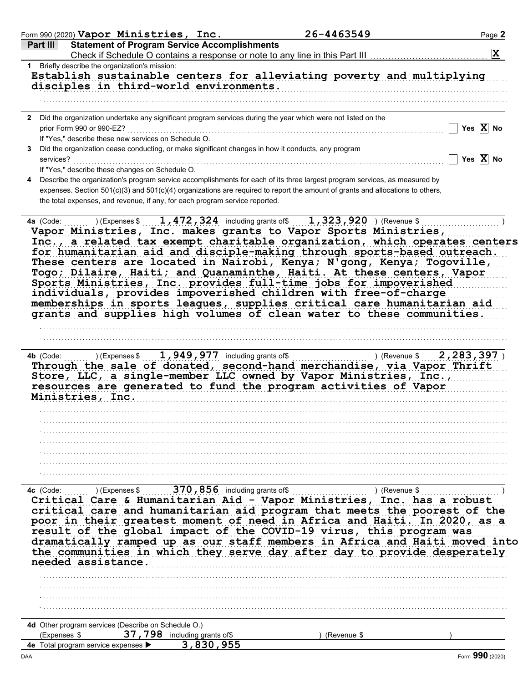|                  | Form 990 (2020) Vapor Ministries, Inc.                                            |                                                                             | 26-4463549                                                                                                                                                                                                                                                                                                                                                                                                                                                                                                                                                                                                                                                            | Page 2                   |
|------------------|-----------------------------------------------------------------------------------|-----------------------------------------------------------------------------|-----------------------------------------------------------------------------------------------------------------------------------------------------------------------------------------------------------------------------------------------------------------------------------------------------------------------------------------------------------------------------------------------------------------------------------------------------------------------------------------------------------------------------------------------------------------------------------------------------------------------------------------------------------------------|--------------------------|
| Part III         |                                                                                   | <b>Statement of Program Service Accomplishments</b>                         | Check if Schedule O contains a response or note to any line in this Part III                                                                                                                                                                                                                                                                                                                                                                                                                                                                                                                                                                                          | $ \mathbf{X} $           |
|                  | 1 Briefly describe the organization's mission:                                    |                                                                             |                                                                                                                                                                                                                                                                                                                                                                                                                                                                                                                                                                                                                                                                       |                          |
|                  |                                                                                   | disciples in third-world environments.                                      | Establish sustainable centers for alleviating poverty and multiplying                                                                                                                                                                                                                                                                                                                                                                                                                                                                                                                                                                                                 |                          |
|                  |                                                                                   |                                                                             |                                                                                                                                                                                                                                                                                                                                                                                                                                                                                                                                                                                                                                                                       |                          |
|                  | prior Form 990 or 990-EZ?<br>If "Yes," describe these new services on Schedule O. |                                                                             | 2 Did the organization undertake any significant program services during the year which were not listed on the                                                                                                                                                                                                                                                                                                                                                                                                                                                                                                                                                        | Yes $\overline{X}$ No    |
| 3<br>services?   |                                                                                   |                                                                             | Did the organization cease conducting, or make significant changes in how it conducts, any program                                                                                                                                                                                                                                                                                                                                                                                                                                                                                                                                                                    | Yes $\overline{X}$ No    |
| 4                | If "Yes," describe these changes on Schedule O.                                   | the total expenses, and revenue, if any, for each program service reported. | Describe the organization's program service accomplishments for each of its three largest program services, as measured by<br>expenses. Section 501(c)(3) and 501(c)(4) organizations are required to report the amount of grants and allocations to others,                                                                                                                                                                                                                                                                                                                                                                                                          |                          |
|                  |                                                                                   |                                                                             | Vapor Ministries, Inc. makes grants to Vapor Sports Ministries,<br>Inc., a related tax exempt charitable organization, which operates centers<br>for humanitarian aid and disciple-making through sports-based outreach.<br>These centers are located in Nairobi, Kenya; N'gong, Kenya; Togoville,<br>Togo; Dilaire, Haiti; and Quanaminthe, Haiti. At these centers, Vapor<br>Sports Ministries, Inc. provides full-time jobs for impoverished<br>individuals, provides impoverished children with free-of-charge<br>memberships in sports leagues, supplies critical care humanitarian aid<br>grants and supplies high volumes of clean water to these communities. |                          |
|                  |                                                                                   |                                                                             |                                                                                                                                                                                                                                                                                                                                                                                                                                                                                                                                                                                                                                                                       |                          |
|                  | Ministries, Inc.                                                                  |                                                                             | . $(1, 949, 977)$ including grants of $(2, 283, 397)$<br>Through the sale of donated, second-hand merchandise, via Vapor Thrift<br>Store, LLC, a single-member LLC owned by Vapor Ministries, Inc.,<br>resources are generated to fund the program activities of Vapor                                                                                                                                                                                                                                                                                                                                                                                                |                          |
| <b>4b</b> (Code: |                                                                                   |                                                                             |                                                                                                                                                                                                                                                                                                                                                                                                                                                                                                                                                                                                                                                                       |                          |
|                  |                                                                                   |                                                                             |                                                                                                                                                                                                                                                                                                                                                                                                                                                                                                                                                                                                                                                                       |                          |
|                  |                                                                                   |                                                                             |                                                                                                                                                                                                                                                                                                                                                                                                                                                                                                                                                                                                                                                                       |                          |
|                  |                                                                                   |                                                                             |                                                                                                                                                                                                                                                                                                                                                                                                                                                                                                                                                                                                                                                                       |                          |
|                  |                                                                                   |                                                                             |                                                                                                                                                                                                                                                                                                                                                                                                                                                                                                                                                                                                                                                                       |                          |
|                  |                                                                                   |                                                                             |                                                                                                                                                                                                                                                                                                                                                                                                                                                                                                                                                                                                                                                                       |                          |
|                  |                                                                                   |                                                                             |                                                                                                                                                                                                                                                                                                                                                                                                                                                                                                                                                                                                                                                                       |                          |
| 4c (Code:        | ) (Expenses \$                                                                    | $370$ , $856$ including grants of\$                                         | Critical Care & Humanitarian Aid - Vapor Ministries, Inc. has a robust<br>critical care and humanitarian aid program that meets the poorest of the<br>poor in their greatest moment of need in Africa and Haiti. In 2020, as a                                                                                                                                                                                                                                                                                                                                                                                                                                        | ) (Revenue $\frac{1}{2}$ |
|                  |                                                                                   |                                                                             | result of the global impact of the COVID-19 virus, this program was<br>dramatically ramped up as our staff members in Africa and Haiti moved into<br>the communities in which they serve day after day to provide desperately                                                                                                                                                                                                                                                                                                                                                                                                                                         |                          |
|                  | needed assistance.                                                                |                                                                             |                                                                                                                                                                                                                                                                                                                                                                                                                                                                                                                                                                                                                                                                       |                          |
|                  |                                                                                   |                                                                             |                                                                                                                                                                                                                                                                                                                                                                                                                                                                                                                                                                                                                                                                       |                          |
|                  |                                                                                   |                                                                             |                                                                                                                                                                                                                                                                                                                                                                                                                                                                                                                                                                                                                                                                       |                          |
|                  |                                                                                   |                                                                             |                                                                                                                                                                                                                                                                                                                                                                                                                                                                                                                                                                                                                                                                       |                          |
| (Expenses \$     | 4d Other program services (Describe on Schedule O.)                               | 37, 798 including grants of\$                                               |                                                                                                                                                                                                                                                                                                                                                                                                                                                                                                                                                                                                                                                                       |                          |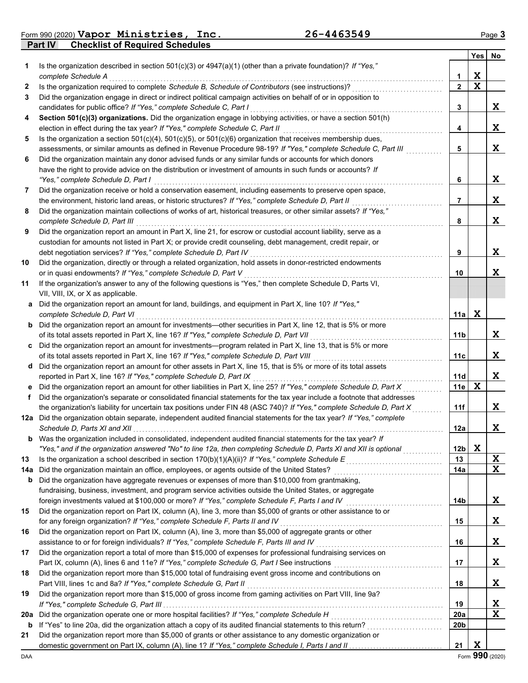**Part IV Checklist of Required Schedules** Form 990 (2020) Page **3 Vapor Ministries, Inc. 26-4463549**

|     |                                                                                                                                                                                   |                 | Yes | No          |
|-----|-----------------------------------------------------------------------------------------------------------------------------------------------------------------------------------|-----------------|-----|-------------|
| 1   | Is the organization described in section $501(c)(3)$ or $4947(a)(1)$ (other than a private foundation)? If "Yes,"                                                                 |                 |     |             |
|     | complete Schedule A                                                                                                                                                               | 1               | X   |             |
| 2   | Is the organization required to complete Schedule B, Schedule of Contributors (see instructions)?                                                                                 | $\mathbf{2}$    | X   |             |
| 3   | Did the organization engage in direct or indirect political campaign activities on behalf of or in opposition to                                                                  |                 |     |             |
|     | candidates for public office? If "Yes," complete Schedule C, Part I                                                                                                               | 3               |     | X           |
| 4   | Section 501(c)(3) organizations. Did the organization engage in lobbying activities, or have a section 501(h)                                                                     |                 |     |             |
|     | election in effect during the tax year? If "Yes," complete Schedule C, Part II                                                                                                    | 4               |     | X           |
| 5   | Is the organization a section $501(c)(4)$ , $501(c)(5)$ , or $501(c)(6)$ organization that receives membership dues,                                                              |                 |     |             |
|     | assessments, or similar amounts as defined in Revenue Procedure 98-19? If "Yes," complete Schedule C, Part III                                                                    | 5               |     | X           |
| 6   | Did the organization maintain any donor advised funds or any similar funds or accounts for which donors                                                                           |                 |     |             |
|     | have the right to provide advice on the distribution or investment of amounts in such funds or accounts? If                                                                       |                 |     |             |
|     | "Yes," complete Schedule D, Part I                                                                                                                                                | 6               |     | X           |
| 7   | Did the organization receive or hold a conservation easement, including easements to preserve open space,                                                                         |                 |     |             |
|     | the environment, historic land areas, or historic structures? If "Yes," complete Schedule D, Part II                                                                              | 7               |     | X           |
| 8   | Did the organization maintain collections of works of art, historical treasures, or other similar assets? If "Yes,"                                                               |                 |     |             |
|     | complete Schedule D, Part III                                                                                                                                                     | 8               |     | X           |
| 9   | Did the organization report an amount in Part X, line 21, for escrow or custodial account liability, serve as a                                                                   |                 |     |             |
|     | custodian for amounts not listed in Part X; or provide credit counseling, debt management, credit repair, or                                                                      |                 |     | X           |
|     | debt negotiation services? If "Yes," complete Schedule D, Part IV<br>Did the organization, directly or through a related organization, hold assets in donor-restricted endowments | 9               |     |             |
| 10  | or in quasi endowments? If "Yes," complete Schedule D, Part V                                                                                                                     | 10              |     | X           |
| 11  | If the organization's answer to any of the following questions is "Yes," then complete Schedule D, Parts VI,                                                                      |                 |     |             |
|     | VII, VIII, IX, or X as applicable.                                                                                                                                                |                 |     |             |
|     | a Did the organization report an amount for land, buildings, and equipment in Part X, line 10? If "Yes,"                                                                          |                 |     |             |
|     | complete Schedule D, Part VI                                                                                                                                                      | 11a             | X   |             |
|     | <b>b</b> Did the organization report an amount for investments—other securities in Part X, line 12, that is 5% or more                                                            |                 |     |             |
|     | of its total assets reported in Part X, line 16? If "Yes," complete Schedule D, Part VII                                                                                          | 11b             |     | X           |
|     | c Did the organization report an amount for investments—program related in Part X, line 13, that is 5% or more                                                                    |                 |     |             |
|     | of its total assets reported in Part X, line 16? If "Yes," complete Schedule D, Part VIII [[[[[[[[[[[[[[[[[[[[                                                                    | 11c             |     | X           |
|     | d Did the organization report an amount for other assets in Part X, line 15, that is 5% or more of its total assets                                                               |                 |     |             |
|     | reported in Part X, line 16? If "Yes," complete Schedule D, Part IX                                                                                                               | 11d             |     | $\mathbf x$ |
| е   | Did the organization report an amount for other liabilities in Part X, line 25? If "Yes," complete Schedule D, Part X                                                             | 11e             | X   |             |
| f   | Did the organization's separate or consolidated financial statements for the tax year include a footnote that addresses                                                           |                 |     |             |
|     | the organization's liability for uncertain tax positions under FIN 48 (ASC 740)? If "Yes," complete Schedule D, Part X                                                            | 11f             |     | X           |
|     | 12a Did the organization obtain separate, independent audited financial statements for the tax year? If "Yes," complete                                                           |                 |     |             |
|     |                                                                                                                                                                                   | 12a             |     | X           |
| b   | Was the organization included in consolidated, independent audited financial statements for the tax year? If                                                                      |                 |     |             |
|     | "Yes," and if the organization answered "No" to line 12a, then completing Schedule D, Parts XI and XII is optional                                                                | 12 <sub>b</sub> | X   |             |
| 13  |                                                                                                                                                                                   | 13              |     | X           |
| 14a | Did the organization maintain an office, employees, or agents outside of the United States?                                                                                       | 14a             |     | X           |
| b   | Did the organization have aggregate revenues or expenses of more than \$10,000 from grantmaking,                                                                                  |                 |     |             |
|     | fundraising, business, investment, and program service activities outside the United States, or aggregate                                                                         |                 |     |             |
|     | foreign investments valued at \$100,000 or more? If "Yes," complete Schedule F, Parts I and IV                                                                                    | 14b             |     | X           |
| 15  | Did the organization report on Part IX, column (A), line 3, more than \$5,000 of grants or other assistance to or                                                                 |                 |     |             |
|     | for any foreign organization? If "Yes," complete Schedule F, Parts II and IV                                                                                                      | 15              |     | X           |
| 16  | Did the organization report on Part IX, column (A), line 3, more than \$5,000 of aggregate grants or other                                                                        |                 |     |             |
|     | assistance to or for foreign individuals? If "Yes," complete Schedule F, Parts III and IV                                                                                         | 16              |     | X           |
| 17  | Did the organization report a total of more than \$15,000 of expenses for professional fundraising services on                                                                    |                 |     |             |
|     |                                                                                                                                                                                   | 17              |     | X           |
| 18  | Did the organization report more than \$15,000 total of fundraising event gross income and contributions on                                                                       |                 |     |             |
|     | Part VIII, lines 1c and 8a? If "Yes," complete Schedule G, Part II                                                                                                                | 18              |     | X           |
| 19  | Did the organization report more than \$15,000 of gross income from gaming activities on Part VIII, line 9a?                                                                      |                 |     |             |
|     |                                                                                                                                                                                   | 19              |     | X           |
| 20a |                                                                                                                                                                                   | 20a             |     | X           |
| b   |                                                                                                                                                                                   | 20b             |     |             |
| 21  | Did the organization report more than \$5,000 of grants or other assistance to any domestic organization or                                                                       | 21              | X   |             |
|     |                                                                                                                                                                                   |                 |     |             |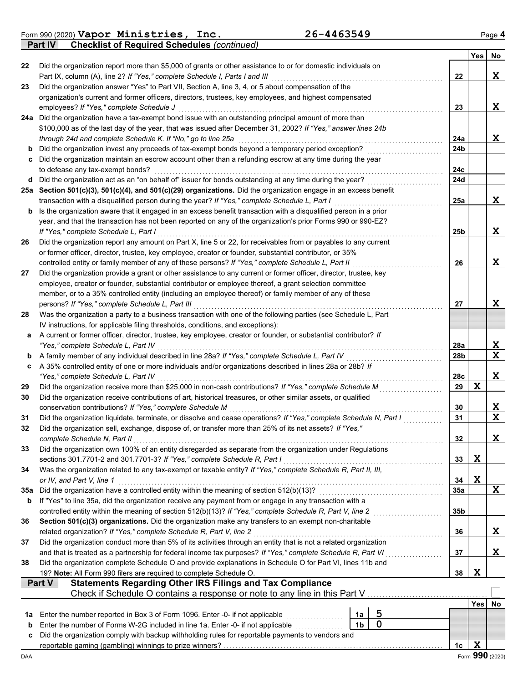Form 990 (2020) Page **4 Vapor Ministries, Inc. 26-4463549**

**Part IV Checklist of Required Schedules** *(continued)*

|     |                                                                                                                                                                                                                          |                |             |                 | <b>Yes</b> | No              |  |  |  |
|-----|--------------------------------------------------------------------------------------------------------------------------------------------------------------------------------------------------------------------------|----------------|-------------|-----------------|------------|-----------------|--|--|--|
| 22  | Did the organization report more than \$5,000 of grants or other assistance to or for domestic individuals on                                                                                                            |                |             |                 |            |                 |  |  |  |
|     | Part IX, column (A), line 2? If "Yes," complete Schedule I, Parts I and III                                                                                                                                              |                |             | 22              |            | X.              |  |  |  |
| 23  | Did the organization answer "Yes" to Part VII, Section A, line 3, 4, or 5 about compensation of the                                                                                                                      |                |             |                 |            |                 |  |  |  |
|     | organization's current and former officers, directors, trustees, key employees, and highest compensated                                                                                                                  |                |             |                 |            |                 |  |  |  |
|     | employees? If "Yes," complete Schedule J                                                                                                                                                                                 |                |             | 23              |            | X.              |  |  |  |
|     | 24a Did the organization have a tax-exempt bond issue with an outstanding principal amount of more than<br>\$100,000 as of the last day of the year, that was issued after December 31, 2002? If "Yes," answer lines 24b |                |             |                 |            |                 |  |  |  |
|     | through 24d and complete Schedule K. If "No," go to line 25a                                                                                                                                                             |                |             | 24a             |            | X.              |  |  |  |
| b   | Did the organization invest any proceeds of tax-exempt bonds beyond a temporary period exception?                                                                                                                        |                |             | 24b             |            |                 |  |  |  |
| c   | Did the organization maintain an escrow account other than a refunding escrow at any time during the year                                                                                                                |                |             |                 |            |                 |  |  |  |
|     | to defease any tax-exempt bonds?                                                                                                                                                                                         |                |             | 24с             |            |                 |  |  |  |
| d   | Did the organization act as an "on behalf of" issuer for bonds outstanding at any time during the year?                                                                                                                  |                |             | 24d             |            |                 |  |  |  |
|     | 25a Section 501(c)(3), 501(c)(4), and 501(c)(29) organizations. Did the organization engage in an excess benefit                                                                                                         |                |             |                 |            |                 |  |  |  |
|     | transaction with a disqualified person during the year? If "Yes," complete Schedule L, Part I                                                                                                                            |                |             | 25a             |            | X.              |  |  |  |
| b   | Is the organization aware that it engaged in an excess benefit transaction with a disqualified person in a prior                                                                                                         |                |             |                 |            |                 |  |  |  |
|     | year, and that the transaction has not been reported on any of the organization's prior Forms 990 or 990-EZ?<br>If "Yes," complete Schedule L, Part I                                                                    |                |             | 25b             |            | X.              |  |  |  |
| 26  | Did the organization report any amount on Part X, line 5 or 22, for receivables from or payables to any current                                                                                                          |                |             |                 |            |                 |  |  |  |
|     | or former officer, director, trustee, key employee, creator or founder, substantial contributor, or 35%                                                                                                                  |                |             |                 |            |                 |  |  |  |
|     | controlled entity or family member of any of these persons? If "Yes," complete Schedule L, Part II                                                                                                                       |                |             | 26              |            | X.              |  |  |  |
| 27  | Did the organization provide a grant or other assistance to any current or former officer, director, trustee, key                                                                                                        |                |             |                 |            |                 |  |  |  |
|     | employee, creator or founder, substantial contributor or employee thereof, a grant selection committee                                                                                                                   |                |             |                 |            |                 |  |  |  |
|     | member, or to a 35% controlled entity (including an employee thereof) or family member of any of these                                                                                                                   |                |             |                 |            |                 |  |  |  |
|     | persons? If "Yes," complete Schedule L, Part III                                                                                                                                                                         |                |             | 27              |            | X.              |  |  |  |
| 28  | Was the organization a party to a business transaction with one of the following parties (see Schedule L, Part                                                                                                           |                |             |                 |            |                 |  |  |  |
|     | IV instructions, for applicable filing thresholds, conditions, and exceptions):                                                                                                                                          |                |             |                 |            |                 |  |  |  |
| а   | A current or former officer, director, trustee, key employee, creator or founder, or substantial contributor? If                                                                                                         |                |             |                 |            |                 |  |  |  |
| b   | "Yes," complete Schedule L, Part IV<br>A family member of any individual described in line 28a? If "Yes," complete Schedule L, Part IV                                                                                   |                |             | 28a<br>28b      |            | X<br>X          |  |  |  |
| c   | A 35% controlled entity of one or more individuals and/or organizations described in lines 28a or 28b? If                                                                                                                |                |             |                 |            |                 |  |  |  |
|     | "Yes," complete Schedule L, Part IV                                                                                                                                                                                      |                |             | 28c             |            | X               |  |  |  |
| 29  | Did the organization receive more than \$25,000 in non-cash contributions? If "Yes," complete Schedule M                                                                                                                 |                |             | 29              | X          |                 |  |  |  |
| 30  | Did the organization receive contributions of art, historical treasures, or other similar assets, or qualified                                                                                                           |                |             |                 |            |                 |  |  |  |
|     | conservation contributions? If "Yes," complete Schedule M                                                                                                                                                                |                |             | 30              |            | X               |  |  |  |
| 31  | Did the organization liquidate, terminate, or dissolve and cease operations? If "Yes," complete Schedule N, Part I                                                                                                       |                |             | 31              |            | X               |  |  |  |
| 32  | Did the organization sell, exchange, dispose of, or transfer more than 25% of its net assets? If "Yes,"                                                                                                                  |                |             |                 |            |                 |  |  |  |
|     | complete Schedule N, Part II                                                                                                                                                                                             |                |             | 32              |            | X               |  |  |  |
| 33  | Did the organization own 100% of an entity disregarded as separate from the organization under Regulations                                                                                                               |                |             | 33              | X          |                 |  |  |  |
| 34  | sections 301.7701-2 and 301.7701-3? If "Yes," complete Schedule R, Part I<br>Was the organization related to any tax-exempt or taxable entity? If "Yes," complete Schedule R, Part II, III,                              |                |             |                 |            |                 |  |  |  |
|     | or IV, and Part V, line 1                                                                                                                                                                                                |                |             | 34              | X          |                 |  |  |  |
| 35а |                                                                                                                                                                                                                          |                |             | 35a             |            | X               |  |  |  |
| b   | If "Yes" to line 35a, did the organization receive any payment from or engage in any transaction with a                                                                                                                  |                |             |                 |            |                 |  |  |  |
|     |                                                                                                                                                                                                                          |                |             | 35 <sub>b</sub> |            |                 |  |  |  |
| 36  | Section 501(c)(3) organizations. Did the organization make any transfers to an exempt non-charitable                                                                                                                     |                |             |                 |            |                 |  |  |  |
|     | related organization? If "Yes," complete Schedule R, Part V, line 2                                                                                                                                                      |                |             | 36              |            | X               |  |  |  |
| 37  | Did the organization conduct more than 5% of its activities through an entity that is not a related organization                                                                                                         |                |             |                 |            |                 |  |  |  |
|     | and that is treated as a partnership for federal income tax purposes? If "Yes," complete Schedule R, Part VI                                                                                                             |                |             | 37              |            | X.              |  |  |  |
| 38  | Did the organization complete Schedule O and provide explanations in Schedule O for Part VI, lines 11b and<br>19? Note: All Form 990 filers are required to complete Schedule O.                                         |                |             | 38              | X          |                 |  |  |  |
|     | <b>Statements Regarding Other IRS Filings and Tax Compliance</b><br>Part V                                                                                                                                               |                |             |                 |            |                 |  |  |  |
|     | Check if Schedule O contains a response or note to any line in this Part V                                                                                                                                               |                |             |                 |            |                 |  |  |  |
|     |                                                                                                                                                                                                                          |                |             |                 | Yes        | No              |  |  |  |
| 1a  | Enter the number reported in Box 3 of Form 1096. Enter -0- if not applicable                                                                                                                                             | 1a             | 5           |                 |            |                 |  |  |  |
| b   | Enter the number of Forms W-2G included in line 1a. Enter -0- if not applicable                                                                                                                                          | 1 <sub>b</sub> | $\mathbf 0$ |                 |            |                 |  |  |  |
| c   | Did the organization comply with backup withholding rules for reportable payments to vendors and                                                                                                                         |                |             |                 |            |                 |  |  |  |
|     |                                                                                                                                                                                                                          |                |             | 1c              | X          |                 |  |  |  |
| DAA |                                                                                                                                                                                                                          |                |             |                 |            | Form 990 (2020) |  |  |  |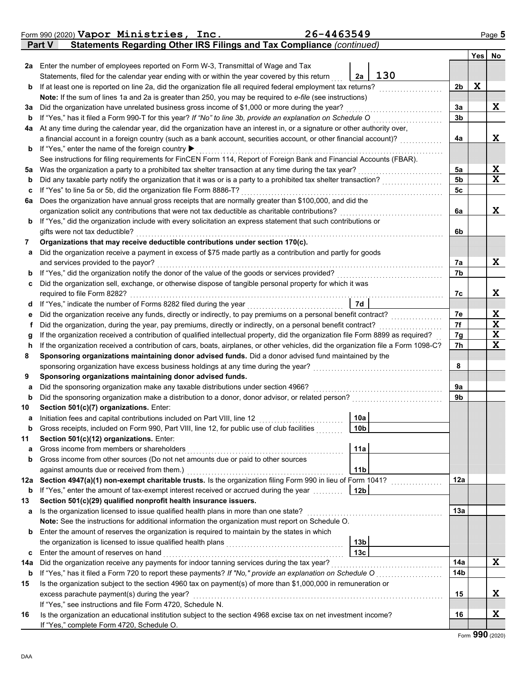|        | Form 990 (2020) Vapor Ministries, Inc.                                                                                                                                                                                                           | 26-4463549 |                 |                |     | Page 5 |
|--------|--------------------------------------------------------------------------------------------------------------------------------------------------------------------------------------------------------------------------------------------------|------------|-----------------|----------------|-----|--------|
|        | Statements Regarding Other IRS Filings and Tax Compliance (continued)<br>Part V                                                                                                                                                                  |            |                 |                |     |        |
|        |                                                                                                                                                                                                                                                  |            |                 |                | Yes | No     |
| 2a     | Enter the number of employees reported on Form W-3, Transmittal of Wage and Tax                                                                                                                                                                  |            |                 |                |     |        |
|        | Statements, filed for the calendar year ending with or within the year covered by this return                                                                                                                                                    |            | 130<br>2a       |                |     |        |
| b      | If at least one is reported on line 2a, did the organization file all required federal employment tax returns?                                                                                                                                   |            |                 | 2 <sub>b</sub> | X   |        |
|        | Note: If the sum of lines 1a and 2a is greater than 250, you may be required to e-file (see instructions)                                                                                                                                        |            |                 |                |     |        |
| За     | Did the organization have unrelated business gross income of \$1,000 or more during the year?                                                                                                                                                    |            |                 | 3a             |     | Χ      |
| b      | If "Yes," has it filed a Form 990-T for this year? If "No" to line 3b, provide an explanation on Schedule O                                                                                                                                      |            |                 | 3b             |     |        |
| 4a     | At any time during the calendar year, did the organization have an interest in, or a signature or other authority over,                                                                                                                          |            |                 |                |     |        |
|        | a financial account in a foreign country (such as a bank account, securities account, or other financial account)?                                                                                                                               |            |                 | 4a             |     | X      |
| b      | If "Yes," enter the name of the foreign country ▶                                                                                                                                                                                                |            |                 |                |     |        |
|        | See instructions for filing requirements for FinCEN Form 114, Report of Foreign Bank and Financial Accounts (FBAR).                                                                                                                              |            |                 |                |     |        |
| 5a     | Was the organization a party to a prohibited tax shelter transaction at any time during the tax year?                                                                                                                                            |            |                 | 5a             |     | X      |
| b      | Did any taxable party notify the organization that it was or is a party to a prohibited tax shelter transaction?                                                                                                                                 |            |                 | 5b             |     | X      |
| c      | If "Yes" to line 5a or 5b, did the organization file Form 8886-T?                                                                                                                                                                                |            |                 | 5c             |     |        |
| 6a     | Does the organization have annual gross receipts that are normally greater than \$100,000, and did the                                                                                                                                           |            |                 |                |     |        |
|        | organization solicit any contributions that were not tax deductible as charitable contributions?                                                                                                                                                 |            |                 | 6a             |     | X      |
| b      | If "Yes," did the organization include with every solicitation an express statement that such contributions or                                                                                                                                   |            |                 |                |     |        |
|        | gifts were not tax deductible?                                                                                                                                                                                                                   |            |                 | 6b             |     |        |
| 7      | Organizations that may receive deductible contributions under section 170(c).                                                                                                                                                                    |            |                 |                |     |        |
| а      | Did the organization receive a payment in excess of \$75 made partly as a contribution and partly for goods                                                                                                                                      |            |                 |                |     |        |
|        | and services provided to the payor?                                                                                                                                                                                                              |            |                 | 7а             |     | X      |
| b      | If "Yes," did the organization notify the donor of the value of the goods or services provided?                                                                                                                                                  |            |                 | 7b             |     |        |
| c      | Did the organization sell, exchange, or otherwise dispose of tangible personal property for which it was                                                                                                                                         |            |                 |                |     |        |
|        | required to file Form 8282?                                                                                                                                                                                                                      |            |                 | 7c             |     | X      |
| d      | If "Yes," indicate the number of Forms 8282 filed during the year                                                                                                                                                                                |            | 7d              |                |     |        |
| е      | Did the organization receive any funds, directly or indirectly, to pay premiums on a personal benefit contract?                                                                                                                                  |            |                 | 7е<br>7f       |     | X<br>X |
| f      | Did the organization, during the year, pay premiums, directly or indirectly, on a personal benefit contract?<br>If the organization received a contribution of qualified intellectual property, did the organization file Form 8899 as required? |            |                 | 7g             |     | X      |
| g<br>h | If the organization received a contribution of cars, boats, airplanes, or other vehicles, did the organization file a Form 1098-C?                                                                                                               |            |                 | 7h             |     | X      |
| 8      | Sponsoring organizations maintaining donor advised funds. Did a donor advised fund maintained by the                                                                                                                                             |            |                 |                |     |        |
|        | sponsoring organization have excess business holdings at any time during the year?                                                                                                                                                               |            |                 | 8              |     |        |
| 9      | Sponsoring organizations maintaining donor advised funds.                                                                                                                                                                                        |            |                 |                |     |        |
| a      | Did the sponsoring organization make any taxable distributions under section 4966?                                                                                                                                                               |            |                 | 9a             |     |        |
| b      | Did the sponsoring organization make a distribution to a donor, donor advisor, or related person?                                                                                                                                                |            |                 | 9b             |     |        |
| 10     | Section 501(c)(7) organizations. Enter:                                                                                                                                                                                                          |            |                 |                |     |        |
|        | Initiation fees and capital contributions included on Part VIII, line 12                                                                                                                                                                         |            | 10a             |                |     |        |
| b      | Gross receipts, included on Form 990, Part VIII, line 12, for public use of club facilities                                                                                                                                                      |            | 10 <sub>b</sub> |                |     |        |
| 11     | Section 501(c)(12) organizations. Enter:                                                                                                                                                                                                         |            |                 |                |     |        |
| а      | Gross income from members or shareholders                                                                                                                                                                                                        |            | 11a             |                |     |        |
| b      | Gross income from other sources (Do not net amounts due or paid to other sources                                                                                                                                                                 |            |                 |                |     |        |
|        | against amounts due or received from them.)                                                                                                                                                                                                      |            | 11 <sub>b</sub> |                |     |        |
| 12a    | Section 4947(a)(1) non-exempt charitable trusts. Is the organization filing Form 990 in lieu of Form 1041?                                                                                                                                       |            |                 | 12a            |     |        |
| b      | If "Yes," enter the amount of tax-exempt interest received or accrued during the year                                                                                                                                                            |            | 12b             |                |     |        |
| 13     | Section 501(c)(29) qualified nonprofit health insurance issuers.                                                                                                                                                                                 |            |                 |                |     |        |
| а      | Is the organization licensed to issue qualified health plans in more than one state?                                                                                                                                                             |            |                 | 13a            |     |        |
|        | Note: See the instructions for additional information the organization must report on Schedule O.                                                                                                                                                |            |                 |                |     |        |
| b      | Enter the amount of reserves the organization is required to maintain by the states in which                                                                                                                                                     |            |                 |                |     |        |
|        | the organization is licensed to issue qualified health plans                                                                                                                                                                                     |            | 13 <sub>b</sub> |                |     |        |
| c      | Enter the amount of reserves on hand                                                                                                                                                                                                             |            | 13 <sub>c</sub> |                |     |        |
| 14a    | Did the organization receive any payments for indoor tanning services during the tax year?                                                                                                                                                       |            |                 | 14a            |     | X      |
| b      | If "Yes," has it filed a Form 720 to report these payments? If "No," provide an explanation on Schedule O                                                                                                                                        |            |                 | 14b            |     |        |
| 15     | Is the organization subject to the section 4960 tax on payment(s) of more than \$1,000,000 in remuneration or                                                                                                                                    |            |                 |                |     |        |
|        | excess parachute payment(s) during the year?                                                                                                                                                                                                     |            |                 | 15             |     | X      |
|        | If "Yes," see instructions and file Form 4720, Schedule N.                                                                                                                                                                                       |            |                 |                |     |        |
| 16     | Is the organization an educational institution subject to the section 4968 excise tax on net investment income?                                                                                                                                  |            |                 | 16             |     | X      |
|        | If "Yes," complete Form 4720, Schedule O.                                                                                                                                                                                                        |            |                 |                |     |        |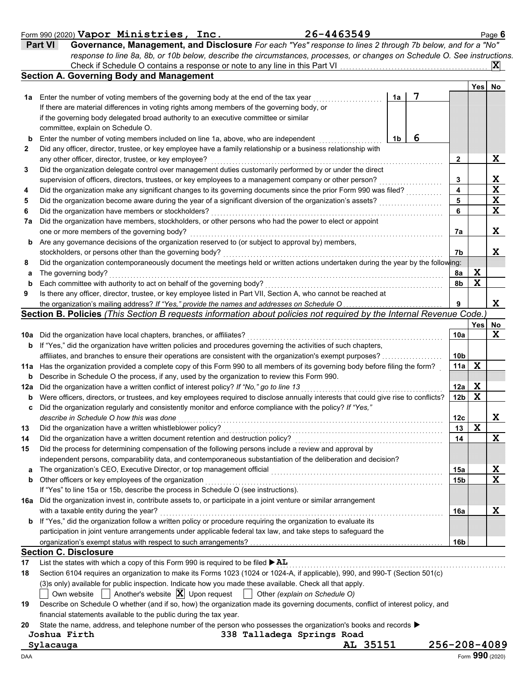## Form 990 (2020) Page **6 Vapor Ministries, Inc. 26-4463549**

| <b>Part VI</b> | Governance, Management, and Disclosure For each "Yes" response to lines 2 through 7b below, and for a "No"                |                |
|----------------|---------------------------------------------------------------------------------------------------------------------------|----------------|
|                | response to line 8a, 8b, or 10b below, describe the circumstances, processes, or changes on Schedule O. See instructions. |                |
|                | Check if Schedule O contains a response or note to any line in this Part VI                                               | $ \mathbf{x} $ |

|              | <b>Section A. Governing Body and Management</b>                                                                                                                                                                                                  |    |   |                        |             |             |  |  |  |
|--------------|--------------------------------------------------------------------------------------------------------------------------------------------------------------------------------------------------------------------------------------------------|----|---|------------------------|-------------|-------------|--|--|--|
|              |                                                                                                                                                                                                                                                  |    |   |                        | Yes         | No          |  |  |  |
| 1а           | Enter the number of voting members of the governing body at the end of the tax year                                                                                                                                                              | 1a | 7 |                        |             |             |  |  |  |
|              | If there are material differences in voting rights among members of the governing body, or                                                                                                                                                       |    |   |                        |             |             |  |  |  |
|              | if the governing body delegated broad authority to an executive committee or similar                                                                                                                                                             |    |   |                        |             |             |  |  |  |
|              | committee, explain on Schedule O.                                                                                                                                                                                                                |    |   |                        |             |             |  |  |  |
| b            | Enter the number of voting members included on line 1a, above, who are independent                                                                                                                                                               | 1b | 6 |                        |             |             |  |  |  |
| $\mathbf{2}$ | Did any officer, director, trustee, or key employee have a family relationship or a business relationship with                                                                                                                                   |    |   |                        |             |             |  |  |  |
|              | any other officer, director, trustee, or key employee?                                                                                                                                                                                           |    |   | 2                      |             | X           |  |  |  |
| 3            | Did the organization delegate control over management duties customarily performed by or under the direct                                                                                                                                        |    |   |                        |             |             |  |  |  |
|              | supervision of officers, directors, trustees, or key employees to a management company or other person?                                                                                                                                          |    |   | 3                      |             | X           |  |  |  |
| 4            | Did the organization make any significant changes to its governing documents since the prior Form 990 was filed?                                                                                                                                 |    |   | 4                      |             | $\mathbf x$ |  |  |  |
| 5            | Did the organization become aware during the year of a significant diversion of the organization's assets?                                                                                                                                       |    |   | 5                      |             | X           |  |  |  |
| 6            | Did the organization have members or stockholders?                                                                                                                                                                                               |    |   | 6                      |             | $\mathbf x$ |  |  |  |
| 7a           | Did the organization have members, stockholders, or other persons who had the power to elect or appoint                                                                                                                                          |    |   |                        |             |             |  |  |  |
|              | one or more members of the governing body?                                                                                                                                                                                                       |    |   | 7a                     |             | X           |  |  |  |
| b            | Are any governance decisions of the organization reserved to (or subject to approval by) members,                                                                                                                                                |    |   |                        |             |             |  |  |  |
|              | stockholders, or persons other than the governing body?                                                                                                                                                                                          |    |   | 7b                     |             | X           |  |  |  |
| 8            | Did the organization contemporaneously document the meetings held or written actions undertaken during the year by the following:                                                                                                                |    |   |                        |             |             |  |  |  |
| а            | The governing body?                                                                                                                                                                                                                              |    |   | 8a                     | X           |             |  |  |  |
| b            | Each committee with authority to act on behalf of the governing body?                                                                                                                                                                            |    |   | 8b                     | X           |             |  |  |  |
| 9            | Is there any officer, director, trustee, or key employee listed in Part VII, Section A, who cannot be reached at                                                                                                                                 |    |   |                        |             |             |  |  |  |
|              | the organization's mailing address? If "Yes," provide the names and addresses on Schedule O                                                                                                                                                      |    |   | 9                      |             | X           |  |  |  |
|              | Section B. Policies (This Section B requests information about policies not required by the Internal Revenue Code.)                                                                                                                              |    |   |                        |             |             |  |  |  |
|              |                                                                                                                                                                                                                                                  |    |   |                        | Yes         | No          |  |  |  |
| 10a          | Did the organization have local chapters, branches, or affiliates?                                                                                                                                                                               |    |   | 10a                    |             | $\mathbf x$ |  |  |  |
| b            | If "Yes," did the organization have written policies and procedures governing the activities of such chapters,                                                                                                                                   |    |   |                        |             |             |  |  |  |
|              | affiliates, and branches to ensure their operations are consistent with the organization's exempt purposes?                                                                                                                                      |    |   | 10 <sub>b</sub>        |             |             |  |  |  |
| 11a          | Has the organization provided a complete copy of this Form 990 to all members of its governing body before filing the form?                                                                                                                      |    |   | 11a                    | X           |             |  |  |  |
| b            | Describe in Schedule O the process, if any, used by the organization to review this Form 990.                                                                                                                                                    |    |   |                        | X           |             |  |  |  |
| 12a          | Did the organization have a written conflict of interest policy? If "No," go to line 13                                                                                                                                                          |    |   | 12a<br>12 <sub>b</sub> | $\mathbf x$ |             |  |  |  |
| b            | Were officers, directors, or trustees, and key employees required to disclose annually interests that could give rise to conflicts?<br>Did the organization regularly and consistently monitor and enforce compliance with the policy? If "Yes," |    |   |                        |             |             |  |  |  |
| c            | describe in Schedule O how this was done                                                                                                                                                                                                         |    |   | 12c                    |             | X           |  |  |  |
| 13           | Did the organization have a written whistleblower policy?                                                                                                                                                                                        |    |   | 13                     | $\mathbf x$ |             |  |  |  |
| 14           | Did the organization have a written document retention and destruction policy?                                                                                                                                                                   |    |   | 14                     |             | X           |  |  |  |
| 15           | Did the process for determining compensation of the following persons include a review and approval by                                                                                                                                           |    |   |                        |             |             |  |  |  |
|              | independent persons, comparability data, and contemporaneous substantiation of the deliberation and decision?                                                                                                                                    |    |   |                        |             |             |  |  |  |
| a            | The organization's CEO, Executive Director, or top management official                                                                                                                                                                           |    |   | 15a                    |             | X           |  |  |  |
| b            | Other officers or key employees of the organization                                                                                                                                                                                              |    |   | 15b                    |             | X           |  |  |  |
|              | If "Yes" to line 15a or 15b, describe the process in Schedule O (see instructions).                                                                                                                                                              |    |   |                        |             |             |  |  |  |
|              | 16a Did the organization invest in, contribute assets to, or participate in a joint venture or similar arrangement                                                                                                                               |    |   |                        |             |             |  |  |  |
|              | with a taxable entity during the year?                                                                                                                                                                                                           |    |   | 16a                    |             | X           |  |  |  |
| b            | If "Yes," did the organization follow a written policy or procedure requiring the organization to evaluate its                                                                                                                                   |    |   |                        |             |             |  |  |  |
|              | participation in joint venture arrangements under applicable federal tax law, and take steps to safeguard the                                                                                                                                    |    |   |                        |             |             |  |  |  |
|              |                                                                                                                                                                                                                                                  |    |   | 16b                    |             |             |  |  |  |
|              | <b>Section C. Disclosure</b>                                                                                                                                                                                                                     |    |   |                        |             |             |  |  |  |
| 17           | List the states with which a copy of this Form 990 is required to be filed ▶ AL                                                                                                                                                                  |    |   |                        |             |             |  |  |  |
| 18           | Section 6104 requires an organization to make its Forms 1023 (1024 or 1024-A, if applicable), 990, and 990-T (Section 501(c)                                                                                                                     |    |   |                        |             |             |  |  |  |
|              | (3)s only) available for public inspection. Indicate how you made these available. Check all that apply.                                                                                                                                         |    |   |                        |             |             |  |  |  |
|              | Another's website $ \mathbf{X} $ Upon request<br>Other (explain on Schedule O)<br>Own website<br>$\mathbf{1}$                                                                                                                                    |    |   |                        |             |             |  |  |  |
| 19           | Describe on Schedule O whether (and if so, how) the organization made its governing documents, conflict of interest policy, and                                                                                                                  |    |   |                        |             |             |  |  |  |
|              |                                                                                                                                                                                                                                                  |    |   |                        |             |             |  |  |  |

financial statements available to the public during the tax year.

**20** State the name, address, and telephone number of the person who possesses the organization's books and records  $\blacktriangleright$ 

**Joshua Firth 338 Talladega Springs Road**

**Sylacauga AL 35151 256-208-4089**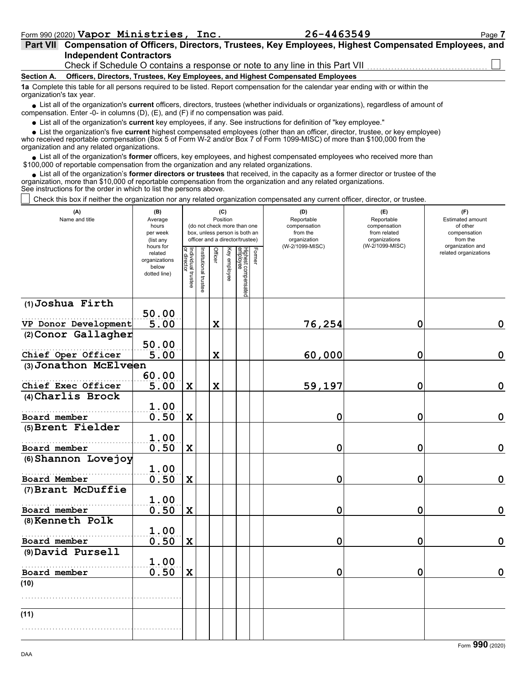| Part VII Compensation of Officers, Directors, Trustees, Key Employees, Highest Compensated Employees, and                         |
|-----------------------------------------------------------------------------------------------------------------------------------|
| <b>Independent Contractors</b>                                                                                                    |
| Check if Schedule O contains a response or note to any line in this Part VII                                                      |
| Section A. Officers, Directors, Trustees, Key Employees, and Highest Compensated Employees                                        |
| 1a Complete this table for all persons required to be listed. Report compensation for the calendar year ending with or within the |

■ List all of the organization's **current** officers, directors, trustees (whether individuals or organizations), regardless of amount of compensation. Enter -0- in columns (D), (E), and (F) if no compensation was paid. organization's tax year.

List all of the organization's **current** key employees, if any. See instructions for definition of "key employee."

■ List all of the organization's **current** key employees, if any. See instructions for definition of "key employee."<br>■ List the organization's five **current** highest compensated employees (other than an officer, director,

who received reportable compensation (Box 5 of Form W-2 and/or Box 7 of Form 1099-MISC) of more than \$100,000 from the organization and any related organizations.

• List all of the organization's **former** officers, key employees, and highest compensated employees who received more than<br>00,000 of reportable compensation from the organization and any related erganizations. \$100,000 of reportable compensation from the organization and any related organizations.

• List all of the organization's **former directors or trustees** that received, in the capacity as a former director or trustee of the anization more than \$10,000 of reportable compensation from the organization and any rel organization, more than \$10,000 of reportable compensation from the organization and any related organizations. See instructions for the order in which to list the persons above.

Check this box if neither the organization nor any related organization compensated any current officer, director, or trustee.

| (A)<br>Name and title             | (B)<br>Average<br>hours<br>per week<br>(list any               |                                   |                      | (C)<br>Position<br>(do not check more than one<br>box, unless person is both an<br>officer and a director/trustee) |              |                                 |        | (D)<br>Reportable<br>compensation<br>from the<br>organization<br>(W-2/1099-MISC) | (E)<br>Reportable<br>compensation<br>from related<br>organizations<br>(W-2/1099-MISC) | (F)<br>Estimated amount<br>of other<br>compensation<br>from the |  |
|-----------------------------------|----------------------------------------------------------------|-----------------------------------|----------------------|--------------------------------------------------------------------------------------------------------------------|--------------|---------------------------------|--------|----------------------------------------------------------------------------------|---------------------------------------------------------------------------------------|-----------------------------------------------------------------|--|
|                                   | hours for<br>related<br>organizations<br>below<br>dotted line) | Individual trustee<br>or director | nstitutional trustee | Officer                                                                                                            | Key employee | Highest compensated<br>employee | Former |                                                                                  |                                                                                       | organization and<br>related organizations                       |  |
| (1) Joshua Firth                  |                                                                |                                   |                      |                                                                                                                    |              |                                 |        |                                                                                  |                                                                                       |                                                                 |  |
| VP Donor Development              | 50.00<br>5.00                                                  |                                   |                      | $\mathbf x$                                                                                                        |              |                                 |        | 76,254                                                                           | $\mathbf 0$                                                                           | 0                                                               |  |
| (2) Conor Gallagher               |                                                                |                                   |                      |                                                                                                                    |              |                                 |        |                                                                                  |                                                                                       |                                                                 |  |
|                                   | 50.00                                                          |                                   |                      |                                                                                                                    |              |                                 |        |                                                                                  |                                                                                       |                                                                 |  |
| Chief Oper Officer                | 5.00                                                           |                                   |                      | $\mathbf x$                                                                                                        |              |                                 |        | 60,000                                                                           | 0                                                                                     | $\mathbf 0$                                                     |  |
| (3) Jonathon McElveen             | 60.00                                                          |                                   |                      |                                                                                                                    |              |                                 |        |                                                                                  |                                                                                       |                                                                 |  |
| Chief Exec Officer                | 5.00                                                           | X                                 |                      | $\mathbf x$                                                                                                        |              |                                 |        | 59,197                                                                           | 0                                                                                     | $\mathbf 0$                                                     |  |
| (4) Charlis Brock                 |                                                                |                                   |                      |                                                                                                                    |              |                                 |        |                                                                                  |                                                                                       |                                                                 |  |
|                                   | 1.00                                                           |                                   |                      |                                                                                                                    |              |                                 |        |                                                                                  |                                                                                       |                                                                 |  |
| Board member<br>(5) Brent Fielder | 0.50                                                           | X                                 |                      |                                                                                                                    |              |                                 |        | $\mathbf 0$                                                                      | 0                                                                                     | $\mathbf 0$                                                     |  |
|                                   | 1.00                                                           |                                   |                      |                                                                                                                    |              |                                 |        |                                                                                  |                                                                                       |                                                                 |  |
| Board member                      | 0.50                                                           | $\mathbf x$                       |                      |                                                                                                                    |              |                                 |        | 0                                                                                | 0                                                                                     | $\mathbf 0$                                                     |  |
| (6) Shannon Lovejoy               |                                                                |                                   |                      |                                                                                                                    |              |                                 |        |                                                                                  |                                                                                       |                                                                 |  |
| Board Member                      | 1.00<br>0.50                                                   | X                                 |                      |                                                                                                                    |              |                                 |        | 0                                                                                | 0                                                                                     | $\mathbf 0$                                                     |  |
| (7) Brant McDuffie                |                                                                |                                   |                      |                                                                                                                    |              |                                 |        |                                                                                  |                                                                                       |                                                                 |  |
|                                   | 1.00                                                           |                                   |                      |                                                                                                                    |              |                                 |        |                                                                                  |                                                                                       |                                                                 |  |
| Board member                      | 0.50                                                           | $\mathbf X$                       |                      |                                                                                                                    |              |                                 |        | 0                                                                                | 0                                                                                     | $\mathbf 0$                                                     |  |
| (8) Kenneth Polk                  |                                                                |                                   |                      |                                                                                                                    |              |                                 |        |                                                                                  |                                                                                       |                                                                 |  |
| Board member                      | 1.00<br>0.50                                                   | X                                 |                      |                                                                                                                    |              |                                 |        | $\mathbf 0$                                                                      | $\mathbf 0$                                                                           | $\mathbf 0$                                                     |  |
| (9) David Pursell                 |                                                                |                                   |                      |                                                                                                                    |              |                                 |        |                                                                                  |                                                                                       |                                                                 |  |
|                                   | 1.00                                                           |                                   |                      |                                                                                                                    |              |                                 |        |                                                                                  |                                                                                       |                                                                 |  |
| Board member                      | 0.50                                                           | X                                 |                      |                                                                                                                    |              |                                 |        | 0                                                                                | 0                                                                                     | $\mathbf 0$                                                     |  |
| (10)                              |                                                                |                                   |                      |                                                                                                                    |              |                                 |        |                                                                                  |                                                                                       |                                                                 |  |
|                                   |                                                                |                                   |                      |                                                                                                                    |              |                                 |        |                                                                                  |                                                                                       |                                                                 |  |
| (11)                              |                                                                |                                   |                      |                                                                                                                    |              |                                 |        |                                                                                  |                                                                                       |                                                                 |  |
|                                   |                                                                |                                   |                      |                                                                                                                    |              |                                 |        |                                                                                  |                                                                                       |                                                                 |  |
|                                   |                                                                |                                   |                      |                                                                                                                    |              |                                 |        |                                                                                  |                                                                                       |                                                                 |  |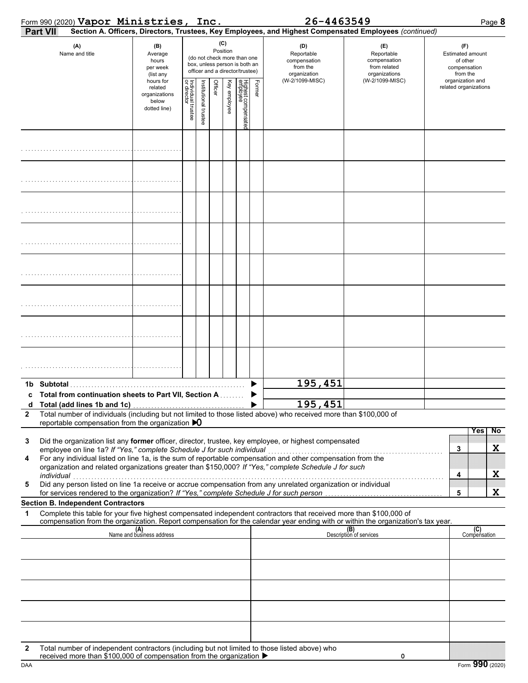|                   | Form 990 (2020) Vapor Ministries, Inc.                                                                                                                                                                                                                 |                                                                |                                                                                                                    |                      |         |              |                                 |        | 26-4463549                                                    |                                                                                                        | Page 8                                                                 |
|-------------------|--------------------------------------------------------------------------------------------------------------------------------------------------------------------------------------------------------------------------------------------------------|----------------------------------------------------------------|--------------------------------------------------------------------------------------------------------------------|----------------------|---------|--------------|---------------------------------|--------|---------------------------------------------------------------|--------------------------------------------------------------------------------------------------------|------------------------------------------------------------------------|
|                   | <b>Part VII</b>                                                                                                                                                                                                                                        |                                                                |                                                                                                                    |                      |         |              |                                 |        |                                                               | Section A. Officers, Directors, Trustees, Key Employees, and Highest Compensated Employees (continued) |                                                                        |
|                   | (A)<br>(B)<br>Name and title<br>Average<br>hours<br>per week<br>(list any                                                                                                                                                                              |                                                                | (C)<br>Position<br>(do not check more than one<br>box, unless person is both an<br>officer and a director/trustee) |                      |         |              |                                 |        | (D)<br>Reportable<br>compensation<br>from the<br>organization | (E)<br>Reportable<br>compensation<br>from related<br>organizations                                     | (F)<br><b>Estimated amount</b><br>of other<br>compensation<br>from the |
|                   |                                                                                                                                                                                                                                                        | hours for<br>related<br>organizations<br>below<br>dotted line) | Individual trustee<br>or director                                                                                  | nstitutional trustee | Officer | Key employee | Highest compensated<br>employee | Former | (W-2/1099-MISC)                                               | (W-2/1099-MISC)                                                                                        | organization and<br>related organizations                              |
|                   |                                                                                                                                                                                                                                                        |                                                                |                                                                                                                    |                      |         |              |                                 |        |                                                               |                                                                                                        |                                                                        |
|                   |                                                                                                                                                                                                                                                        |                                                                |                                                                                                                    |                      |         |              |                                 |        |                                                               |                                                                                                        |                                                                        |
|                   |                                                                                                                                                                                                                                                        |                                                                |                                                                                                                    |                      |         |              |                                 |        |                                                               |                                                                                                        |                                                                        |
|                   |                                                                                                                                                                                                                                                        |                                                                |                                                                                                                    |                      |         |              |                                 |        |                                                               |                                                                                                        |                                                                        |
|                   |                                                                                                                                                                                                                                                        |                                                                |                                                                                                                    |                      |         |              |                                 |        |                                                               |                                                                                                        |                                                                        |
|                   |                                                                                                                                                                                                                                                        |                                                                |                                                                                                                    |                      |         |              |                                 |        |                                                               |                                                                                                        |                                                                        |
|                   |                                                                                                                                                                                                                                                        |                                                                |                                                                                                                    |                      |         |              |                                 |        |                                                               |                                                                                                        |                                                                        |
|                   |                                                                                                                                                                                                                                                        |                                                                |                                                                                                                    |                      |         |              |                                 |        |                                                               |                                                                                                        |                                                                        |
|                   |                                                                                                                                                                                                                                                        |                                                                |                                                                                                                    |                      |         |              |                                 |        | 195,451                                                       |                                                                                                        |                                                                        |
|                   | c Total from continuation sheets to Part VII, Section A                                                                                                                                                                                                |                                                                |                                                                                                                    |                      |         |              |                                 |        | 195,451                                                       |                                                                                                        |                                                                        |
| d<br>$\mathbf{2}$ | Total (add lines 1b and 1c)<br>Total number of individuals (including but not limited to those listed above) who received more than \$100,000 of                                                                                                       |                                                                |                                                                                                                    |                      |         |              |                                 |        |                                                               |                                                                                                        |                                                                        |
|                   | reportable compensation from the organization $\bigtriangledown$                                                                                                                                                                                       |                                                                |                                                                                                                    |                      |         |              |                                 |        |                                                               |                                                                                                        | <b>Yes</b><br>No                                                       |
| 3                 | Did the organization list any former officer, director, trustee, key employee, or highest compensated<br>employee on line 1a? If "Yes," complete Schedule J for such individual                                                                        |                                                                |                                                                                                                    |                      |         |              |                                 |        |                                                               |                                                                                                        | X<br>3                                                                 |
| 4                 | For any individual listed on line 1a, is the sum of reportable compensation and other compensation from the                                                                                                                                            |                                                                |                                                                                                                    |                      |         |              |                                 |        |                                                               |                                                                                                        |                                                                        |
|                   | organization and related organizations greater than \$150,000? If "Yes," complete Schedule J for such<br>individual                                                                                                                                    |                                                                |                                                                                                                    |                      |         |              |                                 |        |                                                               |                                                                                                        | X<br>4                                                                 |
| 5                 | marvidual<br>Did any person listed on line 1a receive or accrue compensation from any unrelated organization or individual                                                                                                                             |                                                                |                                                                                                                    |                      |         |              |                                 |        |                                                               |                                                                                                        | X<br>5                                                                 |
|                   | <b>Section B. Independent Contractors</b>                                                                                                                                                                                                              |                                                                |                                                                                                                    |                      |         |              |                                 |        |                                                               |                                                                                                        |                                                                        |
| 1                 | Complete this table for your five highest compensated independent contractors that received more than \$100,000 of<br>compensation from the organization. Report compensation for the calendar year ending with or within the organization's tax year. |                                                                |                                                                                                                    |                      |         |              |                                 |        |                                                               |                                                                                                        |                                                                        |
|                   |                                                                                                                                                                                                                                                        | $(A)$<br>Name and business address                             |                                                                                                                    |                      |         |              |                                 |        |                                                               | (B)<br>Description of services                                                                         | (C)<br>Compensation                                                    |
|                   |                                                                                                                                                                                                                                                        |                                                                |                                                                                                                    |                      |         |              |                                 |        |                                                               |                                                                                                        |                                                                        |
|                   |                                                                                                                                                                                                                                                        |                                                                |                                                                                                                    |                      |         |              |                                 |        |                                                               |                                                                                                        |                                                                        |
|                   |                                                                                                                                                                                                                                                        |                                                                |                                                                                                                    |                      |         |              |                                 |        |                                                               |                                                                                                        |                                                                        |
|                   |                                                                                                                                                                                                                                                        |                                                                |                                                                                                                    |                      |         |              |                                 |        |                                                               |                                                                                                        |                                                                        |
| $\mathbf{2}$      | Total number of independent contractors (including but not limited to those listed above) who<br>received more than \$100,000 of compensation from the organization ▶                                                                                  |                                                                |                                                                                                                    |                      |         |              |                                 |        |                                                               | 0                                                                                                      |                                                                        |

| received more than \$100,000 of compensation from the organization f |                      |
|----------------------------------------------------------------------|----------------------|
| DAA                                                                  | nn<br>(2020)<br>Form |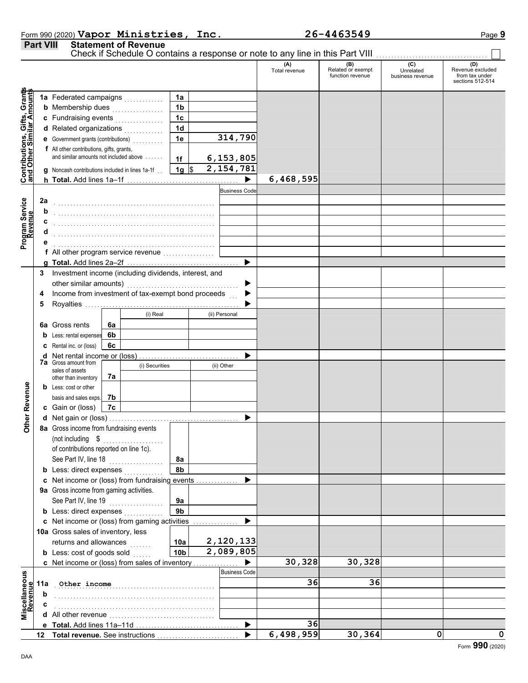|  | Form 990 $(2020)$ $Vapor$ $Ministries$ , | Inc. | 26-4463549 | Page <b>9</b> |
|--|------------------------------------------|------|------------|---------------|
|  |                                          |      |            |               |

**Part VIII Statement of Revenue**

|                                                                  |             |                                                               |          |                |                  |                      | Check if Schedule O contains a response or note to any line in this Part VIII |                                              |                                      |                                                               |
|------------------------------------------------------------------|-------------|---------------------------------------------------------------|----------|----------------|------------------|----------------------|-------------------------------------------------------------------------------|----------------------------------------------|--------------------------------------|---------------------------------------------------------------|
|                                                                  |             |                                                               |          |                |                  |                      | (A)<br>Total revenue                                                          | (B)<br>Related or exempt<br>function revenue | (C)<br>Unrelated<br>business revenue | (D)<br>Revenue excluded<br>from tax under<br>sections 512-514 |
|                                                                  |             | 1a Federated campaigns                                        |          |                | 1a               |                      |                                                                               |                                              |                                      |                                                               |
| <b>Contributions, Gifts, Grants</b><br>and Other Similar Amounts |             | <b>b</b> Membership dues                                      |          | .              | 1 <sub>b</sub>   |                      |                                                                               |                                              |                                      |                                                               |
|                                                                  |             | c Fundraising events                                          |          |                | 1 <sub>c</sub>   |                      |                                                                               |                                              |                                      |                                                               |
|                                                                  |             | d Related organizations                                       |          |                | 1 <sub>d</sub>   |                      |                                                                               |                                              |                                      |                                                               |
|                                                                  |             | e Government grants (contributions)<br>                       |          |                | 1e               | 314,790              |                                                                               |                                              |                                      |                                                               |
|                                                                  |             | f All other contributions, gifts, grants,                     |          |                |                  |                      |                                                                               |                                              |                                      |                                                               |
|                                                                  |             | and similar amounts not included above                        |          |                | 1f               | 6,153,805            |                                                                               |                                              |                                      |                                                               |
|                                                                  | g           | Noncash contributions included in lines 1a-1f                 |          |                | 1g $\frac{1}{3}$ | 2, 154, 781          |                                                                               |                                              |                                      |                                                               |
|                                                                  |             |                                                               |          |                |                  |                      | 6,468,595                                                                     |                                              |                                      |                                                               |
|                                                                  |             |                                                               |          |                |                  | <b>Business Code</b> |                                                                               |                                              |                                      |                                                               |
|                                                                  | 2a          |                                                               |          |                |                  |                      |                                                                               |                                              |                                      |                                                               |
| Program Service<br>Revenue                                       | b           |                                                               |          |                |                  |                      |                                                                               |                                              |                                      |                                                               |
|                                                                  | c           |                                                               |          |                |                  |                      |                                                                               |                                              |                                      |                                                               |
|                                                                  | d           |                                                               |          |                |                  |                      |                                                                               |                                              |                                      |                                                               |
|                                                                  |             |                                                               |          |                |                  |                      |                                                                               |                                              |                                      |                                                               |
|                                                                  |             | f All other program service revenue                           |          |                |                  |                      |                                                                               |                                              |                                      |                                                               |
|                                                                  |             |                                                               |          |                |                  | ▶                    |                                                                               |                                              |                                      |                                                               |
|                                                                  | 3           | Investment income (including dividends, interest, and         |          |                |                  |                      |                                                                               |                                              |                                      |                                                               |
|                                                                  |             | other similar amounts)                                        |          |                |                  |                      |                                                                               |                                              |                                      |                                                               |
|                                                                  | 4           | Income from investment of tax-exempt bond proceeds            |          |                |                  |                      |                                                                               |                                              |                                      |                                                               |
|                                                                  |             |                                                               |          | (i) Real       |                  |                      |                                                                               |                                              |                                      |                                                               |
|                                                                  |             |                                                               |          |                |                  | (ii) Personal        |                                                                               |                                              |                                      |                                                               |
|                                                                  | 6а          | Gross rents                                                   | 6a       |                |                  |                      |                                                                               |                                              |                                      |                                                               |
|                                                                  |             | Less: rental expenses                                         | 6b<br>6c |                |                  |                      |                                                                               |                                              |                                      |                                                               |
|                                                                  |             | Rental inc. or (loss)<br><b>d</b> Net rental income or (loss) |          |                |                  |                      |                                                                               |                                              |                                      |                                                               |
|                                                                  |             | <b>7a</b> Gross amount from                                   |          | (i) Securities |                  | (ii) Other           |                                                                               |                                              |                                      |                                                               |
|                                                                  |             | sales of assets                                               | 7a       |                |                  |                      |                                                                               |                                              |                                      |                                                               |
|                                                                  |             | other than inventory<br><b>b</b> Less: cost or other          |          |                |                  |                      |                                                                               |                                              |                                      |                                                               |
| <b>Other Revenue</b>                                             |             | basis and sales exps.                                         | 7b       |                |                  |                      |                                                                               |                                              |                                      |                                                               |
|                                                                  |             | c Gain or (loss)                                              | 7c       |                |                  |                      |                                                                               |                                              |                                      |                                                               |
|                                                                  |             |                                                               |          |                |                  |                      |                                                                               |                                              |                                      |                                                               |
|                                                                  |             | 8a Gross income from fundraising events                       |          |                |                  |                      |                                                                               |                                              |                                      |                                                               |
|                                                                  |             |                                                               |          |                |                  |                      |                                                                               |                                              |                                      |                                                               |
|                                                                  |             | of contributions reported on line 1c).                        |          |                |                  |                      |                                                                               |                                              |                                      |                                                               |
|                                                                  |             | See Part IV, line 18                                          |          |                | 8а               |                      |                                                                               |                                              |                                      |                                                               |
|                                                                  |             | <b>b</b> Less: direct expenses                                |          |                | 8b               |                      |                                                                               |                                              |                                      |                                                               |
|                                                                  |             | c Net income or (loss) from fundraising events                |          |                |                  |                      |                                                                               |                                              |                                      |                                                               |
|                                                                  |             | 9a Gross income from gaming activities.                       |          |                |                  |                      |                                                                               |                                              |                                      |                                                               |
|                                                                  |             | See Part IV, line 19                                          |          |                | 9a               |                      |                                                                               |                                              |                                      |                                                               |
|                                                                  |             | <b>b</b> Less: direct expenses                                |          |                | 9 <sub>b</sub>   |                      |                                                                               |                                              |                                      |                                                               |
|                                                                  |             | c Net income or (loss) from gaming activities                 |          |                |                  |                      |                                                                               |                                              |                                      |                                                               |
|                                                                  |             | 10a Gross sales of inventory, less                            |          |                |                  |                      |                                                                               |                                              |                                      |                                                               |
|                                                                  |             | returns and allowances                                        |          |                | 10a              | 2,120,133            |                                                                               |                                              |                                      |                                                               |
|                                                                  |             | <b>b</b> Less: cost of goods sold                             |          |                | 10 <sub>b</sub>  | 2,089,805            |                                                                               |                                              |                                      |                                                               |
|                                                                  |             | c Net income or (loss) from sales of inventory                |          |                |                  |                      | 30,328                                                                        | 30,328                                       |                                      |                                                               |
| Miscellaneous<br>Revenue                                         |             |                                                               |          |                |                  | <b>Business Code</b> |                                                                               |                                              |                                      |                                                               |
|                                                                  | 11a         | Other income                                                  |          |                |                  |                      | 36                                                                            | 36                                           |                                      |                                                               |
|                                                                  | $\mathbf b$ |                                                               |          |                |                  |                      |                                                                               |                                              |                                      |                                                               |
|                                                                  |             |                                                               |          |                |                  |                      |                                                                               |                                              |                                      |                                                               |
|                                                                  |             |                                                               |          |                |                  |                      | 36                                                                            |                                              |                                      |                                                               |
|                                                                  | 12          |                                                               |          |                |                  | ▶                    | 6,498,959                                                                     | 30,364                                       | 0                                    | 0                                                             |
|                                                                  |             |                                                               |          |                |                  |                      |                                                                               |                                              |                                      |                                                               |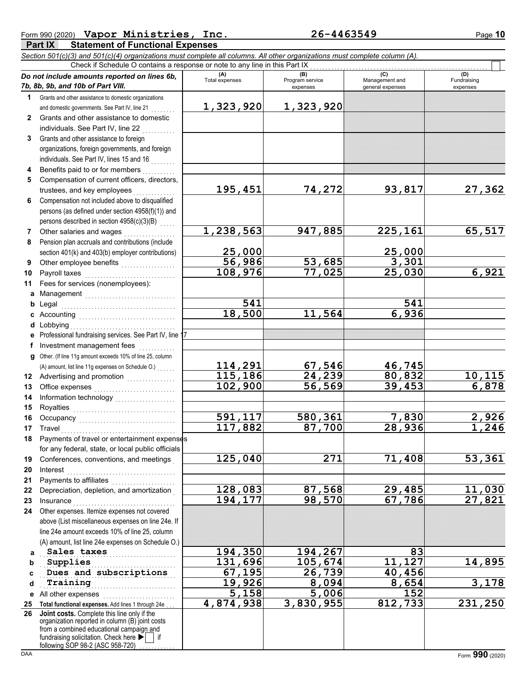| Form 990 (2020) Vapor Ministries,                         | 26-4463549 | Page 10 |
|-----------------------------------------------------------|------------|---------|
| <b>Part IX</b><br><b>Statement of Functional Expenses</b> |            |         |

*Section 501(c)(3) and 501(c)(4) organizations must complete all columns. All other organizations must complete column (A).* Check if Schedule O contains a response or note to any line in this Part IX

|              | Do not include amounts reported on lines 6b,<br>7b, 8b, 9b, and 10b of Part VIII.                                                                                                                              | (A)<br><b>Total expenses</b> | (B)<br>Program service<br>expenses | (C)<br>Management and<br>general expenses | (D)<br>Fundraising<br>expenses |
|--------------|----------------------------------------------------------------------------------------------------------------------------------------------------------------------------------------------------------------|------------------------------|------------------------------------|-------------------------------------------|--------------------------------|
|              | 1 Grants and other assistance to domestic organizations                                                                                                                                                        |                              |                                    |                                           |                                |
|              | and domestic governments. See Part IV, line 21                                                                                                                                                                 | 1,323,920                    | 1,323,920                          |                                           |                                |
| $\mathbf{2}$ | Grants and other assistance to domestic                                                                                                                                                                        |                              |                                    |                                           |                                |
|              | individuals. See Part IV, line 22                                                                                                                                                                              |                              |                                    |                                           |                                |
| 3.           | Grants and other assistance to foreign                                                                                                                                                                         |                              |                                    |                                           |                                |
|              | organizations, foreign governments, and foreign                                                                                                                                                                |                              |                                    |                                           |                                |
|              | individuals. See Part IV, lines 15 and 16                                                                                                                                                                      |                              |                                    |                                           |                                |
| 4            | Benefits paid to or for members                                                                                                                                                                                |                              |                                    |                                           |                                |
| 5            | Compensation of current officers, directors,                                                                                                                                                                   |                              |                                    |                                           |                                |
|              | trustees, and key employees                                                                                                                                                                                    | 195,451                      | 74,272                             | 93,817                                    | 27,362                         |
| 6            | Compensation not included above to disqualified                                                                                                                                                                |                              |                                    |                                           |                                |
|              | persons (as defined under section 4958(f)(1)) and                                                                                                                                                              |                              |                                    |                                           |                                |
|              | persons described in section 4958(c)(3)(B)                                                                                                                                                                     |                              |                                    |                                           |                                |
| 7            | Other salaries and wages                                                                                                                                                                                       | 1,238,563                    | 947,885                            | 225,161                                   | 65,517                         |
| 8            | Pension plan accruals and contributions (include                                                                                                                                                               |                              |                                    |                                           |                                |
|              | section 401(k) and 403(b) employer contributions)                                                                                                                                                              | 25,000                       |                                    | 25,000                                    |                                |
| 9            |                                                                                                                                                                                                                | 56,986                       | $\overline{53,685}$                | 3,301                                     |                                |
| 10           |                                                                                                                                                                                                                | 108,976                      | 77,025                             | 25,030                                    | 6,921                          |
| 11           | Fees for services (nonemployees):                                                                                                                                                                              |                              |                                    |                                           |                                |
|              |                                                                                                                                                                                                                |                              |                                    |                                           |                                |
|              |                                                                                                                                                                                                                | 541                          |                                    | 541                                       |                                |
| b            |                                                                                                                                                                                                                | 18,500                       | 11,564                             | 6,936                                     |                                |
| c            |                                                                                                                                                                                                                |                              |                                    |                                           |                                |
| d            | Lobbying<br>Professional fundraising services. See Part IV, line 17                                                                                                                                            |                              |                                    |                                           |                                |
| е            |                                                                                                                                                                                                                |                              |                                    |                                           |                                |
| f.           | Investment management fees                                                                                                                                                                                     |                              |                                    |                                           |                                |
| a            | Other. (If line 11g amount exceeds 10% of line 25, column                                                                                                                                                      | 114,291                      |                                    | 46,745                                    |                                |
|              |                                                                                                                                                                                                                | 115,186                      | 67,546<br>24,239                   | 80,832                                    | 10,115                         |
| 12           | Advertising and promotion<br>                                                                                                                                                                                  | 102,900                      | 56,569                             | 39,453                                    | 6,878                          |
| 13           |                                                                                                                                                                                                                |                              |                                    |                                           |                                |
| 14           |                                                                                                                                                                                                                |                              |                                    |                                           |                                |
| 15           |                                                                                                                                                                                                                | 591,117                      |                                    |                                           |                                |
| 16           | Occupancy                                                                                                                                                                                                      |                              | 580,361                            | 7,830<br>28,936                           | <u>2,926</u><br>1,246          |
| 17           | Travel                                                                                                                                                                                                         | 117,882                      | 87,700                             |                                           |                                |
| 18           | Payments of travel or entertainment expenses                                                                                                                                                                   |                              |                                    |                                           |                                |
|              | for any federal, state, or local public officials                                                                                                                                                              |                              |                                    |                                           |                                |
| 19           | Conferences, conventions, and meetings                                                                                                                                                                         | 125,040                      | 271                                | 71,408                                    | 53,361                         |
| 20           | Interest                                                                                                                                                                                                       |                              |                                    |                                           |                                |
| 21           | Payments to affiliates                                                                                                                                                                                         |                              |                                    |                                           |                                |
| 22           | Depreciation, depletion, and amortization                                                                                                                                                                      | 128,083<br>194,177           | 87,568<br>98,570                   | 29,485<br>67,786                          | 11,030<br>27,821               |
| 23           | Insurance                                                                                                                                                                                                      |                              |                                    |                                           |                                |
| 24           | Other expenses. Itemize expenses not covered                                                                                                                                                                   |                              |                                    |                                           |                                |
|              | above (List miscellaneous expenses on line 24e. If                                                                                                                                                             |                              |                                    |                                           |                                |
|              | line 24e amount exceeds 10% of line 25, column<br>(A) amount, list line 24e expenses on Schedule O.)                                                                                                           |                              |                                    |                                           |                                |
|              | Sales taxes                                                                                                                                                                                                    | 194,350                      | 194,267                            | 83                                        |                                |
| a            |                                                                                                                                                                                                                |                              |                                    | 127<br>11                                 |                                |
| b            | Supplies<br>Dues and subscriptions                                                                                                                                                                             | 131,696                      | 105,674                            |                                           | 14,895                         |
| C            |                                                                                                                                                                                                                | 67,195                       | 26,739                             | 40,456                                    |                                |
| d            | Training                                                                                                                                                                                                       | 19,926                       | 8,094                              | 8,654                                     | 3,178                          |
| е            | All other expenses                                                                                                                                                                                             | 5,158                        | 5,006                              | 152                                       |                                |
| 25           | Total functional expenses. Add lines 1 through 24e                                                                                                                                                             | 4,874,938                    | 3,830,955                          | 812,733                                   | 231,250                        |
| 26           | Joint costs. Complete this line only if the<br>organization reported in column (B) joint costs<br>from a combined educational campaign and<br>fundraising solicitation. Check here $\blacktriangleright$<br>if |                              |                                    |                                           |                                |
|              | following SOP 98-2 (ASC 958-720)                                                                                                                                                                               |                              |                                    |                                           |                                |

┐  $\mathbf{L}$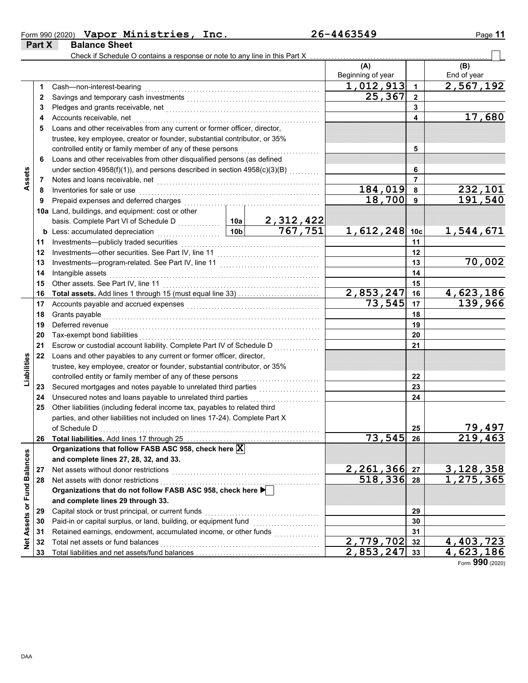|        | Form 990 (2020) Vapor Ministries, | Inc. | 26-4463549 | Page 11 |
|--------|-----------------------------------|------|------------|---------|
| Part X | <b>Balance Sheet</b>              |      |            |         |

|                    |    | Check if Schedule O contains a response or note to any line in this Part X                                                                                                                                                     |                 |                         |                           |                 |                        |
|--------------------|----|--------------------------------------------------------------------------------------------------------------------------------------------------------------------------------------------------------------------------------|-----------------|-------------------------|---------------------------|-----------------|------------------------|
|                    |    |                                                                                                                                                                                                                                |                 |                         | (A)                       |                 | (B)                    |
|                    |    |                                                                                                                                                                                                                                |                 |                         | Beginning of year         |                 | End of year            |
|                    | 1. | Cash-non-interest-bearing                                                                                                                                                                                                      |                 |                         | 1,012,913                 | 1               | 2,567,192              |
|                    | 2  | Savings and temporary cash investments [[11][11] contracts and temporary cash investments [[11] contracts and temporary cash investments and temporary cash in the state of the state of the state of the state of the state o |                 |                         | 25,367                    | $\mathbf{2}$    |                        |
|                    | 3  |                                                                                                                                                                                                                                |                 | 3                       |                           |                 |                        |
|                    | 4  | Accounts receivable, net                                                                                                                                                                                                       |                 |                         |                           | 4               | 17,680                 |
|                    | 5  | Loans and other receivables from any current or former officer, director,                                                                                                                                                      |                 |                         |                           |                 |                        |
|                    |    | trustee, key employee, creator or founder, substantial contributor, or 35%                                                                                                                                                     |                 |                         |                           |                 |                        |
|                    |    | controlled entity or family member of any of these persons                                                                                                                                                                     |                 |                         |                           | 5               |                        |
|                    | 6  | Loans and other receivables from other disqualified persons (as defined                                                                                                                                                        |                 |                         |                           |                 |                        |
|                    |    | under section $4958(f)(1)$ ), and persons described in section $4958(c)(3)(B)$                                                                                                                                                 |                 |                         |                           | 6               |                        |
| Assets             | 7  |                                                                                                                                                                                                                                |                 |                         |                           | 7               |                        |
|                    | 8  | Inventories for sale or use                                                                                                                                                                                                    |                 |                         | 184,019                   | 8               | 232,101                |
|                    | 9  | Prepaid expenses and deferred charges                                                                                                                                                                                          |                 |                         | 18,700                    | 9               | 191,540                |
|                    |    | 10a Land, buildings, and equipment: cost or other                                                                                                                                                                              |                 |                         |                           |                 |                        |
|                    |    | basis. Complete Part VI of Schedule D                                                                                                                                                                                          | 10a             |                         |                           |                 |                        |
|                    |    | <b>b</b> Less: accumulated depreciation                                                                                                                                                                                        | 10 <sub>b</sub> | 2, 312, 422<br>767, 751 | 1,612,248                 | 10 <sub>c</sub> | 1,544,671              |
|                    | 11 | Investments-publicly traded securities                                                                                                                                                                                         |                 |                         |                           | 11              |                        |
|                    | 12 | Investments-other securities. See Part IV, line 11                                                                                                                                                                             |                 |                         |                           | 12              |                        |
|                    | 13 |                                                                                                                                                                                                                                |                 |                         |                           | 13              | 70,002                 |
|                    | 14 | Intangible assets                                                                                                                                                                                                              |                 |                         |                           | 14              |                        |
|                    | 15 | Other assets. See Part IV, line 11                                                                                                                                                                                             |                 |                         |                           | 15              |                        |
|                    | 16 |                                                                                                                                                                                                                                |                 |                         | $\overline{2,853,247}$    | 16              | 4,623,186              |
|                    | 17 |                                                                                                                                                                                                                                |                 | 73,545                  | 17                        | 139,966         |                        |
|                    | 18 | Grants payable                                                                                                                                                                                                                 |                 |                         |                           | 18              |                        |
|                    | 19 | Deferred revenue                                                                                                                                                                                                               |                 |                         |                           | 19              |                        |
|                    | 20 | Tax-exempt bond liabilities                                                                                                                                                                                                    |                 |                         |                           | 20              |                        |
|                    | 21 | Escrow or custodial account liability. Complete Part IV of Schedule D                                                                                                                                                          |                 |                         |                           | 21              |                        |
|                    | 22 | Loans and other payables to any current or former officer, director,                                                                                                                                                           |                 |                         |                           |                 |                        |
| Liabilities        |    | trustee, key employee, creator or founder, substantial contributor, or 35%                                                                                                                                                     |                 |                         |                           |                 |                        |
|                    |    | controlled entity or family member of any of these persons                                                                                                                                                                     |                 |                         |                           | 22              |                        |
|                    | 23 | Secured mortgages and notes payable to unrelated third parties                                                                                                                                                                 |                 |                         |                           | 23              |                        |
|                    | 24 | Unsecured notes and loans payable to unrelated third parties                                                                                                                                                                   |                 |                         |                           | 24              |                        |
|                    | 25 | Other liabilities (including federal income tax, payables to related third                                                                                                                                                     |                 |                         |                           |                 |                        |
|                    |    | parties, and other liabilities not included on lines 17-24). Complete Part X                                                                                                                                                   |                 |                         |                           |                 |                        |
|                    |    | of Schedule D<br><br><u> </u>                                                                                                                                                                                                  |                 |                         |                           | 25              | 79,497                 |
|                    | 26 | Total liabilities. Add lines 17 through 25                                                                                                                                                                                     |                 |                         | 73,545                    | 26              | <u>219,463</u>         |
|                    |    | Organizations that follow FASB ASC 958, check here X                                                                                                                                                                           |                 |                         |                           |                 |                        |
| <b>Balances</b>    |    | and complete lines 27, 28, 32, and 33.                                                                                                                                                                                         |                 |                         |                           |                 |                        |
|                    | 27 | Net assets without donor restrictions                                                                                                                                                                                          |                 |                         | 2,261,366                 | 27              | 3,128,358              |
|                    | 28 | Net assets with donor restrictions                                                                                                                                                                                             |                 |                         | 518,336                   | 28              | $\overline{1,275,365}$ |
|                    |    | Organizations that do not follow FASB ASC 958, check here                                                                                                                                                                      |                 |                         |                           |                 |                        |
|                    |    | and complete lines 29 through 33.                                                                                                                                                                                              |                 |                         |                           |                 |                        |
|                    | 29 | Capital stock or trust principal, or current funds                                                                                                                                                                             |                 |                         |                           | 29              |                        |
|                    | 30 | Paid-in or capital surplus, or land, building, or equipment fund                                                                                                                                                               |                 |                         |                           | 30              |                        |
|                    | 31 | Retained earnings, endowment, accumulated income, or other funds                                                                                                                                                               |                 |                         |                           | 31              |                        |
| Net Assets or Fund | 32 | Total net assets or fund balances                                                                                                                                                                                              |                 |                         | $\overline{2}$ , 779, 702 | 32              | 4,403,723              |
|                    | 33 |                                                                                                                                                                                                                                |                 |                         | 2,853,247                 | 33              | 4,623,186              |

Form **990** (2020)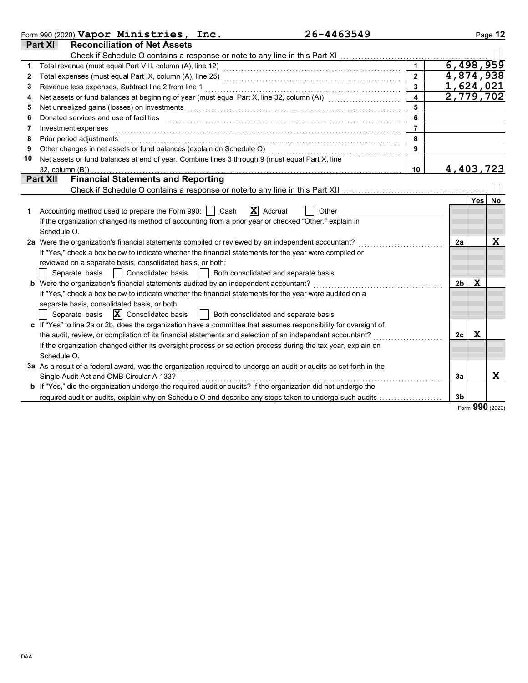|              | 26-4463549<br>Form 990 (2020) $Vapor$ Ministries, Inc.                                                                                                                                                                         |                         |                |             | Page 12 |
|--------------|--------------------------------------------------------------------------------------------------------------------------------------------------------------------------------------------------------------------------------|-------------------------|----------------|-------------|---------|
|              | <b>Reconciliation of Net Assets</b><br>Part XI                                                                                                                                                                                 |                         |                |             |         |
|              | Check if Schedule O contains a response or note to any line in this Part XI                                                                                                                                                    |                         |                |             |         |
| 1            |                                                                                                                                                                                                                                | $\mathbf{1}$            | 6,498,959      |             |         |
| $\mathbf{2}$ |                                                                                                                                                                                                                                | $\overline{2}$          | 4,874,938      |             |         |
| 3            | Revenue less expenses. Subtract line 2 from line 1                                                                                                                                                                             | $\mathbf{3}$            | 1,624,021      |             |         |
| 4            | Net assets or fund balances at beginning of year (must equal Part X, line 32, column (A)) [[[[[[[[[[[[[[[[[[[                                                                                                                  | $\overline{\mathbf{4}}$ | 2,779,702      |             |         |
| 5            | Net unrealized gains (losses) on investments [11] with the content of the content of the content of the content of the content of the content of the content of the content of the content of the content of the content of th | 5                       |                |             |         |
| 6            | Donated services and use of facilities                                                                                                                                                                                         | 6                       |                |             |         |
| 7            | Investment expenses                                                                                                                                                                                                            | $\overline{7}$          |                |             |         |
| 8            | Prior period adjustments                                                                                                                                                                                                       | 8                       |                |             |         |
| 9            | Other changes in net assets or fund balances (explain on Schedule O)                                                                                                                                                           | 9                       |                |             |         |
| 10           | Net assets or fund balances at end of year. Combine lines 3 through 9 (must equal Part X, line                                                                                                                                 |                         |                |             |         |
|              | 32, column (B))                                                                                                                                                                                                                | 10                      | 4,403,723      |             |         |
|              | <b>Financial Statements and Reporting</b><br><b>Part XII</b>                                                                                                                                                                   |                         |                |             |         |
|              |                                                                                                                                                                                                                                |                         |                |             |         |
|              |                                                                                                                                                                                                                                |                         |                | <b>Yes</b>  | No      |
| 1            | $ \mathbf{X} $ Accrual<br>Accounting method used to prepare the Form 990:    <br>Cash<br>Other                                                                                                                                 |                         |                |             |         |
|              | If the organization changed its method of accounting from a prior year or checked "Other," explain in                                                                                                                          |                         |                |             |         |
|              | Schedule O.                                                                                                                                                                                                                    |                         |                |             |         |
|              | 2a Were the organization's financial statements compiled or reviewed by an independent accountant?                                                                                                                             |                         | 2a             |             | X       |
|              | If "Yes," check a box below to indicate whether the financial statements for the year were compiled or                                                                                                                         |                         |                |             |         |
|              | reviewed on a separate basis, consolidated basis, or both:                                                                                                                                                                     |                         |                |             |         |
|              | Separate basis   Consolidated basis<br>  Both consolidated and separate basis                                                                                                                                                  |                         |                |             |         |
|              | b Were the organization's financial statements audited by an independent accountant?                                                                                                                                           |                         | 2 <sub>b</sub> | X           |         |
|              | If "Yes," check a box below to indicate whether the financial statements for the year were audited on a                                                                                                                        |                         |                |             |         |
|              | separate basis, consolidated basis, or both:                                                                                                                                                                                   |                         |                |             |         |
|              | $\overline{\mathbf{X}}$ Consolidated basis<br>Separate basis<br>Both consolidated and separate basis                                                                                                                           |                         |                |             |         |
|              | c If "Yes" to line 2a or 2b, does the organization have a committee that assumes responsibility for oversight of                                                                                                               |                         |                |             |         |
|              | the audit, review, or compilation of its financial statements and selection of an independent accountant?                                                                                                                      |                         | 2c             | $\mathbf x$ |         |
|              | If the organization changed either its oversight process or selection process during the tax year, explain on                                                                                                                  |                         |                |             |         |
|              | Schedule O.                                                                                                                                                                                                                    |                         |                |             |         |
|              | 3a As a result of a federal award, was the organization required to undergo an audit or audits as set forth in the                                                                                                             |                         |                |             |         |
|              | Single Audit Act and OMB Circular A-133?                                                                                                                                                                                       |                         | 3a             |             | X.      |
|              | <b>b</b> If "Yes," did the organization undergo the required audit or audits? If the organization did not undergo the                                                                                                          |                         |                |             |         |
|              | required audit or audits, explain why on Schedule O and describe any steps taken to undergo such audits                                                                                                                        |                         | 3 <sub>b</sub> |             |         |

Form **990** (2020)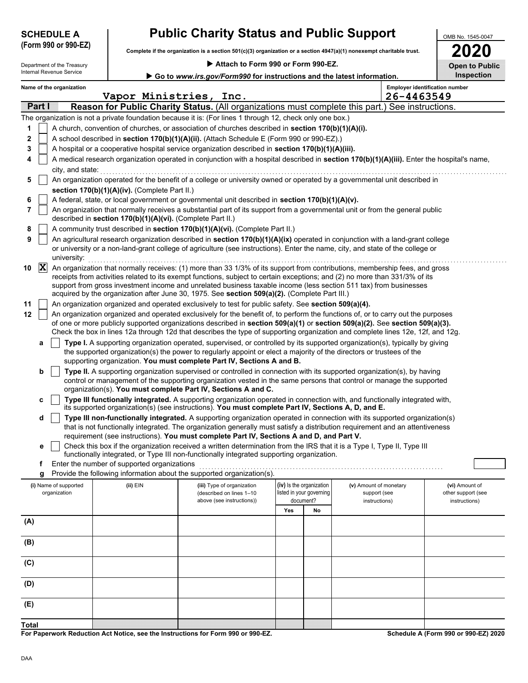| <b>SCHEDULE A</b>                      |  |  |
|----------------------------------------|--|--|
| $(F_{\alpha r}$ and $\alpha r$ and $F$ |  |  |

## **Public Charity Status and Public Support**

**Complete if the organization is a section 501(c)(3) organization or a section 4947(a)(1) nonexempt charitable trust. (Form 990 or 990-EZ)**

Department of the Treasury<br>Internal Revenue Service

Attach to Form 990 or Form 990-EZ.

| 2020                  |
|-----------------------|
| <b>Open to Public</b> |
| Inspection            |

OMB No. 1545-0047

| Go to www.irs.gov/Form990 for instructions and the latest information. |  |
|------------------------------------------------------------------------|--|
|                                                                        |  |

|     | Name of the organization<br><b>Employer identification number</b><br>26-4463549<br>Vapor Ministries,<br>Inc. |                       |                                                            |                                                                                                                                                                                                                                                                |     |                                       |                               |                                     |
|-----|--------------------------------------------------------------------------------------------------------------|-----------------------|------------------------------------------------------------|----------------------------------------------------------------------------------------------------------------------------------------------------------------------------------------------------------------------------------------------------------------|-----|---------------------------------------|-------------------------------|-------------------------------------|
|     | Part I                                                                                                       |                       |                                                            | Reason for Public Charity Status. (All organizations must complete this part.) See instructions.                                                                                                                                                               |     |                                       |                               |                                     |
|     |                                                                                                              |                       |                                                            | The organization is not a private foundation because it is: (For lines 1 through 12, check only one box.)                                                                                                                                                      |     |                                       |                               |                                     |
| 1   |                                                                                                              |                       |                                                            | A church, convention of churches, or association of churches described in section 170(b)(1)(A)(i).                                                                                                                                                             |     |                                       |                               |                                     |
| 2   |                                                                                                              |                       |                                                            | A school described in section 170(b)(1)(A)(ii). (Attach Schedule E (Form 990 or 990-EZ).)                                                                                                                                                                      |     |                                       |                               |                                     |
| 3   |                                                                                                              |                       |                                                            | A hospital or a cooperative hospital service organization described in section 170(b)(1)(A)(iii).                                                                                                                                                              |     |                                       |                               |                                     |
|     |                                                                                                              |                       |                                                            | A medical research organization operated in conjunction with a hospital described in section 170(b)(1)(A)(iii). Enter the hospital's name,                                                                                                                     |     |                                       |                               |                                     |
|     |                                                                                                              | city, and state:      |                                                            |                                                                                                                                                                                                                                                                |     |                                       |                               |                                     |
| 5   |                                                                                                              |                       |                                                            | An organization operated for the benefit of a college or university owned or operated by a governmental unit described in                                                                                                                                      |     |                                       |                               |                                     |
|     |                                                                                                              |                       | section 170(b)(1)(A)(iv). (Complete Part II.)              |                                                                                                                                                                                                                                                                |     |                                       |                               |                                     |
| 6   |                                                                                                              |                       |                                                            | A federal, state, or local government or governmental unit described in section 170(b)(1)(A)(v).                                                                                                                                                               |     |                                       |                               |                                     |
| 7   |                                                                                                              |                       | described in section 170(b)(1)(A)(vi). (Complete Part II.) | An organization that normally receives a substantial part of its support from a governmental unit or from the general public                                                                                                                                   |     |                                       |                               |                                     |
| 8   |                                                                                                              |                       |                                                            | A community trust described in section 170(b)(1)(A)(vi). (Complete Part II.)                                                                                                                                                                                   |     |                                       |                               |                                     |
| 9   |                                                                                                              |                       |                                                            | An agricultural research organization described in section 170(b)(1)(A)(ix) operated in conjunction with a land-grant college                                                                                                                                  |     |                                       |                               |                                     |
|     |                                                                                                              |                       |                                                            | or university or a non-land-grant college of agriculture (see instructions). Enter the name, city, and state of the college or                                                                                                                                 |     |                                       |                               |                                     |
|     |                                                                                                              | university:           |                                                            | An organization that normally receives: (1) more than 33 1/3% of its support from contributions, membership fees, and gross                                                                                                                                    |     |                                       |                               |                                     |
| 10  | $ {\bf X} $                                                                                                  |                       |                                                            | receipts from activities related to its exempt functions, subject to certain exceptions; and (2) no more than 331/3% of its                                                                                                                                    |     |                                       |                               |                                     |
|     |                                                                                                              |                       |                                                            | support from gross investment income and unrelated business taxable income (less section 511 tax) from businesses                                                                                                                                              |     |                                       |                               |                                     |
|     |                                                                                                              |                       |                                                            | acquired by the organization after June 30, 1975. See section 509(a)(2). (Complete Part III.)                                                                                                                                                                  |     |                                       |                               |                                     |
| 11  |                                                                                                              |                       |                                                            | An organization organized and operated exclusively to test for public safety. See section 509(a)(4).                                                                                                                                                           |     |                                       |                               |                                     |
| 12  |                                                                                                              |                       |                                                            | An organization organized and operated exclusively for the benefit of, to perform the functions of, or to carry out the purposes                                                                                                                               |     |                                       |                               |                                     |
|     |                                                                                                              |                       |                                                            | of one or more publicly supported organizations described in section 509(a)(1) or section 509(a)(2). See section 509(a)(3).<br>Check the box in lines 12a through 12d that describes the type of supporting organization and complete lines 12e, 12f, and 12g. |     |                                       |                               |                                     |
|     | а                                                                                                            |                       |                                                            | Type I. A supporting organization operated, supervised, or controlled by its supported organization(s), typically by giving                                                                                                                                    |     |                                       |                               |                                     |
|     |                                                                                                              |                       |                                                            | the supported organization(s) the power to regularly appoint or elect a majority of the directors or trustees of the                                                                                                                                           |     |                                       |                               |                                     |
|     |                                                                                                              |                       |                                                            | supporting organization. You must complete Part IV, Sections A and B.                                                                                                                                                                                          |     |                                       |                               |                                     |
|     | b                                                                                                            |                       |                                                            | Type II. A supporting organization supervised or controlled in connection with its supported organization(s), by having                                                                                                                                        |     |                                       |                               |                                     |
|     |                                                                                                              |                       |                                                            | control or management of the supporting organization vested in the same persons that control or manage the supported                                                                                                                                           |     |                                       |                               |                                     |
|     | c                                                                                                            |                       |                                                            | organization(s). You must complete Part IV, Sections A and C.<br>Type III functionally integrated. A supporting organization operated in connection with, and functionally integrated with,                                                                    |     |                                       |                               |                                     |
|     |                                                                                                              |                       |                                                            | its supported organization(s) (see instructions). You must complete Part IV, Sections A, D, and E.                                                                                                                                                             |     |                                       |                               |                                     |
|     | d                                                                                                            |                       |                                                            | Type III non-functionally integrated. A supporting organization operated in connection with its supported organization(s)                                                                                                                                      |     |                                       |                               |                                     |
|     |                                                                                                              |                       |                                                            | that is not functionally integrated. The organization generally must satisfy a distribution requirement and an attentiveness                                                                                                                                   |     |                                       |                               |                                     |
|     |                                                                                                              |                       |                                                            | requirement (see instructions). You must complete Part IV, Sections A and D, and Part V.<br>Check this box if the organization received a written determination from the IRS that it is a Type I, Type II, Type III                                            |     |                                       |                               |                                     |
|     | е                                                                                                            |                       |                                                            | functionally integrated, or Type III non-functionally integrated supporting organization.                                                                                                                                                                      |     |                                       |                               |                                     |
|     | f                                                                                                            |                       | Enter the number of supported organizations                |                                                                                                                                                                                                                                                                |     |                                       |                               |                                     |
|     | g                                                                                                            |                       |                                                            | Provide the following information about the supported organization(s).                                                                                                                                                                                         |     |                                       |                               |                                     |
|     |                                                                                                              | (i) Name of supported | (ii) EIN                                                   | (iii) Type of organization                                                                                                                                                                                                                                     |     | (iv) Is the organization              | (v) Amount of monetary        | (vi) Amount of                      |
|     |                                                                                                              | organization          |                                                            | (described on lines 1-10<br>above (see instructions))                                                                                                                                                                                                          |     | listed in your governing<br>document? | support (see<br>instructions) | other support (see<br>instructions) |
|     |                                                                                                              |                       |                                                            |                                                                                                                                                                                                                                                                | Yes | No                                    |                               |                                     |
| (A) |                                                                                                              |                       |                                                            |                                                                                                                                                                                                                                                                |     |                                       |                               |                                     |
|     |                                                                                                              |                       |                                                            |                                                                                                                                                                                                                                                                |     |                                       |                               |                                     |
| (B) |                                                                                                              |                       |                                                            |                                                                                                                                                                                                                                                                |     |                                       |                               |                                     |
|     |                                                                                                              |                       |                                                            |                                                                                                                                                                                                                                                                |     |                                       |                               |                                     |
| (C) |                                                                                                              |                       |                                                            |                                                                                                                                                                                                                                                                |     |                                       |                               |                                     |
|     |                                                                                                              |                       |                                                            |                                                                                                                                                                                                                                                                |     |                                       |                               |                                     |
| (D) |                                                                                                              |                       |                                                            |                                                                                                                                                                                                                                                                |     |                                       |                               |                                     |
| (E) |                                                                                                              |                       |                                                            |                                                                                                                                                                                                                                                                |     |                                       |                               |                                     |
|     |                                                                                                              |                       |                                                            |                                                                                                                                                                                                                                                                |     |                                       |                               |                                     |

**Schedule A (Form 990 or 990-EZ) 2020**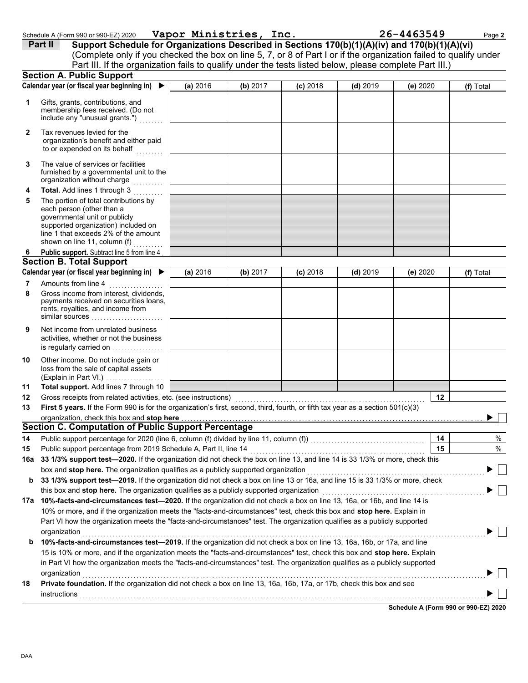| 10%-facts-and-circumstar     |
|------------------------------|
| 15 is 10% or more, and if th |
| in Dort VI how the ergenized |

|    | Part VI how the organization meets the "facts-and-circumstances" test. The organization qualifies as a publicly supported<br>organization |
|----|-------------------------------------------------------------------------------------------------------------------------------------------|
|    | <b>b</b> 10%-facts-and-circumstances test-2019. If the organization did not check a box on line 13, 16a, 16b, or 17a, and line            |
|    | 15 is 10% or more, and if the organization meets the "facts-and-circumstances" test, check this box and stop here. Explain                |
|    | in Part VI how the organization meets the "facts-and-circumstances" test. The organization qualifies as a publicly supported              |
|    | organization                                                                                                                              |
| 18 | Private foundation. If the organization did not check a box on line 13, 16a, 16b, 17a, or 17b, check this box and see                     |

 $instructions$ 

**b 33 1/3% support test—2019.** If the organization did not check a box on line 13 or 16a, and line 15 is 33 1/3% or more, check this box and **stop here.** The organization qualifies as a publicly supported organization ..... **17a 10%-facts-and-circumstances test—2020.** If the organization did not check a box on line 13, 16a, or 16b, and line 14 is 10% or more, and if the organization meets the "facts-and-circumstances" test, check this box and **stop here.** Explain in

box and stop here. The organization qualifies as a publicly supported organization **...........**...

| 13 | <b>First 5 years.</b> If the Form 990 is for the organization's first, second, third, fourth, or fifth tax year as a section $501(c)(3)$ |    |  |
|----|------------------------------------------------------------------------------------------------------------------------------------------|----|--|
|    | organization, check this box and stop here <i>manufactured in the content of the state in the state of the state in</i>                  |    |  |
|    | Section C. Computation of Public Support Percentage                                                                                      |    |  |
| 14 | Public support percentage for 2020 (line 6, column (f) divided by line 11, column (f))                                                   | 14 |  |
| 15 | Public support percentage from 2019 Schedule A, Part II, line 14                                                                         | 15 |  |
|    | 16a 33 1/3% support test—2020. If the organization did not check the box on line 13, and line 14 is 33 1/3% or more, check this          |    |  |

|                                               | Section B. Total Support                                                                                                                 |          |          |            |            |          |           |
|-----------------------------------------------|------------------------------------------------------------------------------------------------------------------------------------------|----------|----------|------------|------------|----------|-----------|
| Calendar year (or fiscal year beginning in) ▶ |                                                                                                                                          | (a) 2016 | (b) 2017 | $(c)$ 2018 | $(d)$ 2019 | (e) 2020 | (f) Total |
|                                               | Amounts from line 4                                                                                                                      |          |          |            |            |          |           |
| 8                                             | Gross income from interest, dividends,<br>payments received on securities loans,<br>rents, royalties, and income from<br>similar sources |          |          |            |            |          |           |
| 9                                             | Net income from unrelated business<br>activities, whether or not the business<br>is regularly carried on                                 |          |          |            |            |          |           |
| 10                                            | Other income. Do not include gain or                                                                                                     |          |          |            |            |          |           |

#### Public support. Subtract line 5 from line 4 **6 Section B. Total Support**

shown on line 11, column  $(f)$ 

line 1 that exceeds 2% of the amount supported organization) included on

The portion of total contributions by Total. Add lines 1 through 3 . . . . . . . . .

governmental unit or publicly

each person (other than a

(Explain in Part VI.) . . . . . . . . . . . . . . . . . . .

loss from the sale of capital assets

**Total support.** Add lines 7 through 10

Gross receipts from related activities, etc. (see instructions)

| Schedule A (Form 990 or 990-EZ) 2020                                                                              |          | Vapor Ministries, Inc. |            |            | 26-4463549 | Page 2    |
|-------------------------------------------------------------------------------------------------------------------|----------|------------------------|------------|------------|------------|-----------|
| Support Schedule for Organizations Described in Sections 170(b)(1)(A)(iv) and 170(b)(1)(A)(vi)<br>Part II         |          |                        |            |            |            |           |
| (Complete only if you checked the box on line 5, 7, or 8 of Part I or if the organization failed to qualify under |          |                        |            |            |            |           |
| Part III. If the organization fails to qualify under the tests listed below, please complete Part III.)           |          |                        |            |            |            |           |
| <b>Section A. Public Support</b>                                                                                  |          |                        |            |            |            |           |
| Calendar year (or fiscal year beginning in) $\blacktriangleright$                                                 | (a) 2016 | (b) 2017               | $(c)$ 2018 | $(d)$ 2019 | (e) 2020   | (f) Total |
| Gifts, grants, contributions, and<br>membership fees received. (Do not<br>include any "unusual grants.")          |          |                        |            |            |            |           |
| Tax revenues levied for the<br>organization's benefit and either paid<br>to or expended on its behalf             |          |                        |            |            |            |           |
| The value of services or facilities<br>furnished by a governmental unit to the<br>organization without charge     |          |                        |            |            |            |           |

**Schedule A (Form 990 or 990-EZ) 2020**

**12**

% %

 $\blacktriangleright \Box$ 

 $\blacktriangleright$   $\vdash$ 

**12 11**

**4**

**5**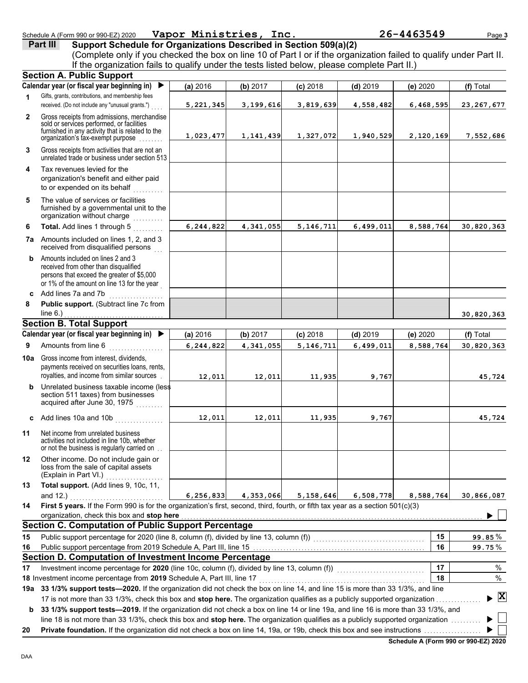Schedule A (Form 990 or 990-EZ) 2020 Page **3 Vapor Ministries, Inc. 26-4463549**

**Part III** Support Schedule for Organizations Described in Section 509(a)(2) (Complete only if you checked the box on line 10 of Part I or if the organization failed to qualify under Part II. **Section A. Public Support** If the organization fails to qualify under the tests listed below, please complete Part II.)

|              | Calendar year (or fiscal year beginning in) $\blacktriangleright$                                                                                                                                                                                               | (a) 2016  | (b) 2017    | $(c)$ 2018 | $(d)$ 2019 | (e) 2020  | (f) Total                          |
|--------------|-----------------------------------------------------------------------------------------------------------------------------------------------------------------------------------------------------------------------------------------------------------------|-----------|-------------|------------|------------|-----------|------------------------------------|
| 1            | Gifts, grants, contributions, and membership fees                                                                                                                                                                                                               |           |             |            |            |           |                                    |
|              | received. (Do not include any "unusual grants.")                                                                                                                                                                                                                | 5,221,345 | 3,199,616   | 3,819,639  | 4,558,482  | 6,468,595 | 23, 267, 677                       |
| $\mathbf{2}$ | Gross receipts from admissions, merchandise<br>sold or services performed, or facilities<br>furnished in any activity that is related to the<br>organization's tax-exempt purpose                                                                               | 1,023,477 | 1, 141, 439 | 1,327,072  | 1,940,529  | 2,120,169 | 7,552,686                          |
| 3            | Gross receipts from activities that are not an<br>unrelated trade or business under section 513                                                                                                                                                                 |           |             |            |            |           |                                    |
| 4            | Tax revenues levied for the<br>organization's benefit and either paid<br>to or expended on its behalf                                                                                                                                                           |           |             |            |            |           |                                    |
| 5            | The value of services or facilities<br>furnished by a governmental unit to the<br>organization without charge<br>1.1.1.1.1.1                                                                                                                                    |           |             |            |            |           |                                    |
| 6            | Total. Add lines 1 through 5                                                                                                                                                                                                                                    | 6,244,822 | 4,341,055   | 5,146,711  | 6,499,011  | 8,588,764 | 30,820,363                         |
|              | 7a Amounts included on lines 1, 2, and 3<br>received from disqualified persons                                                                                                                                                                                  |           |             |            |            |           |                                    |
| b            | Amounts included on lines 2 and 3<br>received from other than disqualified<br>persons that exceed the greater of \$5,000<br>or 1% of the amount on line 13 for the year                                                                                         |           |             |            |            |           |                                    |
|              | c Add lines 7a and 7b<br>.                                                                                                                                                                                                                                      |           |             |            |            |           |                                    |
| 8            | Public support. (Subtract line 7c from                                                                                                                                                                                                                          |           |             |            |            |           |                                    |
|              | line $6$ .)                                                                                                                                                                                                                                                     |           |             |            |            |           | 30,820,363                         |
|              | <b>Section B. Total Support</b><br>Calendar year (or fiscal year beginning in)                                                                                                                                                                                  |           |             |            |            |           |                                    |
|              |                                                                                                                                                                                                                                                                 | (a) 2016  | (b) 2017    | $(c)$ 2018 | $(d)$ 2019 | (e) 2020  | (f) Total                          |
| 9            | Amounts from line 6<br>and a complete the second services.                                                                                                                                                                                                      | 6,244,822 | 4,341,055   | 5,146,711  | 6,499,011  | 8,588,764 | 30,820,363                         |
| 10a          | Gross income from interest, dividends,<br>payments received on securities loans, rents,<br>royalties, and income from similar sources                                                                                                                           | 12,011    | 12,011      | 11,935     | 9,767      |           | 45,724                             |
| b            | Unrelated business taxable income (less<br>section 511 taxes) from businesses<br>acquired after June 30, 1975                                                                                                                                                   |           |             |            |            |           |                                    |
| C            | Add lines 10a and 10b                                                                                                                                                                                                                                           | 12,011    | 12,011      | 11,935     | 9,767      |           | 45,724                             |
| 11           | Net income from unrelated business<br>activities not included in line 10b, whether<br>or not the business is regularly carried on                                                                                                                               |           |             |            |            |           |                                    |
| 12           | Other income. Do not include gain or<br>loss from the sale of capital assets<br>(Explain in Part VI.)                                                                                                                                                           |           |             |            |            |           |                                    |
| 13           | Total support. (Add lines 9, 10c, 11,                                                                                                                                                                                                                           |           |             |            |            |           |                                    |
|              | and $12.$ )                                                                                                                                                                                                                                                     | 6,256,833 | 4,353,066   | 5,158,646  | 6,508,778  | 8,588,764 | 30,866,087                         |
| 14           | First 5 years. If the Form 990 is for the organization's first, second, third, fourth, or fifth tax year as a section $501(c)(3)$                                                                                                                               |           |             |            |            |           |                                    |
|              | organization, check this box and stop here                                                                                                                                                                                                                      |           |             |            |            |           |                                    |
|              | <b>Section C. Computation of Public Support Percentage</b>                                                                                                                                                                                                      |           |             |            |            |           |                                    |
| 15           | Public support percentage for 2020 (line 8, column (f), divided by line 13, column (f)) [[[[[[[[[[[[[[[[[[[[[                                                                                                                                                   |           |             |            |            | 15        | $99.85\%$                          |
| 16           | Public support percentage from 2019 Schedule A, Part III, line 15 [11] [11] Content content content content of                                                                                                                                                  |           |             |            |            | 16        | 99.75%                             |
|              | Section D. Computation of Investment Income Percentage                                                                                                                                                                                                          |           |             |            |            |           |                                    |
| 17           | Investment income percentage for 2020 (line 10c, column (f), divided by line 13, column (f)) [[[[[[[[[[[[[[[[[                                                                                                                                                  |           |             |            |            | 17        | %                                  |
|              | 18 Investment income percentage from 2019 Schedule A, Part III, line 17                                                                                                                                                                                         |           |             |            |            | 18        | %                                  |
|              | 19a 33 1/3% support tests-2020. If the organization did not check the box on line 14, and line 15 is more than 33 1/3%, and line                                                                                                                                |           |             |            |            |           |                                    |
| b            | 17 is not more than 33 1/3%, check this box and stop here. The organization qualifies as a publicly supported organization<br>33 1/3% support tests-2019. If the organization did not check a box on line 14 or line 19a, and line 16 is more than 33 1/3%, and |           |             |            |            |           | $\blacktriangleright$ $\mathbf{X}$ |
|              | line 18 is not more than 33 1/3%, check this box and stop here. The organization qualifies as a publicly supported organization                                                                                                                                 |           |             |            |            |           |                                    |
| 20           |                                                                                                                                                                                                                                                                 |           |             |            |            |           |                                    |

**Schedule A (Form 990 or 990-EZ) 2020**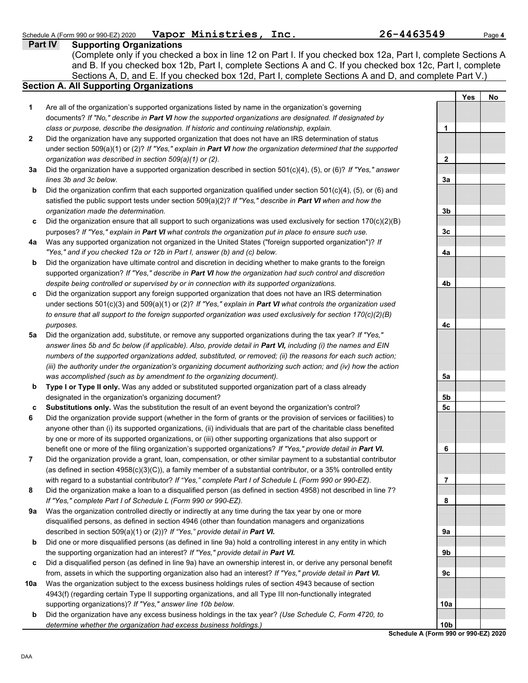## Schedule A (Form 990 or 990-EZ) 2020 Page **4 Vapor Ministries, Inc. 26-4463549**

**Part IV Supporting Organizations** Sections A, D, and E. If you checked box 12d, Part I, complete Sections A and D, and complete Part V.) (Complete only if you checked a box in line 12 on Part I. If you checked box 12a, Part I, complete Sections A and B. If you checked box 12b, Part I, complete Sections A and C. If you checked box 12c, Part I, complete

**Yes No**

### **Section A. All Supporting Organizations**

Are all of the organization's supported organizations listed by name in the organization's governing **1**

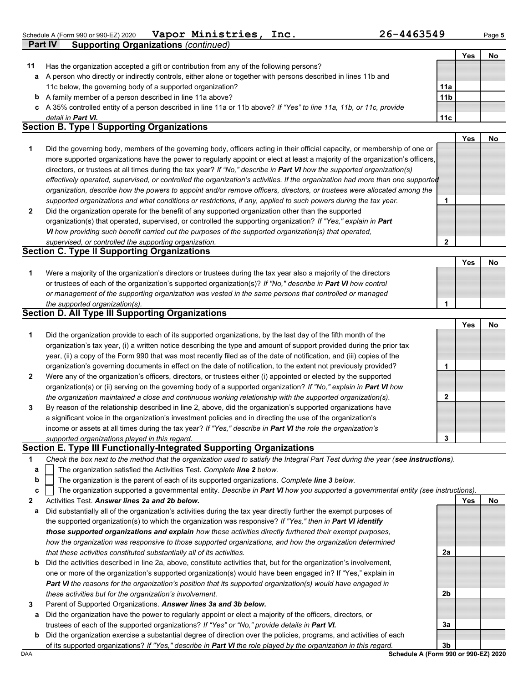| Schedule A (Form 990 or 990-EZ) 2020 |  | Vapor Ministries, | Inc. | 26-4463549 | Page 5 |
|--------------------------------------|--|-------------------|------|------------|--------|
|                                      |  |                   |      |            |        |

**Part IV Supporting Organizations** *(continued)*

|  | 26-4463549 |
|--|------------|
|--|------------|

**2**

|    |                                                                                                                                                                                                                                                             |                 | Yes | No |
|----|-------------------------------------------------------------------------------------------------------------------------------------------------------------------------------------------------------------------------------------------------------------|-----------------|-----|----|
| 11 | Has the organization accepted a gift or contribution from any of the following persons?                                                                                                                                                                     |                 |     |    |
| a  | A person who directly or indirectly controls, either alone or together with persons described in lines 11b and                                                                                                                                              |                 |     |    |
|    | 11c below, the governing body of a supported organization?                                                                                                                                                                                                  | 11a             |     |    |
| b  | A family member of a person described in line 11a above?                                                                                                                                                                                                    | 11 <sub>b</sub> |     |    |
| C. | A 35% controlled entity of a person described in line 11a or 11b above? If "Yes" to line 11a, 11b, or 11c, provide                                                                                                                                          |                 |     |    |
|    | detail in <b>Part VI.</b>                                                                                                                                                                                                                                   | 11c             |     |    |
|    | <b>Section B. Type I Supporting Organizations</b>                                                                                                                                                                                                           |                 |     |    |
|    |                                                                                                                                                                                                                                                             |                 | Yes | No |
|    | Did the governing body, members of the governing body, officers acting in their official capacity, or membership of one or<br>more supported organizations have the power to regularly appoint or elect at least a majority of the organization's officers, |                 |     |    |

**2** *supported organizations and what conditions or restrictions, if any, applied to such powers during the tax year. organization, describe how the powers to appoint and/or remove officers, directors, or trustees were allocated among the effectively operated, supervised, or controlled the organization's activities. If the organization had more than one supported* directors, or trustees at all times during the tax year? *If "No," describe in Part VI how the supported organization(s)* Did the organization operate for the benefit of any supported organization other than the supported organization(s) that operated, supervised, or controlled the supporting organization? *If "Yes," explain in Part*  **1**

*VI how providing such benefit carried out the purposes of the supported organization(s) that operated,* 

## *supervised, or controlled the supporting organization.* **Section C. Type II Supporting Organizations**

|                                                                                                                      | Yes | <b>No</b> |
|----------------------------------------------------------------------------------------------------------------------|-----|-----------|
| Were a majority of the organization's directors or trustees during the tax year also a majority of the directors     |     |           |
| or trustees of each of the organization's supported organization(s)? If "No," describe in <b>Part VI</b> how control |     |           |
| or management of the supporting organization was vested in the same persons that controlled or managed               |     |           |
| the supported organization(s).                                                                                       |     |           |

### **Section D. All Type III Supporting Organizations**

|                |                                                                                                                        |   | Yes | Nο |
|----------------|------------------------------------------------------------------------------------------------------------------------|---|-----|----|
| 1              | Did the organization provide to each of its supported organizations, by the last day of the fifth month of the         |   |     |    |
|                | organization's tax year, (i) a written notice describing the type and amount of support provided during the prior tax  |   |     |    |
|                | year, (ii) a copy of the Form 990 that was most recently filed as of the date of notification, and (iii) copies of the |   |     |    |
|                | organization's governing documents in effect on the date of notification, to the extent not previously provided?       |   |     |    |
| $\overline{2}$ | Were any of the organization's officers, directors, or trustees either (i) appointed or elected by the supported       |   |     |    |
|                | organization(s) or (ii) serving on the governing body of a supported organization? If "No," explain in Part VI how     |   |     |    |
|                | the organization maintained a close and continuous working relationship with the supported organization(s).            |   |     |    |
| $\mathbf{3}$   | By reason of the relationship described in line 2, above, did the organization's supported organizations have          |   |     |    |
|                | a significant voice in the organization's investment policies and in directing the use of the organization's           |   |     |    |
|                | income or assets at all times during the tax year? If "Yes," describe in Part VI the role the organization's           |   |     |    |
|                | supported organizations played in this regard.                                                                         | з |     |    |

### **Section E. Type III Functionally-Integrated Supporting Organizations**

| Check the box next to the method that the organization used to satisfy the Integral Part Test during the year (see instructions). |  |  |
|-----------------------------------------------------------------------------------------------------------------------------------|--|--|
|                                                                                                                                   |  |  |

- The organization satisfied the Activities Test. *Complete line 2 below.* **a**
- The organization is the parent of each of its supported organizations. *Complete line 3 below.* **b**

**2** Activities Test. *Answer lines 2a and 2b below.*

- **a** Did substantially all of the organization's activities during the tax year directly further the exempt purposes of the supported organization(s) to which the organization was responsive? *If "Yes," then in Part VI identify those supported organizations and explain how these activities directly furthered their exempt purposes,*  how the organization was responsive to those supported organizations, and how the organization determined *that these activities constituted substantially all of its activities.*
- **b** Did the activities described in line 2a, above, constitute activities that, but for the organization's involvement, one or more of the organization's supported organization(s) would have been engaged in? If "Yes," explain in *Part VI the reasons for the organization's position that its supported organization(s) would have engaged in these activities but for the organization's involvement.*
- **3** Parent of Supported Organizations. *Answer lines 3a and 3b below.*
	- **a** Did the organization have the power to regularly appoint or elect a majority of the officers, directors, or trustees of each of the supported organizations? *If "Yes" or "No," provide details in Part VI.*
	- **b** Did the organization exercise a substantial degree of direction over the policies, programs, and activities of each of its supported organizations? *If "Yes," describe in Part VI the role played by the organization in this regard.*

DAA **Schedule A (Form 990 or 990-EZ) 2020 3b**

**2a**

**2b**

**3a**

**Yes No**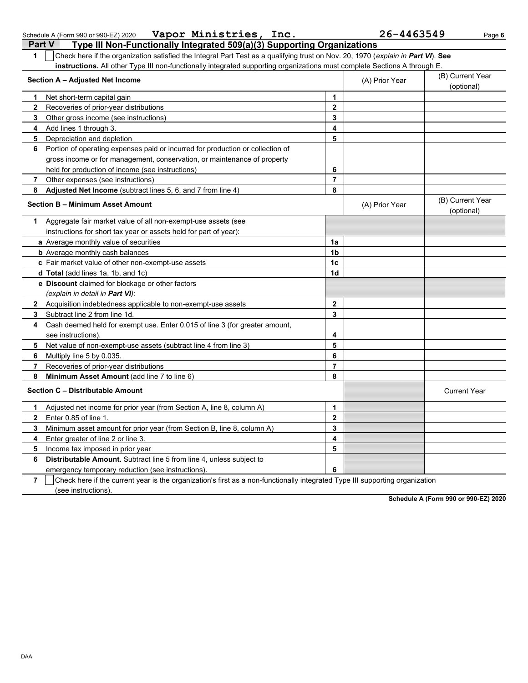| Section A - Adjusted Net Income                                                     | (A) Prior Year          |                                                                                                                                                                                                                                                                                                 | (B) Current Year               |
|-------------------------------------------------------------------------------------|-------------------------|-------------------------------------------------------------------------------------------------------------------------------------------------------------------------------------------------------------------------------------------------------------------------------------------------|--------------------------------|
|                                                                                     |                         | Queck here if the organization satisfied the integral Part Test as a qualifying trust on Nov. 20, 1970 ( <i>explain in <b>Part VI</b></i> ). See<br>instructions. All other Type III non-functionally integrated supporting organizations must complete Sections A through E.<br>(A) Prior Year | (optional)                     |
| Net short-term capital gain<br>1                                                    | 1                       |                                                                                                                                                                                                                                                                                                 |                                |
| $\mathbf{2}$<br>Recoveries of prior-year distributions                              | $\mathbf 2$             |                                                                                                                                                                                                                                                                                                 |                                |
| 3<br>Other gross income (see instructions)                                          | 3                       |                                                                                                                                                                                                                                                                                                 |                                |
| Add lines 1 through 3.<br>4                                                         | 4                       |                                                                                                                                                                                                                                                                                                 |                                |
| Depreciation and depletion<br>5                                                     | 5                       |                                                                                                                                                                                                                                                                                                 |                                |
| Portion of operating expenses paid or incurred for production or collection of<br>6 |                         |                                                                                                                                                                                                                                                                                                 |                                |
| gross income or for management, conservation, or maintenance of property            |                         |                                                                                                                                                                                                                                                                                                 |                                |
| held for production of income (see instructions)                                    | 6                       |                                                                                                                                                                                                                                                                                                 |                                |
| $\overline{7}$<br>Other expenses (see instructions)                                 | $\overline{7}$          |                                                                                                                                                                                                                                                                                                 |                                |
| 8<br>Adjusted Net Income (subtract lines 5, 6, and 7 from line 4)                   | 8                       |                                                                                                                                                                                                                                                                                                 |                                |
| <b>Section B - Minimum Asset Amount</b>                                             |                         |                                                                                                                                                                                                                                                                                                 | (B) Current Year<br>(optional) |
| Aggregate fair market value of all non-exempt-use assets (see<br>1                  |                         |                                                                                                                                                                                                                                                                                                 |                                |
| instructions for short tax year or assets held for part of year):                   |                         |                                                                                                                                                                                                                                                                                                 |                                |
| a Average monthly value of securities                                               | 1a                      |                                                                                                                                                                                                                                                                                                 |                                |
| <b>b</b> Average monthly cash balances                                              | 1 <sub>b</sub>          |                                                                                                                                                                                                                                                                                                 |                                |
| c Fair market value of other non-exempt-use assets                                  | 1c                      |                                                                                                                                                                                                                                                                                                 |                                |
| d Total (add lines 1a, 1b, and 1c)                                                  | 1d                      |                                                                                                                                                                                                                                                                                                 |                                |
| e Discount claimed for blockage or other factors                                    |                         |                                                                                                                                                                                                                                                                                                 |                                |
| (explain in detail in <b>Part VI</b> ):                                             |                         |                                                                                                                                                                                                                                                                                                 |                                |
| Acquisition indebtedness applicable to non-exempt-use assets<br>$\mathbf{2}$        | $\mathbf{2}$            |                                                                                                                                                                                                                                                                                                 |                                |
| Subtract line 2 from line 1d.<br>3                                                  | 3                       |                                                                                                                                                                                                                                                                                                 |                                |
| Cash deemed held for exempt use. Enter 0.015 of line 3 (for greater amount,<br>4    |                         |                                                                                                                                                                                                                                                                                                 |                                |
| see instructions).                                                                  | 4                       |                                                                                                                                                                                                                                                                                                 |                                |
| Net value of non-exempt-use assets (subtract line 4 from line 3)<br>5               | 5                       |                                                                                                                                                                                                                                                                                                 |                                |
| Multiply line 5 by 0.035.<br>6                                                      | 6                       |                                                                                                                                                                                                                                                                                                 |                                |
| 7<br>Recoveries of prior-year distributions                                         | $\overline{7}$          |                                                                                                                                                                                                                                                                                                 |                                |
| Minimum Asset Amount (add line 7 to line 6)<br>8                                    | 8                       |                                                                                                                                                                                                                                                                                                 |                                |
| Section C - Distributable Amount                                                    |                         |                                                                                                                                                                                                                                                                                                 | <b>Current Year</b>            |
| Adjusted net income for prior year (from Section A, line 8, column A)<br>1          | 1                       |                                                                                                                                                                                                                                                                                                 |                                |
| Enter 0.85 of line 1.<br>$\mathbf{2}$                                               | $\overline{\mathbf{2}}$ |                                                                                                                                                                                                                                                                                                 |                                |
| 3<br>Minimum asset amount for prior year (from Section B, line 8, column A)         | 3                       |                                                                                                                                                                                                                                                                                                 |                                |
| Enter greater of line 2 or line 3.<br>4                                             | 4                       |                                                                                                                                                                                                                                                                                                 |                                |
| Income tax imposed in prior year<br>5                                               | 5                       |                                                                                                                                                                                                                                                                                                 |                                |
| Distributable Amount. Subtract line 5 from line 4, unless subject to<br>6           |                         |                                                                                                                                                                                                                                                                                                 |                                |
| emergency temporary reduction (see instructions).                                   | 6                       |                                                                                                                                                                                                                                                                                                 |                                |
|                                                                                     |                         |                                                                                                                                                                                                                                                                                                 |                                |

**7** (see instructions). Check here if the current year is the organization's first as a non-functionally integrated Type III supporting organization

**Schedule A (Form 990 or 990-EZ) 2020**

#### Schedule A (Form 990 or 990-EZ) 2020 **Vapor Ministries, Inc.** 26-4463549 Page 6 **Vapor Ministries,**

**Part V Type III Non-Functionally Integrated 509(a)(3) Supporting Organizations**<br>1 □ Check bere if the creanization estigfied the Integral Part Test as a gualitying trust on New 20, 1970 (c **1** Check here if the organization satisfied the Integral Part Test as a qualifying trust on Nov. 20, 1970 (*explain in Part VI*). **See**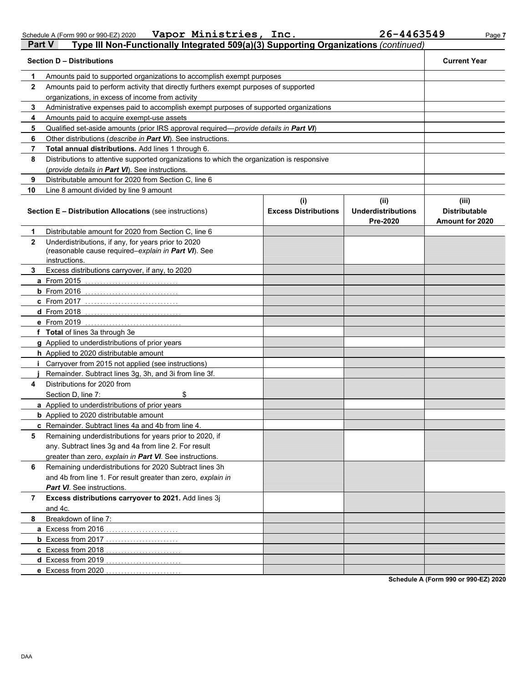Schedule A (Form 990 or 990-EZ) 2020 **Vapor Ministries, Inc. Z6-4463549** Page 7 **Vapor Ministries, Inc. 26-4463549**

| Part V       | Type III Non-Functionally Integrated 509(a)(3) Supporting Organizations (continued)        |                             |                                       |                                                |
|--------------|--------------------------------------------------------------------------------------------|-----------------------------|---------------------------------------|------------------------------------------------|
|              | <b>Section D - Distributions</b>                                                           |                             |                                       | <b>Current Year</b>                            |
| 1            | Amounts paid to supported organizations to accomplish exempt purposes                      |                             |                                       |                                                |
| $\mathbf{2}$ | Amounts paid to perform activity that directly furthers exempt purposes of supported       |                             |                                       |                                                |
|              | organizations, in excess of income from activity                                           |                             |                                       |                                                |
| 3            | Administrative expenses paid to accomplish exempt purposes of supported organizations      |                             |                                       |                                                |
| 4            | Amounts paid to acquire exempt-use assets                                                  |                             |                                       |                                                |
| 5            | Qualified set-aside amounts (prior IRS approval required-provide details in Part VI)       |                             |                                       |                                                |
| 6            | Other distributions (describe in Part VI). See instructions.                               |                             |                                       |                                                |
| 7            | Total annual distributions. Add lines 1 through 6.                                         |                             |                                       |                                                |
| 8            | Distributions to attentive supported organizations to which the organization is responsive |                             |                                       |                                                |
|              | (provide details in Part VI). See instructions.                                            |                             |                                       |                                                |
| 9            | Distributable amount for 2020 from Section C, line 6                                       |                             |                                       |                                                |
| 10           | Line 8 amount divided by line 9 amount                                                     |                             |                                       |                                                |
|              |                                                                                            | (i)                         | (ii)                                  | (iii)                                          |
|              | <b>Section E - Distribution Allocations (see instructions)</b>                             | <b>Excess Distributions</b> | <b>Underdistributions</b><br>Pre-2020 | <b>Distributable</b><br><b>Amount for 2020</b> |
| 1            | Distributable amount for 2020 from Section C, line 6                                       |                             |                                       |                                                |
| $\mathbf{2}$ | Underdistributions, if any, for years prior to 2020                                        |                             |                                       |                                                |
|              | (reasonable cause required-explain in Part VI). See                                        |                             |                                       |                                                |
|              | instructions.                                                                              |                             |                                       |                                                |
| 3            | Excess distributions carryover, if any, to 2020                                            |                             |                                       |                                                |
|              | a From 2015                                                                                |                             |                                       |                                                |
|              | $b$ From 2016                                                                              |                             |                                       |                                                |
|              | <b>c</b> From 2017                                                                         |                             |                                       |                                                |
|              | <b>d</b> From 2018                                                                         |                             |                                       |                                                |
|              | <b>e</b> From 2019                                                                         |                             |                                       |                                                |
|              | f Total of lines 3a through 3e                                                             |                             |                                       |                                                |
|              | g Applied to underdistributions of prior years                                             |                             |                                       |                                                |
|              | h Applied to 2020 distributable amount                                                     |                             |                                       |                                                |
|              | Carryover from 2015 not applied (see instructions)                                         |                             |                                       |                                                |
|              | Remainder. Subtract lines 3g, 3h, and 3i from line 3f.                                     |                             |                                       |                                                |
| 4            | Distributions for 2020 from                                                                |                             |                                       |                                                |
|              | \$<br>Section D, line 7:                                                                   |                             |                                       |                                                |
|              | a Applied to underdistributions of prior years                                             |                             |                                       |                                                |
|              | <b>b</b> Applied to 2020 distributable amount                                              |                             |                                       |                                                |
|              | c Remainder. Subtract lines 4a and 4b from line 4.                                         |                             |                                       |                                                |
| 5            | Remaining underdistributions for years prior to 2020, if                                   |                             |                                       |                                                |
|              | any. Subtract lines 3g and 4a from line 2. For result                                      |                             |                                       |                                                |
|              | greater than zero, explain in Part VI. See instructions.                                   |                             |                                       |                                                |
| 6            | Remaining underdistributions for 2020 Subtract lines 3h                                    |                             |                                       |                                                |
|              | and 4b from line 1. For result greater than zero, explain in                               |                             |                                       |                                                |
|              | <b>Part VI</b> . See instructions.                                                         |                             |                                       |                                                |
| 7            | Excess distributions carryover to 2021. Add lines 3j                                       |                             |                                       |                                                |
|              | and 4c.                                                                                    |                             |                                       |                                                |
| 8            | Breakdown of line 7:                                                                       |                             |                                       |                                                |
|              | a Excess from 2016                                                                         |                             |                                       |                                                |
|              | <b>b</b> Excess from 2017                                                                  |                             |                                       |                                                |
|              | c Excess from 2018                                                                         |                             |                                       |                                                |
|              | d Excess from 2019                                                                         |                             |                                       |                                                |
|              | e Excess from 2020                                                                         |                             |                                       |                                                |
|              |                                                                                            |                             |                                       |                                                |

**Schedule A (Form 990 or 990-EZ) 2020**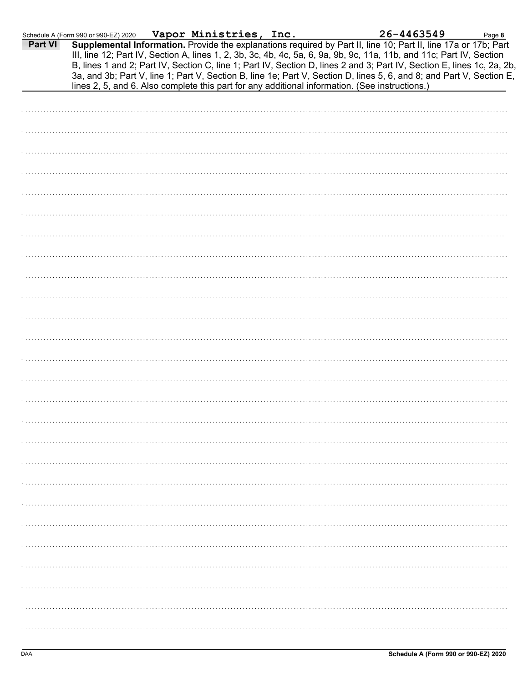|         | Schedule A (Form 990 or 990-EZ) 2020 | Vapor Ministries, Inc. |  | 26-4463549                                                                                                                                                                                                                                                                                                                                       | Page 8 |
|---------|--------------------------------------|------------------------|--|--------------------------------------------------------------------------------------------------------------------------------------------------------------------------------------------------------------------------------------------------------------------------------------------------------------------------------------------------|--------|
| Part VI |                                      |                        |  | Supplemental Information. Provide the explanations required by Part II, line 10; Part II, line 17a or 17b; Part<br>III, line 12; Part IV, Section A, lines 1, 2, 3b, 3c, 4b, 4c, 5a, 6, 9a, 9b, 9c, 11a, 11b, and 11c; Part IV, Section                                                                                                          |        |
|         |                                      |                        |  | B, lines 1 and 2; Part IV, Section C, line 1; Part IV, Section D, lines 2 and 3; Part IV, Section E, lines 1c, 2a, 2b,<br>3a, and 3b; Part V, line 1; Part V, Section B, line 1e; Part V, Section D, lines 5, 6, and 8; and Part V, Section E,<br>lines 2, 5, and 6. Also complete this part for any additional information. (See instructions.) |        |
|         |                                      |                        |  |                                                                                                                                                                                                                                                                                                                                                  |        |
|         |                                      |                        |  |                                                                                                                                                                                                                                                                                                                                                  |        |
|         |                                      |                        |  |                                                                                                                                                                                                                                                                                                                                                  |        |
|         |                                      |                        |  |                                                                                                                                                                                                                                                                                                                                                  |        |
|         |                                      |                        |  |                                                                                                                                                                                                                                                                                                                                                  |        |
|         |                                      |                        |  |                                                                                                                                                                                                                                                                                                                                                  |        |
|         |                                      |                        |  |                                                                                                                                                                                                                                                                                                                                                  |        |
|         |                                      |                        |  |                                                                                                                                                                                                                                                                                                                                                  |        |
|         |                                      |                        |  |                                                                                                                                                                                                                                                                                                                                                  |        |
|         |                                      |                        |  |                                                                                                                                                                                                                                                                                                                                                  |        |
|         |                                      |                        |  |                                                                                                                                                                                                                                                                                                                                                  |        |
|         |                                      |                        |  |                                                                                                                                                                                                                                                                                                                                                  |        |
|         |                                      |                        |  |                                                                                                                                                                                                                                                                                                                                                  |        |
|         |                                      |                        |  |                                                                                                                                                                                                                                                                                                                                                  |        |
|         |                                      |                        |  |                                                                                                                                                                                                                                                                                                                                                  |        |
|         |                                      |                        |  |                                                                                                                                                                                                                                                                                                                                                  |        |
|         |                                      |                        |  |                                                                                                                                                                                                                                                                                                                                                  |        |
|         |                                      |                        |  |                                                                                                                                                                                                                                                                                                                                                  |        |
|         |                                      |                        |  |                                                                                                                                                                                                                                                                                                                                                  |        |
|         |                                      |                        |  |                                                                                                                                                                                                                                                                                                                                                  |        |
|         |                                      |                        |  |                                                                                                                                                                                                                                                                                                                                                  |        |
|         |                                      |                        |  |                                                                                                                                                                                                                                                                                                                                                  |        |
|         |                                      |                        |  |                                                                                                                                                                                                                                                                                                                                                  |        |
|         |                                      |                        |  |                                                                                                                                                                                                                                                                                                                                                  |        |
|         |                                      |                        |  |                                                                                                                                                                                                                                                                                                                                                  |        |
|         |                                      |                        |  |                                                                                                                                                                                                                                                                                                                                                  |        |
|         |                                      |                        |  |                                                                                                                                                                                                                                                                                                                                                  |        |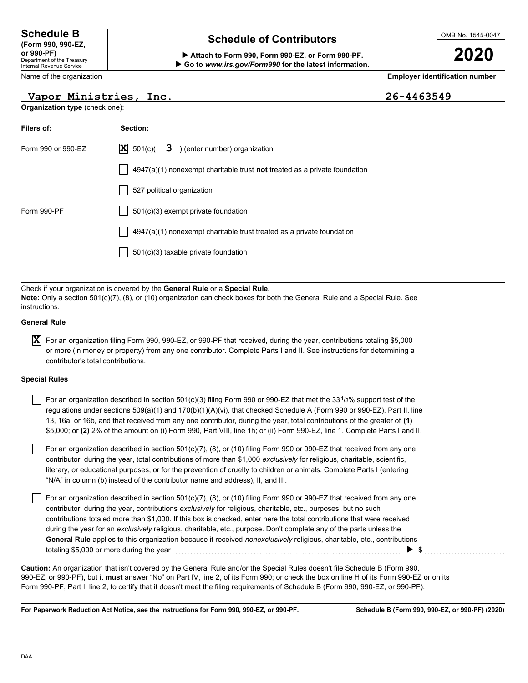| (Form 990, 990-EZ,<br>or 990-PF)<br>Department of the Treasury<br>Internal Revenue Service |  |
|--------------------------------------------------------------------------------------------|--|
| Name of the organization                                                                   |  |
| Vapor Ministries,                                                                          |  |
| Organization type (check one):                                                             |  |

## **Schedule of Contributors Schedule B**

**or 990-PF)** X **Attach to Form 990, Form 990-EZ, or Form 990-PF.** ▶ Go to *www.irs.gov/Form990* for the latest information. OMB No. 1545-0047

**Employer identification number**

**value**  $\begin{array}{|c|c|c|c|}\n\hline\n\text{C} \cdot \text{C} \cdot \text{C} \cdot \text{C} \cdot \text{C} \cdot \text{C} \cdot \text{C} \cdot \text{C} \cdot \text{C} \cdot \text{C} \cdot \text{C} \cdot \text{C} \cdot \text{C} \cdot \text{C} \cdot \text{C} \cdot \text{C} \cdot \text{C} \cdot \text{C} \cdot \text{C} \cdot \text{C} \cdot \text{C} \cdot \text{C} \cdot \text{C} \cdot \text{C} \cdot \text{C} \cdot \text{C} \cdot \text{C} \cdot \text{C$ 

| Go to www.irs.gov/Form990 for the latest information |
|------------------------------------------------------|
|                                                      |
|                                                      |

| Filers of:         | Section:                                                                           |  |
|--------------------|------------------------------------------------------------------------------------|--|
| Form 990 or 990-EZ | $ \mathbf{X} $ 501(c)( <b>3</b> ) (enter number) organization                      |  |
|                    | $4947(a)(1)$ nonexempt charitable trust <b>not</b> treated as a private foundation |  |
|                    | 527 political organization                                                         |  |
| Form 990-PF        | $501(c)(3)$ exempt private foundation                                              |  |
|                    | $4947(a)(1)$ nonexempt charitable trust treated as a private foundation            |  |
|                    | 501(c)(3) taxable private foundation                                               |  |

Check if your organization is covered by the **General Rule** or a **Special Rule. Note:** Only a section 501(c)(7), (8), or (10) organization can check boxes for both the General Rule and a Special Rule. See instructions.

### **General Rule**

 $\bm{X}$  For an organization filing Form 990, 990-EZ, or 990-PF that received, during the year, contributions totaling \$5,000 or more (in money or property) from any one contributor. Complete Parts I and II. See instructions for determining a contributor's total contributions.

### **Special Rules**

For an organization described in section 501(c)(3) filing Form 990 or 990-EZ that met the 331/3% support test of the regulations under sections 509(a)(1) and 170(b)(1)(A)(vi), that checked Schedule A (Form 990 or 990-EZ), Part II, line 13, 16a, or 16b, and that received from any one contributor, during the year, total contributions of the greater of **(1)** \$5,000; or **(2)** 2% of the amount on (i) Form 990, Part VIII, line 1h; or (ii) Form 990-EZ, line 1. Complete Parts I and II.

literary, or educational purposes, or for the prevention of cruelty to children or animals. Complete Parts I (entering For an organization described in section 501(c)(7), (8), or (10) filing Form 990 or 990-EZ that received from any one contributor, during the year, total contributions of more than \$1,000 *exclusively* for religious, charitable, scientific, "N/A" in column (b) instead of the contributor name and address), II, and III.

For an organization described in section 501(c)(7), (8), or (10) filing Form 990 or 990-EZ that received from any one contributor, during the year, contributions *exclusively* for religious, charitable, etc., purposes, but no such contributions totaled more than \$1,000. If this box is checked, enter here the total contributions that were received during the year for an *exclusively* religious, charitable, etc., purpose. Don't complete any of the parts unless the **General Rule** applies to this organization because it received *nonexclusively* religious, charitable, etc., contributions totaling \$5,000 or more during the year . . . . . . . . . . . . . . . . . . . . . . . . . . . . . . . . . . . . . . . . . . . . . . . . . . . . . . . . . . . . . . . . . . . . . . . . . . . . \$ . . . . . . . . . . . . . . . . . . . . . . . . . . .

990-EZ, or 990-PF), but it **must** answer "No" on Part IV, line 2, of its Form 990; or check the box on line H of its Form 990-EZ or on its Form 990-PF, Part I, line 2, to certify that it doesn't meet the filing requirements of Schedule B (Form 990, 990-EZ, or 990-PF). **Caution:** An organization that isn't covered by the General Rule and/or the Special Rules doesn't file Schedule B (Form 990,

**For Paperwork Reduction Act Notice, see the instructions for Form 990, 990-EZ, or 990-PF.**

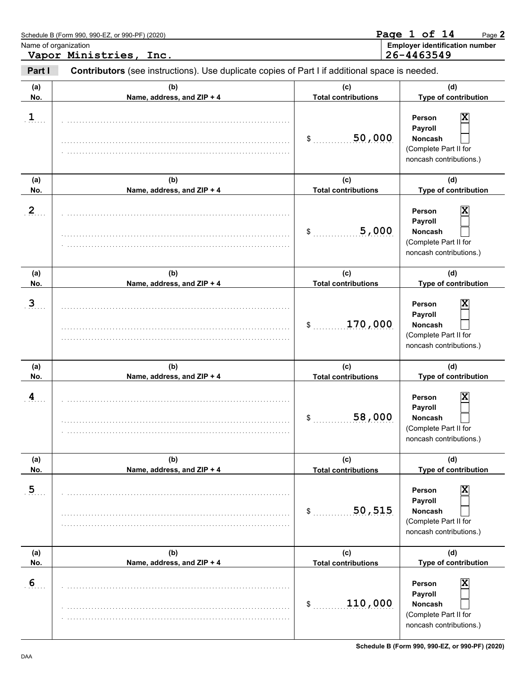| Schedule B (Form 990, 990-EZ, or 990-PF) (2020)<br>Name of organization |                                                                                                |                                   | Page 1 of 14<br>Page 2<br><b>Employer identification number</b>                              |  |  |
|-------------------------------------------------------------------------|------------------------------------------------------------------------------------------------|-----------------------------------|----------------------------------------------------------------------------------------------|--|--|
|                                                                         | Vapor Ministries, Inc.                                                                         |                                   | 26-4463549                                                                                   |  |  |
| Part I                                                                  | Contributors (see instructions). Use duplicate copies of Part I if additional space is needed. |                                   |                                                                                              |  |  |
| (a)<br>No.                                                              | (b)<br>Name, address, and ZIP + 4                                                              | (c)<br><b>Total contributions</b> | (d)<br>Type of contribution                                                                  |  |  |
| $\mathbf{1}$                                                            |                                                                                                | 50,000<br>\$                      | Person<br>Payroll<br>Noncash<br>(Complete Part II for<br>noncash contributions.)             |  |  |
| (a)                                                                     | (b)                                                                                            | (c)                               | (d)                                                                                          |  |  |
| No.                                                                     | Name, address, and ZIP + 4                                                                     | <b>Total contributions</b>        | Type of contribution                                                                         |  |  |
| $\overline{2}$                                                          |                                                                                                | 5,000<br>\$                       | Person<br>X<br>Payroll<br>Noncash<br>(Complete Part II for<br>noncash contributions.)        |  |  |
| (a)                                                                     | (b)                                                                                            | (c)                               | (d)                                                                                          |  |  |
| No.                                                                     | Name, address, and ZIP + 4                                                                     | <b>Total contributions</b>        | Type of contribution                                                                         |  |  |
| $\overline{3}$                                                          |                                                                                                | 170,000<br>\$                     | Person<br>Payroll<br>Noncash<br>(Complete Part II for<br>noncash contributions.)             |  |  |
| (a)                                                                     | (b)                                                                                            | (c)                               | (d)                                                                                          |  |  |
| No.                                                                     | Name, address, and ZIP + 4                                                                     | <b>Total contributions</b>        | Type of contribution                                                                         |  |  |
| 4                                                                       |                                                                                                | 58,000                            | X<br>Person<br>Payroll<br><b>Noncash</b><br>(Complete Part II for<br>noncash contributions.) |  |  |
| (a)                                                                     | (b)                                                                                            | (c)                               | (d)                                                                                          |  |  |
| No.                                                                     | Name, address, and ZIP + 4                                                                     | <b>Total contributions</b>        | Type of contribution                                                                         |  |  |
| $\overline{5}$                                                          |                                                                                                | 50, 515<br>\$                     | X<br>Person<br>Payroll<br><b>Noncash</b><br>(Complete Part II for<br>noncash contributions.) |  |  |
| (a)                                                                     | (b)                                                                                            | (c)                               | (d)                                                                                          |  |  |
| No.                                                                     | Name, address, and ZIP + 4                                                                     | <b>Total contributions</b>        | Type of contribution                                                                         |  |  |
| 6                                                                       |                                                                                                | 110,000<br>\$                     | X<br>Person<br>Payroll<br><b>Noncash</b><br>(Complete Part II for<br>noncash contributions.) |  |  |

**Schedule B (Form 990, 990-EZ, or 990-PF) (2020)**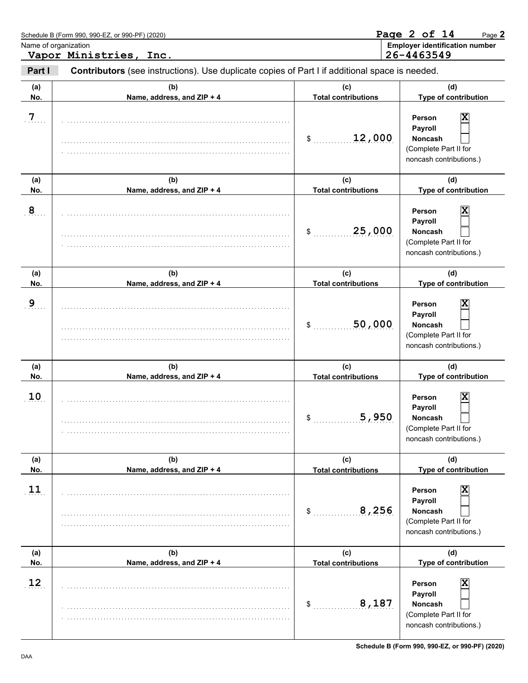| Schedule B (Form 990, 990-EZ, or 990-PF) (2020)<br>Name of organization<br>Vapor Ministries, Inc. |                                                                                                |                                   | Page 2 of 14<br>Page 2<br><b>Employer identification number</b><br>26-4463549                               |
|---------------------------------------------------------------------------------------------------|------------------------------------------------------------------------------------------------|-----------------------------------|-------------------------------------------------------------------------------------------------------------|
| Part I                                                                                            | Contributors (see instructions). Use duplicate copies of Part I if additional space is needed. |                                   |                                                                                                             |
| (a)<br>No.                                                                                        | (b)<br>Name, address, and ZIP + 4                                                              | (c)<br><b>Total contributions</b> | (d)<br>Type of contribution                                                                                 |
| 7                                                                                                 |                                                                                                | 12,000<br>\$                      | X<br>Person<br>Payroll<br><b>Noncash</b><br>(Complete Part II for<br>noncash contributions.)                |
| (a)<br>No.                                                                                        | (b)<br>Name, address, and ZIP + 4                                                              | (c)<br><b>Total contributions</b> | (d)<br>Type of contribution                                                                                 |
| $\overline{8}$                                                                                    |                                                                                                | 25,000<br>\$                      | X<br>Person<br>Payroll<br><b>Noncash</b><br>(Complete Part II for<br>noncash contributions.)                |
| (a)<br>No.                                                                                        | (b)<br>Name, address, and ZIP + 4                                                              | (c)<br><b>Total contributions</b> | (d)<br>Type of contribution                                                                                 |
| 9                                                                                                 |                                                                                                | 50,000<br>\$                      | X<br>Person<br>Payroll<br><b>Noncash</b><br>(Complete Part II for<br>noncash contributions.)                |
| (a)<br>No.                                                                                        | (b)<br>Name, address, and ZIP + 4                                                              | (c)<br><b>Total contributions</b> | (d)<br>Type of contribution                                                                                 |
| 10                                                                                                |                                                                                                | 5,950<br>\$                       | X<br>Person<br><b>Payroll</b><br>Noncash<br>(Complete Part II for<br>noncash contributions.)                |
| (a)<br>No.                                                                                        | (b)<br>Name, address, and ZIP + 4                                                              | (c)<br><b>Total contributions</b> | (d)<br>Type of contribution                                                                                 |
| 11                                                                                                |                                                                                                | 8,256<br>\$                       | $\overline{\mathbf{x}}$<br>Person<br>Payroll<br>Noncash<br>(Complete Part II for<br>noncash contributions.) |
| (a)<br>No.                                                                                        | (b)<br>Name, address, and ZIP + 4                                                              | (c)<br><b>Total contributions</b> | (d)<br>Type of contribution                                                                                 |
| 12                                                                                                |                                                                                                | 8,187<br>\$                       | X<br>Person<br>Payroll<br>Noncash<br>(Complete Part II for<br>noncash contributions.)                       |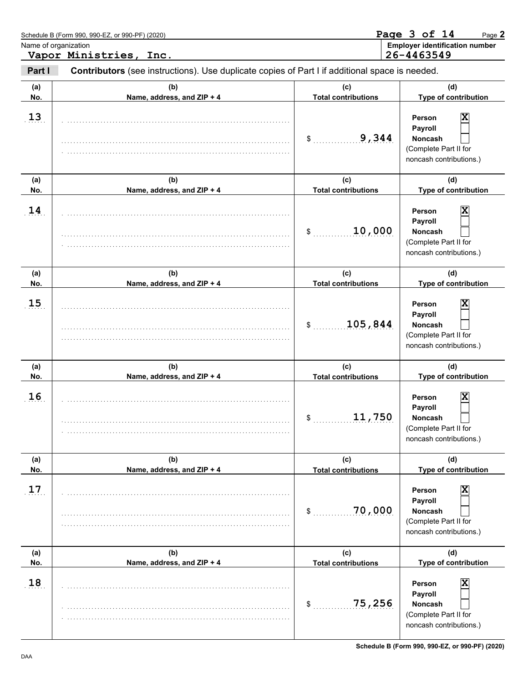| Schedule B (Form 990, 990-EZ, or 990-PF) (2020)<br>Name of organization<br>Vapor Ministries, Inc. |                                                                                                |                                   | Page 3 of 14<br>Page 2<br><b>Employer identification number</b><br>26-4463549                                      |
|---------------------------------------------------------------------------------------------------|------------------------------------------------------------------------------------------------|-----------------------------------|--------------------------------------------------------------------------------------------------------------------|
| Part I                                                                                            | Contributors (see instructions). Use duplicate copies of Part I if additional space is needed. |                                   |                                                                                                                    |
| (a)<br>No.                                                                                        | (b)<br>Name, address, and ZIP + 4                                                              | (c)<br><b>Total contributions</b> | (d)<br>Type of contribution                                                                                        |
| 13                                                                                                |                                                                                                | 9,344<br>\$                       | $\overline{\mathbf{x}}$<br>Person<br>Payroll<br><b>Noncash</b><br>(Complete Part II for<br>noncash contributions.) |
| (a)<br>No.                                                                                        | (b)<br>Name, address, and ZIP + 4                                                              | (c)<br><b>Total contributions</b> | (d)<br>Type of contribution                                                                                        |
| 14                                                                                                |                                                                                                | 10,000<br>\$                      | $\overline{\mathbf{x}}$<br>Person<br>Payroll<br><b>Noncash</b><br>(Complete Part II for<br>noncash contributions.) |
| (a)<br>No.                                                                                        | (b)<br>Name, address, and ZIP + 4                                                              | (c)<br><b>Total contributions</b> | (d)<br>Type of contribution                                                                                        |
| 15                                                                                                |                                                                                                | 105,844<br>\$                     | $\overline{\mathbf{x}}$<br>Person<br>Payroll<br><b>Noncash</b><br>(Complete Part II for<br>noncash contributions.) |
| (a)<br>No.                                                                                        | (b)<br>Name, address, and ZIP + 4                                                              | (c)<br><b>Total contributions</b> | (d)<br>Type of contribution                                                                                        |
| 16                                                                                                |                                                                                                | 11,750<br>\$                      | $\overline{\mathbf{x}}$<br>Person<br><b>Payroll</b><br>Noncash<br>(Complete Part II for<br>noncash contributions.) |
| (a)<br>No.                                                                                        | (b)<br>Name, address, and ZIP + 4                                                              | (c)<br><b>Total contributions</b> | (d)<br>Type of contribution                                                                                        |
| 17                                                                                                |                                                                                                | 70,000<br>\$                      | X<br>Person<br>Payroll<br>Noncash<br>(Complete Part II for<br>noncash contributions.)                              |
| (a)<br>No.                                                                                        | (b)<br>Name, address, and ZIP + 4                                                              | (c)<br><b>Total contributions</b> | (d)<br>Type of contribution                                                                                        |
| 18                                                                                                |                                                                                                | 75,256<br>\$                      | X<br>Person<br>Payroll<br>Noncash<br>(Complete Part II for<br>noncash contributions.)                              |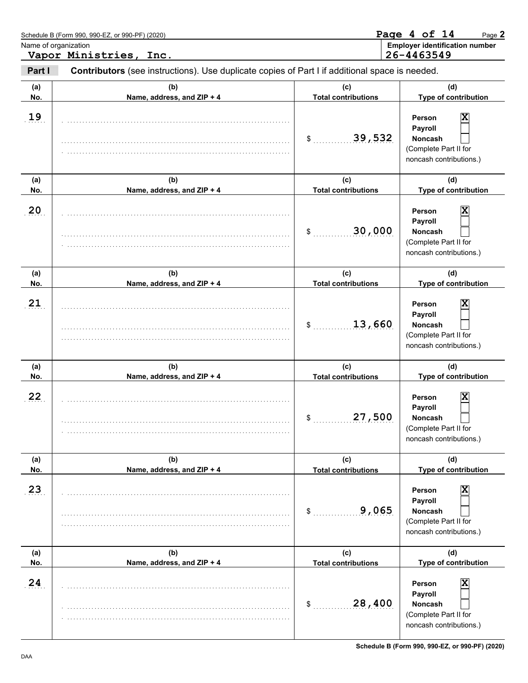| Schedule B (Form 990, 990-EZ, or 990-PF) (2020)<br>Name of organization<br>Vapor Ministries, Inc. |                                                                                                |                                   | Page 4 of 14<br>Page 2<br><b>Employer identification number</b><br>26-4463549                                      |
|---------------------------------------------------------------------------------------------------|------------------------------------------------------------------------------------------------|-----------------------------------|--------------------------------------------------------------------------------------------------------------------|
| Part I                                                                                            | Contributors (see instructions). Use duplicate copies of Part I if additional space is needed. |                                   |                                                                                                                    |
| (a)<br>No.                                                                                        | (b)<br>Name, address, and ZIP + 4                                                              | (c)<br><b>Total contributions</b> | (d)<br>Type of contribution                                                                                        |
| 19                                                                                                |                                                                                                | 39,532<br>\$                      | $\overline{\mathbf{x}}$<br>Person<br>Payroll<br><b>Noncash</b><br>(Complete Part II for<br>noncash contributions.) |
| (a)<br>No.                                                                                        | (b)<br>Name, address, and ZIP + 4                                                              | (c)<br><b>Total contributions</b> | (d)<br>Type of contribution                                                                                        |
| 20                                                                                                |                                                                                                | 30,000<br>\$                      | $\overline{\mathbf{x}}$<br>Person<br>Payroll<br><b>Noncash</b><br>(Complete Part II for<br>noncash contributions.) |
| (a)<br>No.                                                                                        | (b)<br>Name, address, and ZIP + 4                                                              | (c)<br><b>Total contributions</b> | (d)<br>Type of contribution                                                                                        |
| 21                                                                                                |                                                                                                | 13,660<br>\$                      | $\overline{\mathbf{x}}$<br>Person<br>Payroll<br><b>Noncash</b><br>(Complete Part II for<br>noncash contributions.) |
| (a)<br>No.                                                                                        | (b)<br>Name, address, and ZIP + 4                                                              | (c)<br><b>Total contributions</b> | (d)<br>Type of contribution                                                                                        |
| 22                                                                                                |                                                                                                | 27,500<br>\$                      | $\overline{\mathbf{x}}$<br>Person<br><b>Payroll</b><br>Noncash<br>(Complete Part II for<br>noncash contributions.) |
| (a)<br>No.                                                                                        | (b)<br>Name, address, and ZIP + 4                                                              | (c)<br><b>Total contributions</b> | (d)<br>Type of contribution                                                                                        |
| 23                                                                                                |                                                                                                | 9,065<br>\$                       | X<br>Person<br>Payroll<br>Noncash<br>(Complete Part II for<br>noncash contributions.)                              |
| (a)<br>No.                                                                                        | (b)<br>Name, address, and ZIP + 4                                                              | (c)<br><b>Total contributions</b> | (d)<br>Type of contribution                                                                                        |
| 24                                                                                                |                                                                                                | 28,400<br>\$                      | X<br>Person<br>Payroll<br>Noncash<br>(Complete Part II for<br>noncash contributions.)                              |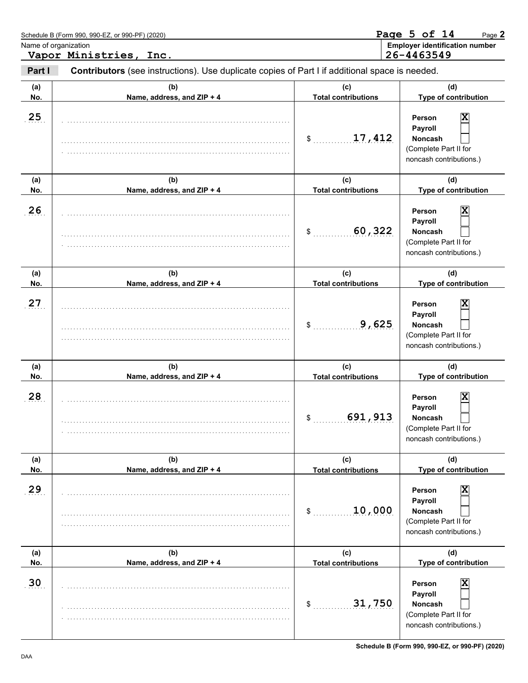| Name of organization | Schedule B (Form 990, 990-EZ, or 990-PF) (2020)<br>Vapor Ministries, Inc.                      |                                   | Page 5 of 14<br>Page 2<br><b>Employer identification number</b><br>26-4463549                               |
|----------------------|------------------------------------------------------------------------------------------------|-----------------------------------|-------------------------------------------------------------------------------------------------------------|
| Part I               | Contributors (see instructions). Use duplicate copies of Part I if additional space is needed. |                                   |                                                                                                             |
| (a)<br>No.           | (b)<br>Name, address, and ZIP + 4                                                              | (c)<br><b>Total contributions</b> | (d)<br>Type of contribution                                                                                 |
| 25                   |                                                                                                | 17,412<br>\$                      | X<br>Person<br>Payroll<br><b>Noncash</b><br>(Complete Part II for<br>noncash contributions.)                |
| (a)<br>No.           | (b)<br>Name, address, and ZIP + 4                                                              | (c)<br><b>Total contributions</b> | (d)<br>Type of contribution                                                                                 |
| 26                   |                                                                                                | 60,322<br>\$                      | X<br>Person<br>Payroll<br><b>Noncash</b><br>(Complete Part II for<br>noncash contributions.)                |
| (a)<br>No.           | (b)<br>Name, address, and ZIP + 4                                                              | (c)<br><b>Total contributions</b> | (d)<br>Type of contribution                                                                                 |
| 27                   |                                                                                                | 9,625<br>\$                       | X<br>Person<br>Payroll<br><b>Noncash</b><br>(Complete Part II for<br>noncash contributions.)                |
| (a)<br>No.           | (b)<br>Name, address, and ZIP + 4                                                              | (c)<br><b>Total contributions</b> | (d)<br>Type of contribution                                                                                 |
| 28                   |                                                                                                | 691, 913<br>\$                    | $\overline{\mathbf{x}}$<br>Person<br>Payroll<br>Noncash<br>(Complete Part II for<br>noncash contributions.) |
| (a)<br>No.           | (b)<br>Name, address, and ZIP + 4                                                              | (c)<br><b>Total contributions</b> | (d)<br>Type of contribution                                                                                 |
| 29                   |                                                                                                | 10,000<br>\$                      | X<br>Person<br>Payroll<br>Noncash<br>(Complete Part II for<br>noncash contributions.)                       |
| (a)<br>No.           | (b)<br>Name, address, and ZIP + 4                                                              | (c)<br><b>Total contributions</b> | (d)<br>Type of contribution                                                                                 |
| 30 <sub>2</sub>      |                                                                                                | 31,750<br>\$                      | X<br>Person<br>Payroll<br>Noncash<br>(Complete Part II for<br>noncash contributions.)                       |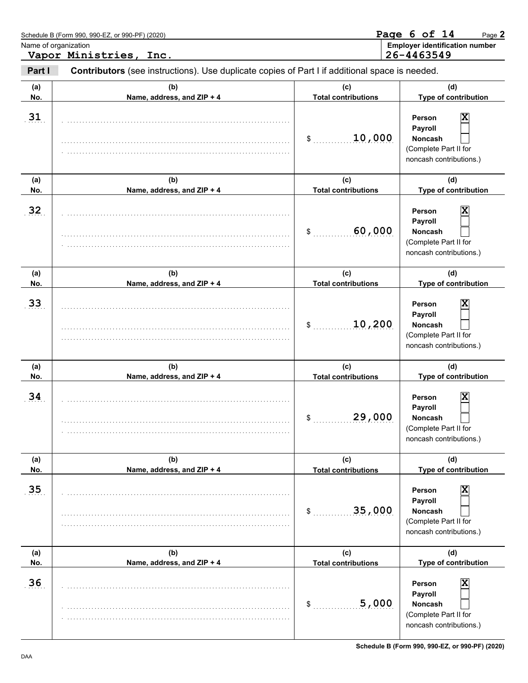| Schedule B (Form 990, 990-EZ, or 990-PF) (2020)<br>Name of organization<br>Vapor Ministries, Inc. |                                                                                                |                                   | Page 6 of 14<br>Page 2<br><b>Employer identification number</b><br>26-4463549                                      |  |
|---------------------------------------------------------------------------------------------------|------------------------------------------------------------------------------------------------|-----------------------------------|--------------------------------------------------------------------------------------------------------------------|--|
| Part I                                                                                            | Contributors (see instructions). Use duplicate copies of Part I if additional space is needed. |                                   |                                                                                                                    |  |
| (a)<br>No.                                                                                        | (b)<br>Name, address, and ZIP + 4                                                              | (c)<br><b>Total contributions</b> | (d)<br>Type of contribution                                                                                        |  |
| 31                                                                                                |                                                                                                | 10,000<br>\$                      | $\overline{\mathbf{x}}$<br>Person<br>Payroll<br><b>Noncash</b><br>(Complete Part II for<br>noncash contributions.) |  |
| (a)<br>No.                                                                                        | (b)<br>Name, address, and ZIP + 4                                                              | (c)<br><b>Total contributions</b> | (d)<br>Type of contribution                                                                                        |  |
| 32                                                                                                |                                                                                                | 60,000<br>\$                      | X<br>Person<br>Payroll<br><b>Noncash</b><br>(Complete Part II for<br>noncash contributions.)                       |  |
| (a)<br>No.                                                                                        | (b)<br>Name, address, and ZIP + 4                                                              | (c)<br><b>Total contributions</b> | (d)<br>Type of contribution                                                                                        |  |
| 33                                                                                                |                                                                                                | 10,200<br>\$                      | $\overline{\mathbf{x}}$<br>Person<br>Payroll<br><b>Noncash</b><br>(Complete Part II for<br>noncash contributions.) |  |
| (a)<br>No.                                                                                        | (b)<br>Name, address, and ZIP + 4                                                              | (c)<br><b>Total contributions</b> | (d)<br>Type of contribution                                                                                        |  |
| 34                                                                                                |                                                                                                | 29,000<br>\$                      | $\overline{\mathbf{x}}$<br>Person<br><b>Payroll</b><br>Noncash<br>(Complete Part II for<br>noncash contributions.) |  |
| (a)<br>No.                                                                                        | (b)<br>Name, address, and ZIP + 4                                                              | (c)<br><b>Total contributions</b> | (d)<br>Type of contribution                                                                                        |  |
| 35 <sub>1</sub>                                                                                   |                                                                                                | 35,000<br>\$                      | X<br>Person<br>Payroll<br>Noncash<br>(Complete Part II for<br>noncash contributions.)                              |  |
| (a)<br>No.                                                                                        | (b)<br>Name, address, and ZIP + 4                                                              | (c)<br><b>Total contributions</b> | (d)<br>Type of contribution                                                                                        |  |
| 36                                                                                                |                                                                                                | 5,000<br>\$                       | X<br>Person<br>Payroll<br>Noncash<br>(Complete Part II for<br>noncash contributions.)                              |  |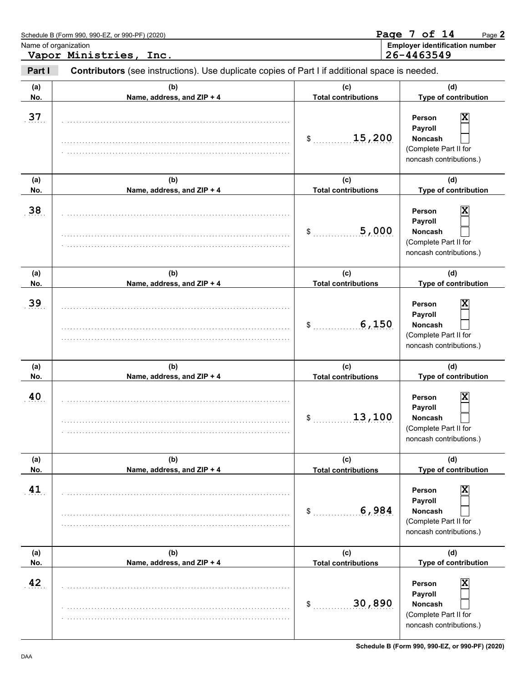| Schedule B (Form 990, 990-EZ, or 990-PF) (2020) |                                                                                                |                                           | Page 7 of 14<br>Page 2                                                                                               |  |  |
|-------------------------------------------------|------------------------------------------------------------------------------------------------|-------------------------------------------|----------------------------------------------------------------------------------------------------------------------|--|--|
| Name of organization                            | Vapor Ministries, Inc.                                                                         |                                           | <b>Employer identification number</b><br>26-4463549                                                                  |  |  |
| Part I                                          | Contributors (see instructions). Use duplicate copies of Part I if additional space is needed. |                                           |                                                                                                                      |  |  |
| (a)<br>No.                                      | (b)<br>Name, address, and ZIP + 4                                                              | (c)<br><b>Total contributions</b>         | (d)<br>Type of contribution                                                                                          |  |  |
| 37                                              |                                                                                                | 15,200<br>\$                              | X<br>Person<br>Payroll<br>Noncash<br>(Complete Part II for<br>noncash contributions.)                                |  |  |
| (a)                                             | (b)                                                                                            | (c)                                       | (d)                                                                                                                  |  |  |
| No.                                             | Name, address, and ZIP + 4                                                                     | <b>Total contributions</b>                | Type of contribution                                                                                                 |  |  |
| 38                                              |                                                                                                | 5,000<br>\$                               | Person<br>X<br>Payroll<br>Noncash<br>(Complete Part II for<br>noncash contributions.)                                |  |  |
| (a)                                             | (b)                                                                                            | (c)                                       | (d)                                                                                                                  |  |  |
| No.                                             | Name, address, and ZIP + 4                                                                     | <b>Total contributions</b>                | Type of contribution                                                                                                 |  |  |
| 39                                              |                                                                                                | 6,150<br>\$                               | X<br>Person<br>Payroll<br>Noncash<br>(Complete Part II for<br>noncash contributions.)                                |  |  |
| (a)<br>No.                                      | (b)<br>Name, address, and ZIP + 4                                                              | (c)<br><b>Total contributions</b>         | (d)<br>Type of contribution                                                                                          |  |  |
| 40                                              |                                                                                                | <u>13,100</u>                             | X<br>Person<br>Payroll<br>Noncash<br>(Complete Part II for<br>noncash contributions.)                                |  |  |
| (a)                                             | (b)                                                                                            | (c)                                       | (d)                                                                                                                  |  |  |
| No.<br>41                                       | Name, address, and ZIP + 4                                                                     | <b>Total contributions</b><br>6,984<br>\$ | Type of contribution<br>X<br>Person<br>Payroll<br><b>Noncash</b><br>(Complete Part II for<br>noncash contributions.) |  |  |
| (a)<br>No.                                      | (b)<br>Name, address, and ZIP + 4                                                              | (c)<br><b>Total contributions</b>         | (d)<br>Type of contribution                                                                                          |  |  |
| 42                                              |                                                                                                | 30,890<br>\$                              | X<br>Person<br>Payroll<br>Noncash<br>(Complete Part II for<br>noncash contributions.)                                |  |  |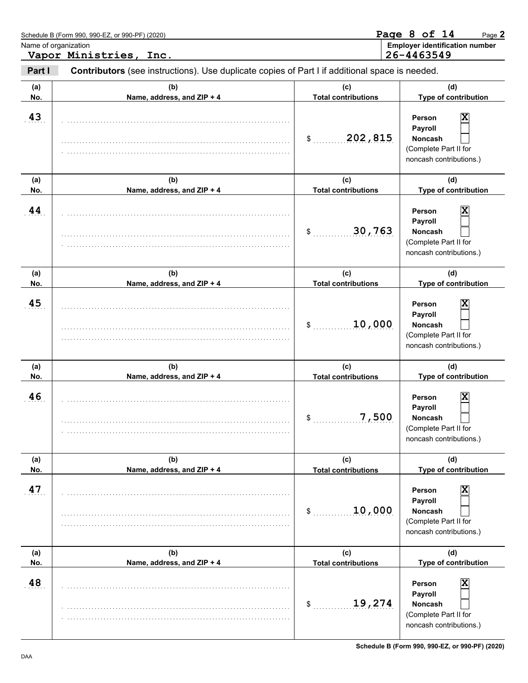| Name of organization | Schedule B (Form 990, 990-EZ, or 990-PF) (2020)                                                                          |                                   | Page 8 of 14<br>Page 2<br><b>Employer identification number</b>                                             |  |
|----------------------|--------------------------------------------------------------------------------------------------------------------------|-----------------------------------|-------------------------------------------------------------------------------------------------------------|--|
| Part I               | Vapor Ministries, Inc.<br>Contributors (see instructions). Use duplicate copies of Part I if additional space is needed. |                                   | 26-4463549                                                                                                  |  |
| (a)<br>No.           | (b)<br>Name, address, and ZIP + 4                                                                                        | (c)<br><b>Total contributions</b> | (d)<br>Type of contribution                                                                                 |  |
| 43                   |                                                                                                                          | 202,815<br>$\frac{1}{2}$          | X<br>Person<br>Payroll<br><b>Noncash</b><br>(Complete Part II for<br>noncash contributions.)                |  |
| (a)<br>No.           | (b)<br>Name, address, and ZIP + 4                                                                                        | (c)<br><b>Total contributions</b> | (d)<br>Type of contribution                                                                                 |  |
| 44                   |                                                                                                                          | 30,763<br>\$                      | X<br>Person<br>Payroll<br><b>Noncash</b><br>(Complete Part II for<br>noncash contributions.)                |  |
| (a)<br>No.           | (b)<br>Name, address, and ZIP + 4                                                                                        | (c)<br><b>Total contributions</b> | (d)<br>Type of contribution                                                                                 |  |
| 45                   |                                                                                                                          | 10,000<br>\$                      | X<br>Person<br>Payroll<br><b>Noncash</b><br>(Complete Part II for<br>noncash contributions.)                |  |
| (a)<br>No.           | (b)<br>Name, address, and ZIP + 4                                                                                        | (c)<br><b>Total contributions</b> | (d)<br>Type of contribution                                                                                 |  |
| 46                   |                                                                                                                          | 7,500<br>\$                       | $\overline{\mathbf{x}}$<br>Person<br>Payroll<br>Noncash<br>(Complete Part II for<br>noncash contributions.) |  |
| (a)<br>No.           | (b)<br>Name, address, and ZIP + 4                                                                                        | (c)<br><b>Total contributions</b> | (d)<br>Type of contribution                                                                                 |  |
| 47                   |                                                                                                                          | 10,000<br>\$                      | X<br>Person<br>Payroll<br>Noncash<br>(Complete Part II for<br>noncash contributions.)                       |  |
| (a)<br>No.           | (b)<br>Name, address, and ZIP + 4                                                                                        | (c)<br><b>Total contributions</b> | (d)<br>Type of contribution                                                                                 |  |
| 48                   |                                                                                                                          | 19,274<br>\$                      | Person<br>X<br>Payroll<br>Noncash<br>(Complete Part II for<br>noncash contributions.)                       |  |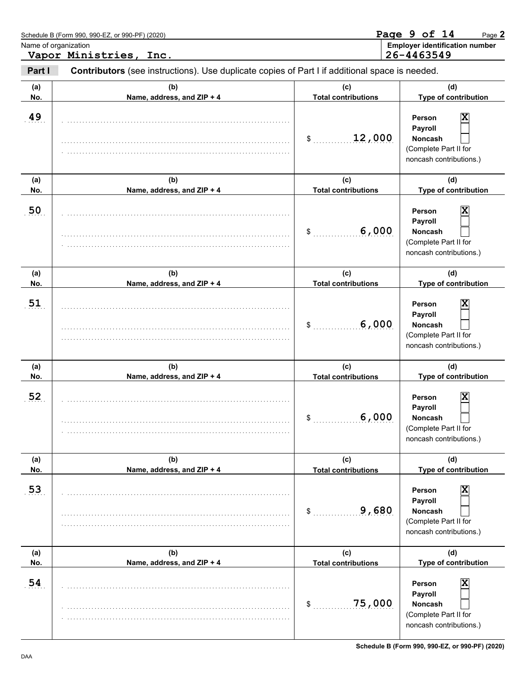| Schedule B (Form 990, 990-EZ, or 990-PF) (2020)<br>Name of organization<br>Vapor Ministries, Inc. |                                                                                                |                                   | Page 9 of 14<br>Page 2<br><b>Employer identification number</b><br>26-4463549                                      |  |
|---------------------------------------------------------------------------------------------------|------------------------------------------------------------------------------------------------|-----------------------------------|--------------------------------------------------------------------------------------------------------------------|--|
| Part I                                                                                            | Contributors (see instructions). Use duplicate copies of Part I if additional space is needed. |                                   |                                                                                                                    |  |
| (a)<br>No.                                                                                        | (b)<br>Name, address, and ZIP + 4                                                              | (c)<br><b>Total contributions</b> | (d)<br>Type of contribution                                                                                        |  |
| 49                                                                                                |                                                                                                | 12,000<br>\$                      | X<br>Person<br>Payroll<br><b>Noncash</b><br>(Complete Part II for<br>noncash contributions.)                       |  |
| (a)<br>No.                                                                                        | (b)<br>Name, address, and ZIP + 4                                                              | (c)<br><b>Total contributions</b> | (d)<br>Type of contribution                                                                                        |  |
| 50                                                                                                |                                                                                                | 6,000<br>\$                       | X<br>Person<br>Payroll<br><b>Noncash</b><br>(Complete Part II for<br>noncash contributions.)                       |  |
| (a)<br>No.                                                                                        | (b)<br>Name, address, and ZIP + 4                                                              | (c)<br><b>Total contributions</b> | (d)<br>Type of contribution                                                                                        |  |
| 51                                                                                                |                                                                                                | 6,000<br>\$                       | X<br>Person<br>Payroll<br><b>Noncash</b><br>(Complete Part II for<br>noncash contributions.)                       |  |
| (a)<br>No.                                                                                        | (b)<br>Name, address, and ZIP + 4                                                              | (c)<br><b>Total contributions</b> | (d)<br>Type of contribution                                                                                        |  |
| 52                                                                                                |                                                                                                | 6,000<br>\$                       | $\overline{\mathbf{x}}$<br>Person<br><b>Payroll</b><br>Noncash<br>(Complete Part II for<br>noncash contributions.) |  |
| (a)<br>No.                                                                                        | (b)<br>Name, address, and ZIP + 4                                                              | (c)<br><b>Total contributions</b> | (d)<br>Type of contribution                                                                                        |  |
| 53                                                                                                |                                                                                                | 9,680<br>\$                       | X<br>Person<br>Payroll<br>Noncash<br>(Complete Part II for<br>noncash contributions.)                              |  |
| (a)<br>No.                                                                                        | (b)<br>Name, address, and ZIP + 4                                                              | (c)<br><b>Total contributions</b> | (d)<br>Type of contribution                                                                                        |  |
| 54                                                                                                |                                                                                                | 75,000<br>\$                      | X<br>Person<br>Payroll<br>Noncash<br>(Complete Part II for<br>noncash contributions.)                              |  |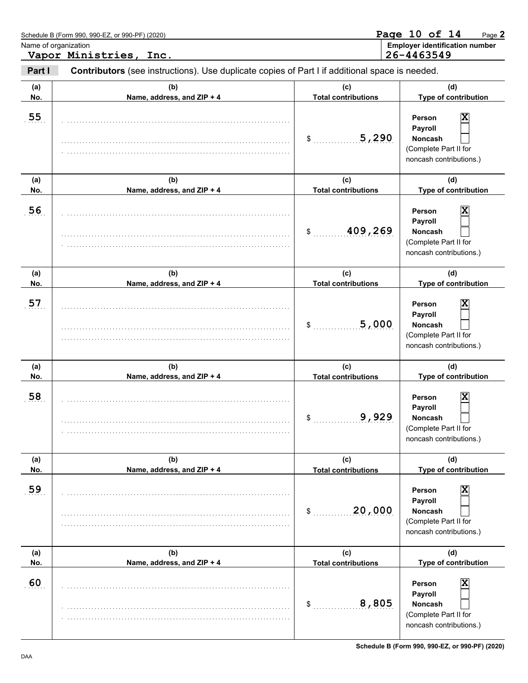|                                                | Schedule B (Form 990, 990-EZ, or 990-PF) (2020)                                                |                                   | Page 10 of 14<br>Page 2                                                                      |  |
|------------------------------------------------|------------------------------------------------------------------------------------------------|-----------------------------------|----------------------------------------------------------------------------------------------|--|
| Name of organization<br>Vapor Ministries, Inc. |                                                                                                |                                   | <b>Employer identification number</b><br>26-4463549                                          |  |
| Part I                                         | Contributors (see instructions). Use duplicate copies of Part I if additional space is needed. |                                   |                                                                                              |  |
| (a)<br>No.                                     | (b)<br>Name, address, and ZIP + 4                                                              | (c)<br><b>Total contributions</b> | (d)<br>Type of contribution                                                                  |  |
| 55                                             |                                                                                                | 5,290<br>\$                       | X<br>Person<br>Payroll<br>Noncash<br>(Complete Part II for<br>noncash contributions.)        |  |
| (a)<br>No.                                     | (b)<br>Name, address, and ZIP + 4                                                              | (c)<br><b>Total contributions</b> | (d)<br>Type of contribution                                                                  |  |
| 56                                             |                                                                                                | 409,269<br>\$                     | X<br>Person<br>Payroll<br>Noncash<br>(Complete Part II for<br>noncash contributions.)        |  |
| (a)<br>No.                                     | (b)<br>Name, address, and ZIP + 4                                                              | (c)<br><b>Total contributions</b> | (d)<br>Type of contribution                                                                  |  |
| 57                                             |                                                                                                | 5,000<br>\$                       | X<br>Person<br>Payroll<br>Noncash<br>(Complete Part II for<br>noncash contributions.)        |  |
| (a)<br>No.                                     | (b)<br>Name, address, and ZIP + 4                                                              | (c)<br><b>Total contributions</b> | (d)<br>Type of contribution                                                                  |  |
| 58                                             |                                                                                                | 9,929<br>\$                       | X<br>Person<br>Payroll<br>Noncash<br>(Complete Part II for<br>noncash contributions.)        |  |
| (a)<br>No.                                     | (b)<br>Name, address, and ZIP + 4                                                              | (c)<br><b>Total contributions</b> | (d)<br>Type of contribution                                                                  |  |
| 59                                             |                                                                                                | 20,000<br>\$                      | X<br>Person<br>Payroll<br><b>Noncash</b><br>(Complete Part II for<br>noncash contributions.) |  |
| (a)<br>No.                                     | (b)<br>Name, address, and ZIP + 4                                                              | (c)<br><b>Total contributions</b> | (d)<br>Type of contribution                                                                  |  |
| 60                                             |                                                                                                | 8,805<br>\$                       | X<br>Person<br>Payroll<br>Noncash<br>(Complete Part II for<br>noncash contributions.)        |  |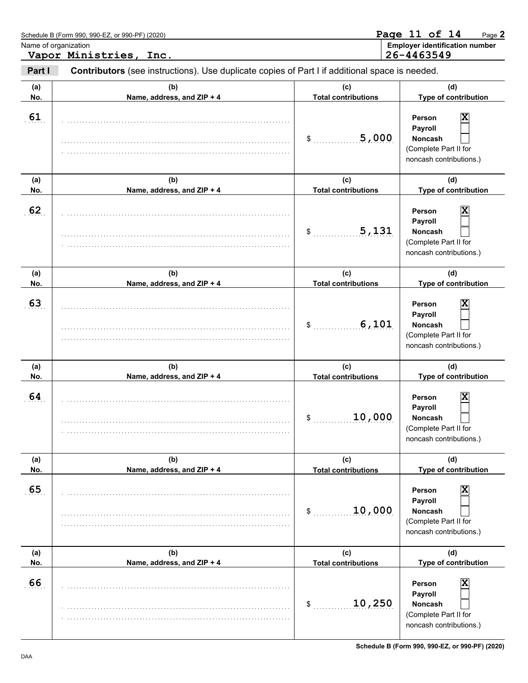|                      | Schedule B (Form 990, 990-EZ, or 990-PF) (2020)                                                |                                   | Page 11 of 14<br>Page 2                                                                      |  |
|----------------------|------------------------------------------------------------------------------------------------|-----------------------------------|----------------------------------------------------------------------------------------------|--|
| Name of organization | Vapor Ministries, Inc.                                                                         |                                   | <b>Employer identification number</b><br>26-4463549                                          |  |
| Part I               | Contributors (see instructions). Use duplicate copies of Part I if additional space is needed. |                                   |                                                                                              |  |
| (a)<br>No.           | (b)<br>Name, address, and ZIP + 4                                                              | (C)<br><b>Total contributions</b> | (d)<br>Type of contribution                                                                  |  |
| 61                   |                                                                                                | 5,000<br>\$                       | X<br>Person<br>Payroll<br><b>Noncash</b><br>(Complete Part II for<br>noncash contributions.) |  |
| (a)<br>No.           | (b)<br>Name, address, and ZIP + 4                                                              | (c)<br><b>Total contributions</b> | (d)<br>Type of contribution                                                                  |  |
| 62                   |                                                                                                | 5,131<br>\$                       | X<br>Person<br>Payroll<br>Noncash<br>(Complete Part II for<br>noncash contributions.)        |  |
| (a)<br>No.           | (b)<br>Name, address, and ZIP + 4                                                              | (c)<br><b>Total contributions</b> | (d)<br>Type of contribution                                                                  |  |
| 63                   |                                                                                                | 6,101<br>\$                       | X<br>Person<br>Payroll<br>Noncash<br>(Complete Part II for<br>noncash contributions.)        |  |
| (a)<br>No.           | (b)<br>Name, address, and ZIP + 4                                                              | (c)<br><b>Total contributions</b> | (d)<br>Type of contribution                                                                  |  |
| 64                   |                                                                                                | 10,000<br>\$                      | X<br>Person<br>Payroll<br><b>Noncash</b><br>(Complete Part II for<br>noncash contributions.) |  |
| (a)<br>No.           | (b)<br>Name, address, and ZIP + 4                                                              | (c)<br><b>Total contributions</b> | (d)<br>Type of contribution                                                                  |  |
| 65                   |                                                                                                | 10,000<br>\$                      | X<br>Person<br>Payroll<br><b>Noncash</b><br>(Complete Part II for<br>noncash contributions.) |  |
| (a)<br>No.           | (b)<br>Name, address, and ZIP + 4                                                              | (c)<br><b>Total contributions</b> | (d)<br>Type of contribution                                                                  |  |
| 66                   |                                                                                                | 10,250<br>\$                      | X<br>Person<br>Payroll<br><b>Noncash</b><br>(Complete Part II for<br>noncash contributions.) |  |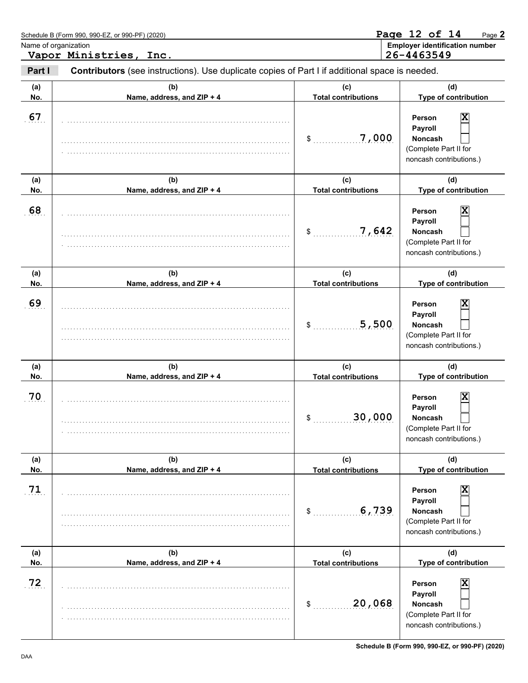|                      | Schedule B (Form 990, 990-EZ, or 990-PF) (2020)                                                |                                   | Page 12 of 14<br>Page 2                                                                      |  |
|----------------------|------------------------------------------------------------------------------------------------|-----------------------------------|----------------------------------------------------------------------------------------------|--|
| Name of organization | Vapor Ministries, Inc.                                                                         |                                   | <b>Employer identification number</b><br>26-4463549                                          |  |
| Part I               | Contributors (see instructions). Use duplicate copies of Part I if additional space is needed. |                                   |                                                                                              |  |
| (a)<br>No.           | (b)<br>Name, address, and ZIP + 4                                                              | (C)<br><b>Total contributions</b> | (d)<br>Type of contribution                                                                  |  |
| 67                   |                                                                                                | 7,000<br>\$                       | X<br>Person<br>Payroll<br><b>Noncash</b><br>(Complete Part II for<br>noncash contributions.) |  |
| (a)<br>No.           | (b)<br>Name, address, and ZIP + 4                                                              | (c)<br><b>Total contributions</b> | (d)<br>Type of contribution                                                                  |  |
| 68                   |                                                                                                | 7,642<br>\$                       | X<br>Person<br>Payroll<br><b>Noncash</b><br>(Complete Part II for<br>noncash contributions.) |  |
| (a)<br>No.           | (b)<br>Name, address, and ZIP + 4                                                              | (c)<br><b>Total contributions</b> | (d)<br>Type of contribution                                                                  |  |
| 69                   |                                                                                                | 5,500<br>\$                       | X<br>Person<br>Payroll<br>Noncash<br>(Complete Part II for<br>noncash contributions.)        |  |
| (a)<br>No.           | (b)<br>Name, address, and ZIP + 4                                                              | (c)<br><b>Total contributions</b> | (d)<br>Type of contribution                                                                  |  |
| 70                   |                                                                                                | 30,000<br>\$                      | X<br>Person<br>Payroll<br><b>Noncash</b><br>(Complete Part II for<br>noncash contributions.) |  |
| (a)<br>No.           | (b)<br>Name, address, and ZIP + 4                                                              | (c)<br><b>Total contributions</b> | (d)<br>Type of contribution                                                                  |  |
| 71                   |                                                                                                | 6,739<br>\$                       | X<br>Person<br>Payroll<br><b>Noncash</b><br>(Complete Part II for<br>noncash contributions.) |  |
| (a)<br>No.           | (b)<br>Name, address, and ZIP + 4                                                              | (c)<br><b>Total contributions</b> | (d)<br>Type of contribution                                                                  |  |
| 72                   |                                                                                                | 20,068<br>\$                      | X<br>Person<br>Payroll<br><b>Noncash</b><br>(Complete Part II for<br>noncash contributions.) |  |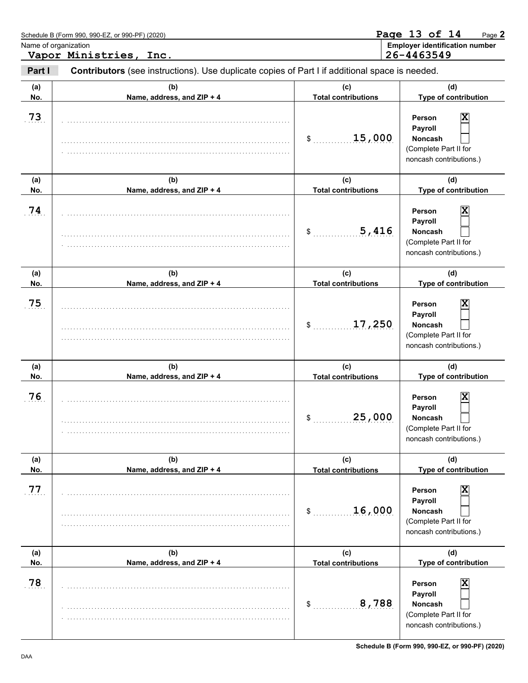|                      | Schedule B (Form 990, 990-EZ, or 990-PF) (2020)                                                |                                   | Page 13 of 14<br>Page 2                                                                      |  |
|----------------------|------------------------------------------------------------------------------------------------|-----------------------------------|----------------------------------------------------------------------------------------------|--|
| Name of organization | Vapor Ministries, Inc.                                                                         |                                   | <b>Employer identification number</b><br>26-4463549                                          |  |
| Part I               | Contributors (see instructions). Use duplicate copies of Part I if additional space is needed. |                                   |                                                                                              |  |
| (a)<br>No.           | (b)<br>Name, address, and ZIP + 4                                                              | (c)<br><b>Total contributions</b> | (d)<br>Type of contribution                                                                  |  |
| 73                   |                                                                                                | 15,000<br>\$                      | X<br>Person<br>Payroll<br><b>Noncash</b><br>(Complete Part II for<br>noncash contributions.) |  |
| (a)<br>No.           | (b)<br>Name, address, and ZIP + 4                                                              | (c)<br><b>Total contributions</b> | (d)<br>Type of contribution                                                                  |  |
| 74                   |                                                                                                | 5,416<br>\$                       | X<br>Person<br>Payroll<br>Noncash<br>(Complete Part II for<br>noncash contributions.)        |  |
| (a)<br>No.           | (b)<br>Name, address, and ZIP + 4                                                              | (c)<br><b>Total contributions</b> | (d)<br>Type of contribution                                                                  |  |
| 75                   |                                                                                                | 17,250<br>\$                      | X<br>Person<br>Payroll<br>Noncash<br>(Complete Part II for<br>noncash contributions.)        |  |
| (a)<br>No.           | (b)<br>Name, address, and ZIP + 4                                                              | (c)<br><b>Total contributions</b> | (d)<br>Type of contribution                                                                  |  |
| 76                   |                                                                                                | 25,000<br>\$                      | X<br>Person<br>Payroll<br><b>Noncash</b><br>(Complete Part II for<br>noncash contributions.) |  |
| (a)<br>No.           | (b)<br>Name, address, and ZIP + 4                                                              | (c)<br><b>Total contributions</b> | (d)<br>Type of contribution                                                                  |  |
| 77                   |                                                                                                | 16,000<br>\$                      | X<br>Person<br>Payroll<br><b>Noncash</b><br>(Complete Part II for<br>noncash contributions.) |  |
| (a)<br>No.           | (b)<br>Name, address, and ZIP + 4                                                              | (c)<br><b>Total contributions</b> | (d)<br>Type of contribution                                                                  |  |
| 78                   |                                                                                                | 8,788<br>\$                       | X<br>Person<br>Payroll<br><b>Noncash</b><br>(Complete Part II for<br>noncash contributions.) |  |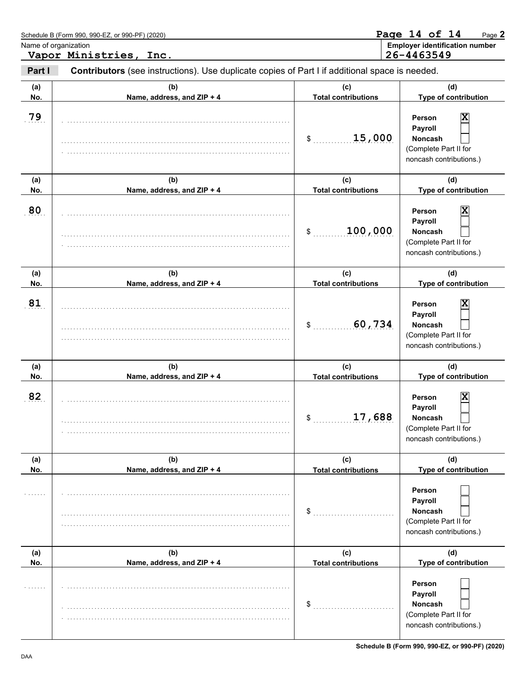|            | Schedule B (Form 990, 990-EZ, or 990-PF) (2020)                                                |                                   | Page 14 of 14<br>Page 2                                                                      |  |
|------------|------------------------------------------------------------------------------------------------|-----------------------------------|----------------------------------------------------------------------------------------------|--|
|            | Name of organization<br>Vapor Ministries, Inc.                                                 |                                   | <b>Employer identification number</b><br>26-4463549                                          |  |
| Part I     | Contributors (see instructions). Use duplicate copies of Part I if additional space is needed. |                                   |                                                                                              |  |
| (a)<br>No. | (b)<br>Name, address, and ZIP + 4                                                              | (C)<br><b>Total contributions</b> | (d)<br>Type of contribution                                                                  |  |
| 79         |                                                                                                | 15,000<br>\$                      | X<br>Person<br>Payroll<br><b>Noncash</b><br>(Complete Part II for<br>noncash contributions.) |  |
| (a)<br>No. | (b)<br>Name, address, and ZIP + 4                                                              | (c)<br><b>Total contributions</b> | (d)<br>Type of contribution                                                                  |  |
| 80         |                                                                                                | 100,000<br>\$                     | X<br>Person<br>Payroll<br>Noncash<br>(Complete Part II for<br>noncash contributions.)        |  |
| (a)<br>No. | (b)<br>Name, address, and ZIP + 4                                                              | (c)<br><b>Total contributions</b> | (d)<br>Type of contribution                                                                  |  |
| 81         |                                                                                                | 60,734<br>\$                      | X<br>Person<br>Payroll<br>Noncash<br>(Complete Part II for<br>noncash contributions.)        |  |
| (a)<br>No. | (b)<br>Name, address, and ZIP + 4                                                              | (c)<br><b>Total contributions</b> | (d)<br>Type of contribution                                                                  |  |
| 82         |                                                                                                | 17,688<br>\$                      | X<br>Person<br>Payroll<br><b>Noncash</b><br>(Complete Part II for<br>noncash contributions.) |  |
| (a)<br>No. | (b)<br>Name, address, and ZIP + 4                                                              | (c)<br><b>Total contributions</b> | (d)<br>Type of contribution                                                                  |  |
| .          |                                                                                                | \$                                | Person<br>Payroll<br><b>Noncash</b><br>(Complete Part II for<br>noncash contributions.)      |  |
| (a)<br>No. | (b)<br>Name, address, and ZIP + 4                                                              | (c)<br><b>Total contributions</b> | (d)<br>Type of contribution                                                                  |  |
|            |                                                                                                | \$                                | Person<br>Payroll<br><b>Noncash</b><br>(Complete Part II for<br>noncash contributions.)      |  |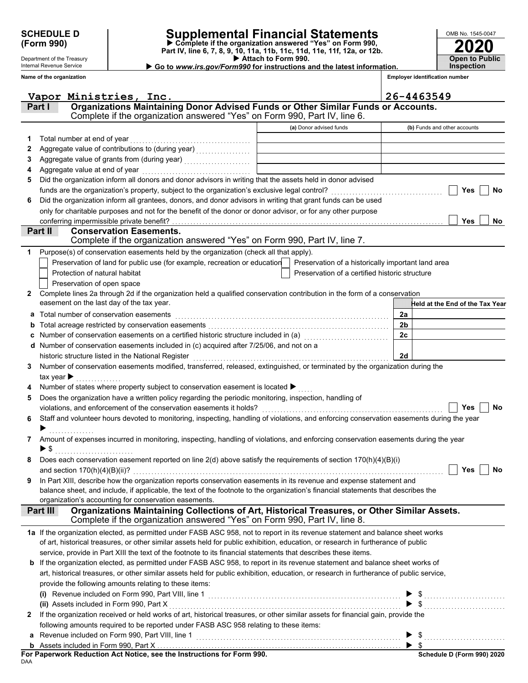Department of the Treasury Internal Revenue Service **Name of the organization**

## **SCHEDULE D Supplemental Financial Statements**

Attach to Form 990. **(Form 990)** ● **P** Complete if the organization answered "Yes" on Form 990,<br>Part IV, line 6, 7, 8, 9, 10, 11a, 11b, 11c, 11d, 11e, 11f, 12a, or 12b.

**2020 Open to Public Inspection**

OMB No. 1545-0047

▶ Go to www.irs.gov/Form990 for instructions and the latest information.

**Employer identification number**

|              | Vapor Ministries, Inc.                                                                                                                                                        |                                                    | 26-4463549                      |
|--------------|-------------------------------------------------------------------------------------------------------------------------------------------------------------------------------|----------------------------------------------------|---------------------------------|
|              | Organizations Maintaining Donor Advised Funds or Other Similar Funds or Accounts.<br>Part I                                                                                   |                                                    |                                 |
|              | Complete if the organization answered "Yes" on Form 990, Part IV, line 6.                                                                                                     |                                                    |                                 |
|              |                                                                                                                                                                               | (a) Donor advised funds                            | (b) Funds and other accounts    |
| 1            | Total number at end of year                                                                                                                                                   |                                                    |                                 |
| 2            |                                                                                                                                                                               |                                                    |                                 |
| 3            | Aggregate value of grants from (during year) [11] [11] Aggregate value of grants from (during year)                                                                           |                                                    |                                 |
| 4            | Aggregate value at end of year                                                                                                                                                |                                                    |                                 |
| 5            | Did the organization inform all donors and donor advisors in writing that the assets held in donor advised                                                                    |                                                    |                                 |
|              | funds are the organization's property, subject to the organization's exclusive legal control?                                                                                 |                                                    | Yes<br><b>No</b>                |
| 6            | Did the organization inform all grantees, donors, and donor advisors in writing that grant funds can be used                                                                  |                                                    |                                 |
|              | only for charitable purposes and not for the benefit of the donor or donor advisor, or for any other purpose                                                                  |                                                    |                                 |
|              | conferring impermissible private benefit?                                                                                                                                     |                                                    | <b>Yes</b><br>No                |
|              | Part II<br><b>Conservation Easements.</b>                                                                                                                                     |                                                    |                                 |
|              | Complete if the organization answered "Yes" on Form 990, Part IV, line 7.                                                                                                     |                                                    |                                 |
| 1            | Purpose(s) of conservation easements held by the organization (check all that apply).                                                                                         |                                                    |                                 |
|              | Preservation of land for public use (for example, recreation or education                                                                                                     | Preservation of a historically important land area |                                 |
|              | Protection of natural habitat                                                                                                                                                 | Preservation of a certified historic structure     |                                 |
|              | Preservation of open space                                                                                                                                                    |                                                    |                                 |
| $\mathbf{2}$ | Complete lines 2a through 2d if the organization held a qualified conservation contribution in the form of a conservation                                                     |                                                    |                                 |
|              | easement on the last day of the tax year.                                                                                                                                     |                                                    | Held at the End of the Tax Year |
| a            | Total number of conservation easements                                                                                                                                        |                                                    | 2a                              |
| b            |                                                                                                                                                                               |                                                    | 2 <sub>b</sub>                  |
|              | c Number of conservation easements on a certified historic structure included in (a) [[[[[[[[[[[[[[[[[[[[[[[[                                                                 |                                                    | 2c                              |
| d            | Number of conservation easements included in (c) acquired after 7/25/06, and not on a                                                                                         |                                                    |                                 |
|              | historic structure listed in the National Register                                                                                                                            |                                                    | 2d                              |
| 3            | Number of conservation easements modified, transferred, released, extinguished, or terminated by the organization during the                                                  |                                                    |                                 |
|              | tax year $\blacktriangleright$                                                                                                                                                |                                                    |                                 |
|              | Number of states where property subject to conservation easement is located ▶                                                                                                 |                                                    |                                 |
| 5            | Does the organization have a written policy regarding the periodic monitoring, inspection, handling of<br>violations, and enforcement of the conservation easements it holds? |                                                    | Yes<br>No                       |
| 6            | Staff and volunteer hours devoted to monitoring, inspecting, handling of violations, and enforcing conservation easements during the year                                     |                                                    |                                 |
|              |                                                                                                                                                                               |                                                    |                                 |
| $\mathbf{7}$ | Amount of expenses incurred in monitoring, inspecting, handling of violations, and enforcing conservation easements during the year                                           |                                                    |                                 |
|              | ► \$                                                                                                                                                                          |                                                    |                                 |
|              | Does each conservation easement reported on line $2(d)$ above satisfy the requirements of section $170(h)(4)(B)(i)$                                                           |                                                    |                                 |
|              |                                                                                                                                                                               |                                                    | $\Box$ Yes $\Box$ No            |
| 9            | In Part XIII, describe how the organization reports conservation easements in its revenue and expense statement and                                                           |                                                    |                                 |
|              | balance sheet, and include, if applicable, the text of the footnote to the organization's financial statements that describes the                                             |                                                    |                                 |
|              | organization's accounting for conservation easements.                                                                                                                         |                                                    |                                 |
|              | Organizations Maintaining Collections of Art, Historical Treasures, or Other Similar Assets.<br>Part III                                                                      |                                                    |                                 |
|              | Complete if the organization answered "Yes" on Form 990, Part IV, line 8.                                                                                                     |                                                    |                                 |
|              | 1a If the organization elected, as permitted under FASB ASC 958, not to report in its revenue statement and balance sheet works                                               |                                                    |                                 |
|              | of art, historical treasures, or other similar assets held for public exhibition, education, or research in furtherance of public                                             |                                                    |                                 |
|              | service, provide in Part XIII the text of the footnote to its financial statements that describes these items.                                                                |                                                    |                                 |
|              | b If the organization elected, as permitted under FASB ASC 958, to report in its revenue statement and balance sheet works of                                                 |                                                    |                                 |
|              | art, historical treasures, or other similar assets held for public exhibition, education, or research in furtherance of public service,                                       |                                                    |                                 |
|              | provide the following amounts relating to these items:                                                                                                                        |                                                    |                                 |
|              |                                                                                                                                                                               |                                                    |                                 |
|              | (ii) Assets included in Form 990, Part X                                                                                                                                      |                                                    |                                 |
| $\mathbf{2}$ | If the organization received or held works of art, historical treasures, or other similar assets for financial gain, provide the                                              |                                                    |                                 |
|              | following amounts required to be reported under FASB ASC 958 relating to these items:                                                                                         |                                                    |                                 |
| a            |                                                                                                                                                                               |                                                    |                                 |
|              |                                                                                                                                                                               |                                                    |                                 |

DAA **For Paperwork Reduction Act Notice, see the Instructions for Form 990.**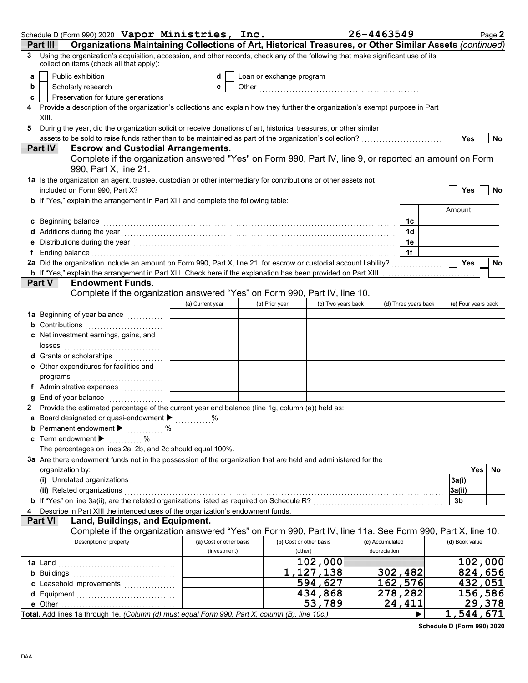|    |                                                                                                                                                                                                                                     |                         |                          |                         | 26-4463549           | Page 2              |
|----|-------------------------------------------------------------------------------------------------------------------------------------------------------------------------------------------------------------------------------------|-------------------------|--------------------------|-------------------------|----------------------|---------------------|
|    | Organizations Maintaining Collections of Art, Historical Treasures, or Other Similar Assets (continued)<br>Part III                                                                                                                 |                         |                          |                         |                      |                     |
| 3  | Using the organization's acquisition, accession, and other records, check any of the following that make significant use of its<br>collection items (check all that apply):                                                         |                         |                          |                         |                      |                     |
| a  | Public exhibition                                                                                                                                                                                                                   | d                       | Loan or exchange program |                         |                      |                     |
| b  | Scholarly research                                                                                                                                                                                                                  | е                       |                          |                         |                      |                     |
| c  | Preservation for future generations                                                                                                                                                                                                 |                         |                          |                         |                      |                     |
|    | Provide a description of the organization's collections and explain how they further the organization's exempt purpose in Part                                                                                                      |                         |                          |                         |                      |                     |
|    | XIII.                                                                                                                                                                                                                               |                         |                          |                         |                      |                     |
| 5  | During the year, did the organization solicit or receive donations of art, historical treasures, or other similar                                                                                                                   |                         |                          |                         |                      |                     |
|    | assets to be sold to raise funds rather than to be maintained as part of the organization's collection?                                                                                                                             |                         |                          |                         |                      | Yes<br><b>No</b>    |
|    | <b>Escrow and Custodial Arrangements.</b><br><b>Part IV</b>                                                                                                                                                                         |                         |                          |                         |                      |                     |
|    | Complete if the organization answered "Yes" on Form 990, Part IV, line 9, or reported an amount on Form<br>990, Part X, line 21.                                                                                                    |                         |                          |                         |                      |                     |
|    | 1a Is the organization an agent, trustee, custodian or other intermediary for contributions or other assets not                                                                                                                     |                         |                          |                         |                      |                     |
|    | included on Form 990, Part X?                                                                                                                                                                                                       |                         |                          |                         |                      | <b>Yes</b><br>No    |
|    | b If "Yes," explain the arrangement in Part XIII and complete the following table:                                                                                                                                                  |                         |                          |                         |                      |                     |
|    |                                                                                                                                                                                                                                     |                         |                          |                         |                      | Amount              |
|    | c Beginning balance                                                                                                                                                                                                                 |                         |                          |                         | 1с                   |                     |
|    |                                                                                                                                                                                                                                     |                         |                          |                         | 1d                   |                     |
|    | Distributions during the year [1, 1, 2010] [1, 2010] [1, 2010] [1, 2010] [1, 2010] [1, 2010] [1, 2010] [1, 2010                                                                                                                     |                         |                          |                         | 1e                   |                     |
| f. | Ending balance with a continuum and continuum and continuum and continuum and continuum and continuum and continuum and continuum and continuum and continuum and continuum and continuum and continuum and continuum and cont      |                         |                          |                         | 1f                   |                     |
|    | 2a Did the organization include an amount on Form 990, Part X, line 21, for escrow or custodial account liability?                                                                                                                  |                         |                          |                         |                      | <b>Yes</b><br>No    |
|    | Part V<br><b>Endowment Funds.</b>                                                                                                                                                                                                   |                         |                          |                         |                      |                     |
|    | Complete if the organization answered "Yes" on Form 990, Part IV, line 10.                                                                                                                                                          |                         |                          |                         |                      |                     |
|    |                                                                                                                                                                                                                                     | (a) Current year        | (b) Prior year           | (c) Two years back      | (d) Three years back | (e) Four years back |
|    | 1a Beginning of year balance <i>minimizing</i>                                                                                                                                                                                      |                         |                          |                         |                      |                     |
|    | <b>b</b> Contributions <b>contributions</b>                                                                                                                                                                                         |                         |                          |                         |                      |                     |
|    | c Net investment earnings, gains, and                                                                                                                                                                                               |                         |                          |                         |                      |                     |
|    |                                                                                                                                                                                                                                     |                         |                          |                         |                      |                     |
|    |                                                                                                                                                                                                                                     |                         |                          |                         |                      |                     |
|    | e Other expenditures for facilities and                                                                                                                                                                                             |                         |                          |                         |                      |                     |
|    |                                                                                                                                                                                                                                     |                         |                          |                         |                      |                     |
|    |                                                                                                                                                                                                                                     |                         |                          |                         |                      |                     |
|    |                                                                                                                                                                                                                                     |                         |                          |                         |                      |                     |
|    | 2 Provide the estimated percentage of the current year end balance (line 1g, column (a)) held as:                                                                                                                                   |                         |                          |                         |                      |                     |
|    | a Board designated or quasi-endowment $\blacktriangleright$                                                                                                                                                                         |                         |                          |                         |                      |                     |
|    | <b>b</b> Permanent endowment $\blacktriangleright$<br>$\sim$ %                                                                                                                                                                      |                         |                          |                         |                      |                     |
|    | c Term endowment $\blacktriangleright$                                                                                                                                                                                              |                         |                          |                         |                      |                     |
|    | The percentages on lines 2a, 2b, and 2c should equal 100%.                                                                                                                                                                          |                         |                          |                         |                      |                     |
|    | 3a Are there endowment funds not in the possession of the organization that are held and administered for the                                                                                                                       |                         |                          |                         |                      |                     |
|    | organization by:                                                                                                                                                                                                                    |                         |                          |                         |                      | Yes<br>No           |
|    | (i) Unrelated organizations <i>communication</i> and the contract of the contract of the contract of the contract of the contract of the contract of the contract of the contract of the contract of the contract of the contract o |                         |                          |                         |                      | 3a(i)               |
|    | (ii) Related organizations                                                                                                                                                                                                          |                         |                          |                         |                      | 3a(ii)              |
|    | b If "Yes" on line 3a(ii), are the related organizations listed as required on Schedule R? [[[[[[[[[[[[[[[[[[[                                                                                                                      |                         |                          |                         |                      | 3 <sub>b</sub>      |
|    | Describe in Part XIII the intended uses of the organization's endowment funds.<br>Land, Buildings, and Equipment.<br>Part VI                                                                                                        |                         |                          |                         |                      |                     |
|    | Complete if the organization answered "Yes" on Form 990, Part IV, line 11a. See Form 990, Part X, line 10.                                                                                                                          |                         |                          |                         |                      |                     |
|    | Description of property                                                                                                                                                                                                             | (a) Cost or other basis |                          | (b) Cost or other basis | (c) Accumulated      | (d) Book value      |
|    |                                                                                                                                                                                                                                     | (investment)            |                          | (other)                 | depreciation         |                     |
|    |                                                                                                                                                                                                                                     |                         |                          | 102,000                 |                      | 102,000             |
|    |                                                                                                                                                                                                                                     |                         |                          | $\overline{1,1}$ 27,138 | 302,482              | 824,656             |
|    | c Leasehold improvements                                                                                                                                                                                                            |                         |                          | 594,627                 | 162,576              | 432,051             |
|    | d Equipment                                                                                                                                                                                                                         |                         |                          | 434,868                 | 278,282              | 156,586             |
|    |                                                                                                                                                                                                                                     |                         |                          | 53,789                  | 24,411               | 29,378              |
|    | Total. Add lines 1a through 1e. (Column (d) must equal Form 990, Part X, column (B), line 10c.)                                                                                                                                     |                         |                          |                         |                      | 1,544,671<br>▶      |

**Schedule D (Form 990) 2020**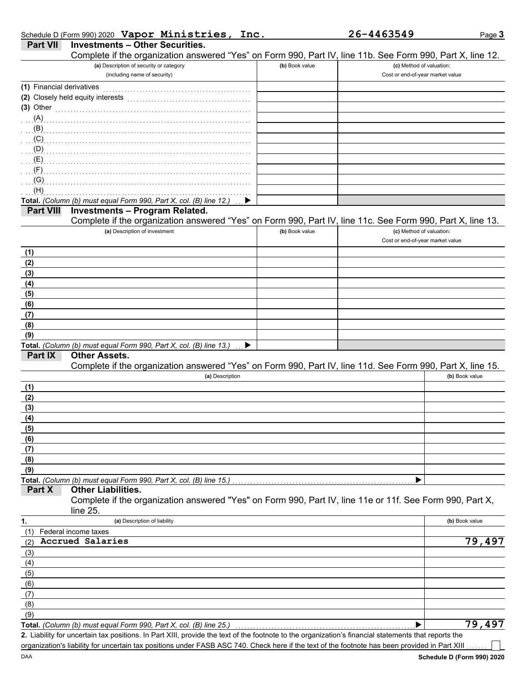|  |  | Schedule D (Form 990) 2020 Vapor Ministries, Inc |  |
|--|--|--------------------------------------------------|--|
|  |  | <b>Part VII Investments - Other Securities.</b>  |  |

|                           | Complete if the organization answered "Yes" on Form 990, Part IV, line 11b. See Form 990, Part X, line 12.                                           |                |                                                              |
|---------------------------|------------------------------------------------------------------------------------------------------------------------------------------------------|----------------|--------------------------------------------------------------|
|                           | (a) Description of security or category<br>(including name of security)                                                                              | (b) Book value | (c) Method of valuation:<br>Cost or end-of-year market value |
| (1) Financial derivatives |                                                                                                                                                      |                |                                                              |
|                           | (2) Closely held equity interests                                                                                                                    |                |                                                              |
| $(3)$ Other               |                                                                                                                                                      |                |                                                              |
| $(A)$ .                   |                                                                                                                                                      |                |                                                              |
| (B)                       |                                                                                                                                                      |                |                                                              |
| (C)                       |                                                                                                                                                      |                |                                                              |
| (D)                       |                                                                                                                                                      |                |                                                              |
| (E)                       |                                                                                                                                                      |                |                                                              |
| (F)                       |                                                                                                                                                      |                |                                                              |
| (G)                       |                                                                                                                                                      |                |                                                              |
| (H)                       |                                                                                                                                                      |                |                                                              |
|                           | Total. (Column (b) must equal Form 990, Part X, col. (B) line 12.)                                                                                   |                |                                                              |
| <b>Part VIII</b>          | <b>Investments - Program Related.</b>                                                                                                                |                |                                                              |
|                           | Complete if the organization answered "Yes" on Form 990, Part IV, line 11c. See Form 990, Part X, line 13.<br>(a) Description of investment          | (b) Book value | (c) Method of valuation:                                     |
|                           |                                                                                                                                                      |                | Cost or end-of-year market value                             |
| (1)                       |                                                                                                                                                      |                |                                                              |
| (2)                       |                                                                                                                                                      |                |                                                              |
| (3)                       |                                                                                                                                                      |                |                                                              |
| (4)                       |                                                                                                                                                      |                |                                                              |
| (5)                       |                                                                                                                                                      |                |                                                              |
| (6)                       |                                                                                                                                                      |                |                                                              |
| (7)                       |                                                                                                                                                      |                |                                                              |
| (8)                       |                                                                                                                                                      |                |                                                              |
| (9)                       |                                                                                                                                                      |                |                                                              |
| Part IX                   | Total. (Column (b) must equal Form 990, Part X, col. (B) line 13.)<br>▶<br><b>Other Assets.</b>                                                      |                |                                                              |
|                           | Complete if the organization answered "Yes" on Form 990, Part IV, line 11d. See Form 990, Part X, line 15.                                           |                |                                                              |
|                           | (a) Description                                                                                                                                      |                | (b) Book value                                               |
| (1)                       |                                                                                                                                                      |                |                                                              |
| (2)                       |                                                                                                                                                      |                |                                                              |
| (3)                       |                                                                                                                                                      |                |                                                              |
| (4)                       |                                                                                                                                                      |                |                                                              |
| (5)                       |                                                                                                                                                      |                |                                                              |
| (6)                       |                                                                                                                                                      |                |                                                              |
| (7)                       |                                                                                                                                                      |                |                                                              |
| (8)                       |                                                                                                                                                      |                |                                                              |
| (9)                       |                                                                                                                                                      |                |                                                              |
|                           | Total. (Column (b) must equal Form 990, Part X, col. (B) line 15.)                                                                                   |                | ▶                                                            |
| Part X                    | <b>Other Liabilities.</b>                                                                                                                            |                |                                                              |
|                           | Complete if the organization answered "Yes" on Form 990, Part IV, line 11e or 11f. See Form 990, Part X,                                             |                |                                                              |
|                           | line 25.                                                                                                                                             |                |                                                              |
| 1.                        | (a) Description of liability<br>Federal income taxes                                                                                                 |                | (b) Book value                                               |
| (1)<br>(2)                | Accrued Salaries                                                                                                                                     |                | 79,497                                                       |
| (3)                       |                                                                                                                                                      |                |                                                              |
| (4)                       |                                                                                                                                                      |                |                                                              |
| (5)                       |                                                                                                                                                      |                |                                                              |
| (6)                       |                                                                                                                                                      |                |                                                              |
| (7)                       |                                                                                                                                                      |                |                                                              |
| (8)                       |                                                                                                                                                      |                |                                                              |
| (9)                       |                                                                                                                                                      |                |                                                              |
|                           | Total. (Column (b) must equal Form 990, Part X, col. (B) line 25.)                                                                                   |                | $\overline{79}$ , 497                                        |
|                           | 2. Liability for uncertain tax positions. In Part XIII, provide the text of the footnote to the organization's financial statements that reports the |                |                                                              |

organization's liability for uncertain tax positions under FASB ASC 740. Check here if the text of the footnote has been provided in Part XIII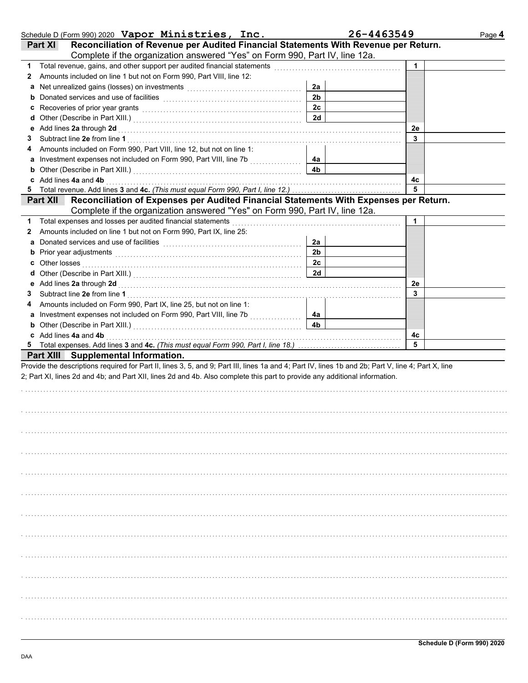|    | Schedule D (Form 990) 2020 Vapor Ministries, Inc.                                                                                                                                                                              |                | 26-4463549 | Page 4 |
|----|--------------------------------------------------------------------------------------------------------------------------------------------------------------------------------------------------------------------------------|----------------|------------|--------|
|    | Reconciliation of Revenue per Audited Financial Statements With Revenue per Return.<br>Part XI                                                                                                                                 |                |            |        |
|    | Complete if the organization answered "Yes" on Form 990, Part IV, line 12a.                                                                                                                                                    |                |            |        |
| 1. | Total revenue, gains, and other support per audited financial statements                                                                                                                                                       |                | 1          |        |
| 2  | Amounts included on line 1 but not on Form 990, Part VIII, line 12:                                                                                                                                                            |                |            |        |
| a  | Net unrealized gains (losses) on investments [11] with the uncontracted state of the state of the uncontroller                                                                                                                 | 2a             |            |        |
| b  |                                                                                                                                                                                                                                | 2 <sub>b</sub> |            |        |
| c  | Recoveries of prior year grants <b>contained a container and properties</b> of prior year grants                                                                                                                               | 2c             |            |        |
| d  |                                                                                                                                                                                                                                | 2d             |            |        |
| е  | Add lines 2a through 2d [11] Additional District Property and The Property Additional Property and Property and Property and Property and Property and Property and Property and Property and Property and Property and Proper |                | 2e         |        |
| 3  |                                                                                                                                                                                                                                |                | 3          |        |
| 4  | Amounts included on Form 990, Part VIII, line 12, but not on line 1:                                                                                                                                                           |                |            |        |
| а  |                                                                                                                                                                                                                                | 4a             |            |        |
| b  |                                                                                                                                                                                                                                | 4b             |            |        |
| c  | Add lines 4a and 4b                                                                                                                                                                                                            |                | 4с         |        |
| 5  |                                                                                                                                                                                                                                |                | 5          |        |
|    | Reconciliation of Expenses per Audited Financial Statements With Expenses per Return.<br><b>Part XII</b>                                                                                                                       |                |            |        |
|    | Complete if the organization answered "Yes" on Form 990, Part IV, line 12a.                                                                                                                                                    |                |            |        |
| 1  | Total expenses and losses per audited financial statements                                                                                                                                                                     |                | 1          |        |
| 2  | Amounts included on line 1 but not on Form 990, Part IX, line 25:                                                                                                                                                              |                |            |        |
| a  |                                                                                                                                                                                                                                | 2a             |            |        |
| b  |                                                                                                                                                                                                                                | 2 <sub>b</sub> |            |        |
| c  | Other losses                                                                                                                                                                                                                   | 2 <sub>c</sub> |            |        |
| d  |                                                                                                                                                                                                                                | 2d             |            |        |
| е  | Add lines 2a through 2d [[[[[[[[[[[[[[[[[[[[[[[[]]]]]]]]]]] Add lines 2a through 2d                                                                                                                                            |                | 2e         |        |
| 3  |                                                                                                                                                                                                                                |                | 3          |        |
| 4  | Amounts included on Form 990, Part IX, line 25, but not on line 1:                                                                                                                                                             |                |            |        |
| а  |                                                                                                                                                                                                                                | 4a             |            |        |
| b  |                                                                                                                                                                                                                                | 4 <sub>b</sub> |            |        |
|    | c Add lines 4a and 4b                                                                                                                                                                                                          |                | 4c         |        |
|    |                                                                                                                                                                                                                                |                | 5          |        |
|    | <b>Part XIII</b> Supplemental Information.                                                                                                                                                                                     |                |            |        |
|    | Provide the descriptions required for Part II, lines 3, 5, and 9; Part III, lines 1a and 4; Part IV, lines 1b and 2b; Part V, line 4; Part X, line                                                                             |                |            |        |
|    | 2; Part XI, lines 2d and 4b; and Part XII, lines 2d and 4b. Also complete this part to provide any additional information.                                                                                                     |                |            |        |
|    |                                                                                                                                                                                                                                |                |            |        |
|    |                                                                                                                                                                                                                                |                |            |        |
|    |                                                                                                                                                                                                                                |                |            |        |
|    |                                                                                                                                                                                                                                |                |            |        |
|    |                                                                                                                                                                                                                                |                |            |        |
|    |                                                                                                                                                                                                                                |                |            |        |
|    |                                                                                                                                                                                                                                |                |            |        |
|    |                                                                                                                                                                                                                                |                |            |        |
|    |                                                                                                                                                                                                                                |                |            |        |
|    |                                                                                                                                                                                                                                |                |            |        |
|    |                                                                                                                                                                                                                                |                |            |        |
|    |                                                                                                                                                                                                                                |                |            |        |
|    |                                                                                                                                                                                                                                |                |            |        |
|    |                                                                                                                                                                                                                                |                |            |        |
|    |                                                                                                                                                                                                                                |                |            |        |
|    |                                                                                                                                                                                                                                |                |            |        |
|    |                                                                                                                                                                                                                                |                |            |        |
|    |                                                                                                                                                                                                                                |                |            |        |
|    |                                                                                                                                                                                                                                |                |            |        |
|    |                                                                                                                                                                                                                                |                |            |        |
|    |                                                                                                                                                                                                                                |                |            |        |
|    |                                                                                                                                                                                                                                |                |            |        |
|    |                                                                                                                                                                                                                                |                |            |        |
|    |                                                                                                                                                                                                                                |                |            |        |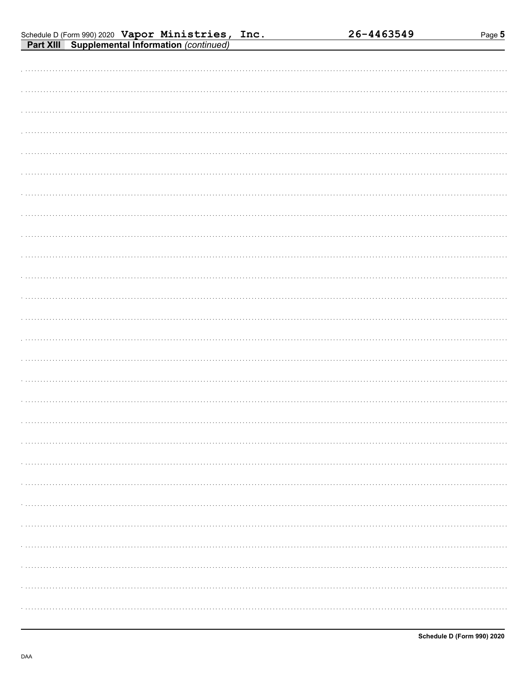| Schedule D (Form 990) 2020 Vapor Ministries, Inc.     |  |  |  |  |  |  |  |
|-------------------------------------------------------|--|--|--|--|--|--|--|
| <b>Part XIII Supplemental Information (continued)</b> |  |  |  |  |  |  |  |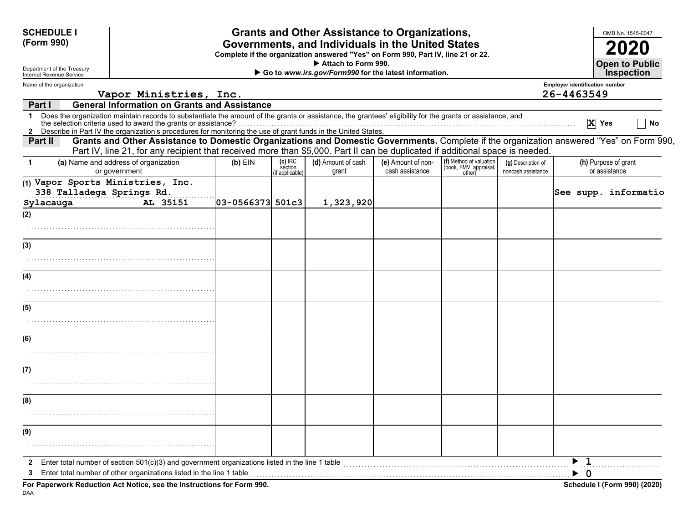| <b>SCHEDULE I</b><br>(Form 990)                                             | <b>Grants and Other Assistance to Organizations,</b><br>Governments, and Individuals in the United States<br>Complete if the organization answered "Yes" on Form 990, Part IV, line 21 or 22.<br>Attach to Form 990. |                        |                                       |                                                       |                                       |                                                             |                                          |                                                                                                                                          |  |  |
|-----------------------------------------------------------------------------|----------------------------------------------------------------------------------------------------------------------------------------------------------------------------------------------------------------------|------------------------|---------------------------------------|-------------------------------------------------------|---------------------------------------|-------------------------------------------------------------|------------------------------------------|------------------------------------------------------------------------------------------------------------------------------------------|--|--|
| Department of the Treasury<br>Internal Revenue Service                      |                                                                                                                                                                                                                      |                        |                                       | Go to www.irs.gov/Form990 for the latest information. |                                       |                                                             |                                          | <b>Open to Public</b><br><b>Inspection</b>                                                                                               |  |  |
| Name of the organization                                                    | Vapor Ministries, Inc.                                                                                                                                                                                               |                        |                                       |                                                       |                                       |                                                             |                                          | <b>Employer identification number</b><br>26-4463549                                                                                      |  |  |
| Part I<br>1.                                                                | <b>General Information on Grants and Assistance</b><br>Does the organization maintain records to substantiate the amount of the grants or assistance, the grantees' eligibility for the grants or assistance, and    |                        |                                       |                                                       |                                       |                                                             |                                          |                                                                                                                                          |  |  |
|                                                                             | the selection criteria used to award the grants or assistance?                                                                                                                                                       |                        |                                       |                                                       |                                       |                                                             |                                          | $ X $ Yes<br>No                                                                                                                          |  |  |
| Part II                                                                     | Part IV, line 21, for any recipient that received more than \$5,000. Part II can be duplicated if additional space is needed.                                                                                        |                        |                                       |                                                       |                                       |                                                             |                                          | Grants and Other Assistance to Domestic Organizations and Domestic Governments. Complete if the organization answered "Yes" on Form 990, |  |  |
| $\mathbf{1}$                                                                | (a) Name and address of organization<br>or government                                                                                                                                                                | $(b)$ EIN              | (c) IRC<br>section<br>(if applicable) | (d) Amount of cash<br>grant                           | (e) Amount of non-<br>cash assistance | (f) Method of valuation<br>(book, FMV, appraisal,<br>other) | (g) Description of<br>noncash assistance | (h) Purpose of grant<br>or assistance                                                                                                    |  |  |
| (1) Vapor Sports Ministries, Inc.<br>338 Talladega Springs Rd.<br>Sylacauga | AL 35151                                                                                                                                                                                                             | $ 03 - 0566373  501c3$ |                                       | 1,323,920                                             |                                       |                                                             |                                          | See supp. informatio                                                                                                                     |  |  |
| (2)                                                                         |                                                                                                                                                                                                                      |                        |                                       |                                                       |                                       |                                                             |                                          |                                                                                                                                          |  |  |
| (3)                                                                         |                                                                                                                                                                                                                      |                        |                                       |                                                       |                                       |                                                             |                                          |                                                                                                                                          |  |  |
|                                                                             |                                                                                                                                                                                                                      |                        |                                       |                                                       |                                       |                                                             |                                          |                                                                                                                                          |  |  |
| (4)                                                                         |                                                                                                                                                                                                                      |                        |                                       |                                                       |                                       |                                                             |                                          |                                                                                                                                          |  |  |
| (5)                                                                         |                                                                                                                                                                                                                      |                        |                                       |                                                       |                                       |                                                             |                                          |                                                                                                                                          |  |  |
|                                                                             |                                                                                                                                                                                                                      |                        |                                       |                                                       |                                       |                                                             |                                          |                                                                                                                                          |  |  |
| (6)                                                                         |                                                                                                                                                                                                                      |                        |                                       |                                                       |                                       |                                                             |                                          |                                                                                                                                          |  |  |
|                                                                             |                                                                                                                                                                                                                      |                        |                                       |                                                       |                                       |                                                             |                                          |                                                                                                                                          |  |  |
| (7)                                                                         |                                                                                                                                                                                                                      |                        |                                       |                                                       |                                       |                                                             |                                          |                                                                                                                                          |  |  |
|                                                                             |                                                                                                                                                                                                                      |                        |                                       |                                                       |                                       |                                                             |                                          |                                                                                                                                          |  |  |
| (8)                                                                         |                                                                                                                                                                                                                      |                        |                                       |                                                       |                                       |                                                             |                                          |                                                                                                                                          |  |  |
|                                                                             |                                                                                                                                                                                                                      |                        |                                       |                                                       |                                       |                                                             |                                          |                                                                                                                                          |  |  |
| (9)                                                                         |                                                                                                                                                                                                                      |                        |                                       |                                                       |                                       |                                                             |                                          |                                                                                                                                          |  |  |
|                                                                             |                                                                                                                                                                                                                      |                        |                                       |                                                       |                                       |                                                             |                                          |                                                                                                                                          |  |  |
| 2                                                                           | Enter total number of section $501(c)(3)$ and government organizations listed in the line 1 table                                                                                                                    |                        |                                       |                                                       |                                       |                                                             |                                          | -1                                                                                                                                       |  |  |
| 3                                                                           | Enter total number of other organizations listed in the line 1 table<br>For Paperwork Reduction Act Notice, see the Instructions for Form 990.                                                                       |                        |                                       |                                                       |                                       |                                                             |                                          | $\mathbf 0$<br>Schedule I (Form 990) (2020)                                                                                              |  |  |

DAA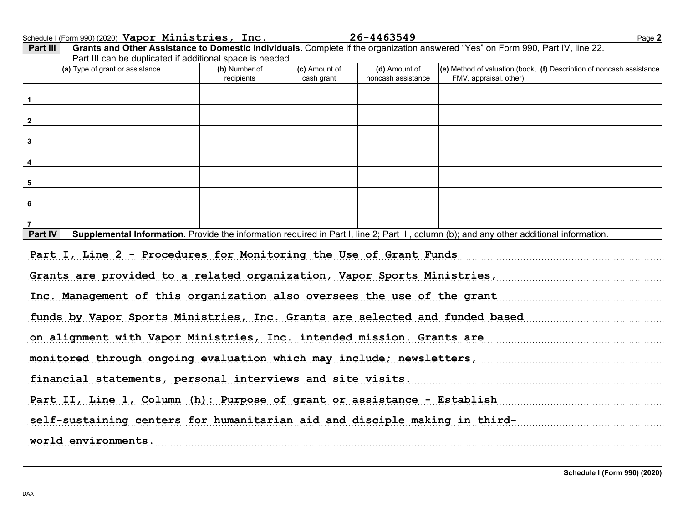Schedule I (Form 990) (2020) Page **2 Vapor Ministries, Inc. 26-4463549**

|                                                                                                                                                                                                                                                                                                                                                                                      | (b) Number of<br>recipients | (c) Amount of<br>cash grant | (d) Amount of<br>noncash assistance | FMV, appraisal, other) | (e) Method of valuation (book, $ $ (f) Description of noncash assistance |
|--------------------------------------------------------------------------------------------------------------------------------------------------------------------------------------------------------------------------------------------------------------------------------------------------------------------------------------------------------------------------------------|-----------------------------|-----------------------------|-------------------------------------|------------------------|--------------------------------------------------------------------------|
|                                                                                                                                                                                                                                                                                                                                                                                      |                             |                             |                                     |                        |                                                                          |
| $\overline{\mathbf{a}}$                                                                                                                                                                                                                                                                                                                                                              |                             |                             |                                     |                        |                                                                          |
| $\overline{\mathbf{3}}$                                                                                                                                                                                                                                                                                                                                                              |                             |                             |                                     |                        |                                                                          |
| $\overline{4}$ $\overline{2}$ $\overline{2}$ $\overline{2}$ $\overline{2}$ $\overline{2}$ $\overline{2}$ $\overline{2}$ $\overline{2}$ $\overline{2}$ $\overline{2}$ $\overline{2}$ $\overline{2}$ $\overline{2}$ $\overline{2}$ $\overline{2}$ $\overline{2}$ $\overline{2}$ $\overline{2}$ $\overline{2}$ $\overline{2}$ $\overline{2}$ $\overline{2}$ $\overline{2}$ $\overline{$ |                             |                             |                                     |                        |                                                                          |
| 5                                                                                                                                                                                                                                                                                                                                                                                    |                             |                             |                                     |                        |                                                                          |
| 6                                                                                                                                                                                                                                                                                                                                                                                    |                             |                             |                                     |                        |                                                                          |
|                                                                                                                                                                                                                                                                                                                                                                                      |                             |                             |                                     |                        |                                                                          |
| Supplemental Information. Provide the information required in Part I, line 2; Part III, column (b); and any other additional information.<br>Part IV                                                                                                                                                                                                                                 |                             |                             |                                     |                        |                                                                          |
| Part I, Line 2 - Procedures for Monitoring the Use of Grant Funds                                                                                                                                                                                                                                                                                                                    |                             |                             |                                     |                        |                                                                          |
|                                                                                                                                                                                                                                                                                                                                                                                      |                             |                             |                                     |                        | Grants are provided to a related organization, Vapor Sports Ministries,  |
|                                                                                                                                                                                                                                                                                                                                                                                      |                             |                             |                                     |                        |                                                                          |
|                                                                                                                                                                                                                                                                                                                                                                                      |                             |                             |                                     |                        |                                                                          |
|                                                                                                                                                                                                                                                                                                                                                                                      |                             |                             |                                     |                        |                                                                          |
|                                                                                                                                                                                                                                                                                                                                                                                      |                             |                             |                                     |                        |                                                                          |
|                                                                                                                                                                                                                                                                                                                                                                                      |                             |                             |                                     |                        |                                                                          |
| Inc. Management of this organization also oversees the use of the grant<br>funds by Vapor Sports Ministries, Inc. Grants are selected and funded based<br>on alignment with Vapor Ministries, Inc. intended mission. Grants are<br>monitored through ongoing evaluation which may include; newsletters, manuscription of the manuscription of the                                    |                             |                             |                                     |                        |                                                                          |
| financial statements, personal interviews and site visits. The manuscript of the statements of the statements,                                                                                                                                                                                                                                                                       |                             |                             |                                     |                        |                                                                          |
| Part II, Line 1, Column (h): Purpose of grant or assistance - Establish<br>self-sustaining centers for humanitarian aid and disciple making in third-                                                                                                                                                                                                                                |                             |                             |                                     |                        |                                                                          |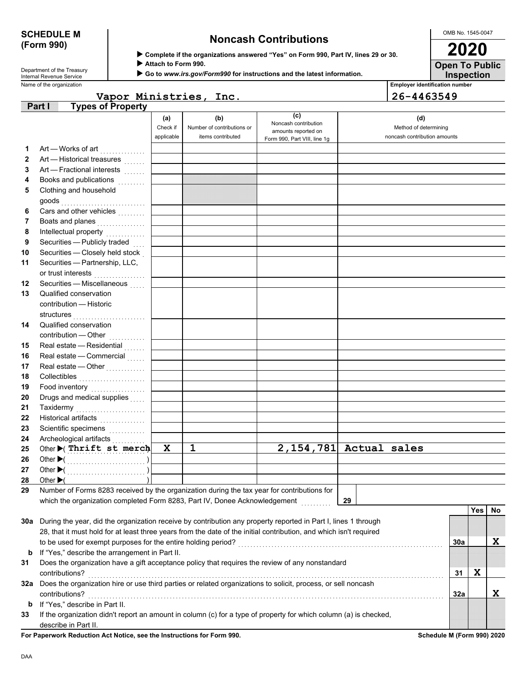## **(Form 990)**

## **SCHEDULE M Noncash Contributions**

OMB No. 1545-0047 **2020**

**Inspection Open To Public**

| ▶ Complete if the organizations answered "Yes" on Form 990, Part IV, lines 29 or 30. |  |
|--------------------------------------------------------------------------------------|--|
|--------------------------------------------------------------------------------------|--|

Attach to Form 990.

▶ Go to www.irs.gov/Form990 for instructions and the latest information.

Name of the organization **Employer identification number** Department of the Treasury<br>Internal Revenue Service

## **Vapor Ministries, Inc. 26-4463549**

|              | <b>Types of Property</b><br>Part I                                                                                           |             |                            |                                             |                              |     |            |     |
|--------------|------------------------------------------------------------------------------------------------------------------------------|-------------|----------------------------|---------------------------------------------|------------------------------|-----|------------|-----|
|              |                                                                                                                              | (a)         | (b)                        | (c)                                         | (d)                          |     |            |     |
|              |                                                                                                                              | Check if    | Number of contributions or | Noncash contribution<br>amounts reported on | Method of determining        |     |            |     |
|              |                                                                                                                              | applicable  | items contributed          | Form 990, Part VIII, line 1g                | noncash contribution amounts |     |            |     |
| 1            | Art - Works of art                                                                                                           |             |                            |                                             |                              |     |            |     |
| $\mathbf{2}$ | Art - Historical treasures                                                                                                   |             |                            |                                             |                              |     |            |     |
| 3            | Art - Fractional interests                                                                                                   |             |                            |                                             |                              |     |            |     |
| 4            | Books and publications<br>.                                                                                                  |             |                            |                                             |                              |     |            |     |
| 5            | Clothing and household                                                                                                       |             |                            |                                             |                              |     |            |     |
|              | goods                                                                                                                        |             |                            |                                             |                              |     |            |     |
| 6            | Cars and other vehicles                                                                                                      |             |                            |                                             |                              |     |            |     |
| 7            | Boats and planes<br>.                                                                                                        |             |                            |                                             |                              |     |            |     |
| 8            |                                                                                                                              |             |                            |                                             |                              |     |            |     |
| 9            | Securities - Publicly traded                                                                                                 |             |                            |                                             |                              |     |            |     |
| 10           | Securities - Closely held stock                                                                                              |             |                            |                                             |                              |     |            |     |
| 11           | Securities - Partnership, LLC,                                                                                               |             |                            |                                             |                              |     |            |     |
|              | or trust interests                                                                                                           |             |                            |                                             |                              |     |            |     |
| 12           | Securities - Miscellaneous                                                                                                   |             |                            |                                             |                              |     |            |     |
| 13           | Qualified conservation                                                                                                       |             |                            |                                             |                              |     |            |     |
|              | contribution - Historic                                                                                                      |             |                            |                                             |                              |     |            |     |
|              | structures                                                                                                                   |             |                            |                                             |                              |     |            |     |
| 14           | Qualified conservation                                                                                                       |             |                            |                                             |                              |     |            |     |
|              | contribution - Other                                                                                                         |             |                            |                                             |                              |     |            |     |
| 15           | Real estate - Residential                                                                                                    |             |                            |                                             |                              |     |            |     |
| 16           | Real estate - Commercial                                                                                                     |             |                            |                                             |                              |     |            |     |
| 17           | Real estate - Other<br>                                                                                                      |             |                            |                                             |                              |     |            |     |
| 18           |                                                                                                                              |             |                            |                                             |                              |     |            |     |
| 19           | Collectibles <b>Collectibles</b>                                                                                             |             |                            |                                             |                              |     |            |     |
| 20           | Food inventory<br>Drugs and medical supplies                                                                                 |             |                            |                                             |                              |     |            |     |
| 21           | Taxidermy                                                                                                                    |             |                            |                                             |                              |     |            |     |
| 22           |                                                                                                                              |             |                            |                                             |                              |     |            |     |
| 23           | Historical artifacts                                                                                                         |             |                            |                                             |                              |     |            |     |
| 24           | Scientific specimens<br><br>Archeological artifacts                                                                          |             |                            |                                             |                              |     |            |     |
| 25           | Other $\blacktriangleright$ (Thrift st merch)                                                                                | $\mathbf x$ | $\mathbf{1}$               |                                             | 2, 154, 781 Actual sales     |     |            |     |
| 26           |                                                                                                                              |             |                            |                                             |                              |     |            |     |
| 27           | Other $\blacktriangleright$ (                                                                                                |             |                            |                                             |                              |     |            |     |
|              |                                                                                                                              |             |                            |                                             |                              |     |            |     |
| 28<br>29     | Other $\blacktriangleright$ (<br>Number of Forms 8283 received by the organization during the tax year for contributions for |             |                            |                                             |                              |     |            |     |
|              | which the organization completed Form 8283, Part IV, Donee Acknowledgement                                                   |             |                            |                                             | 29                           |     |            |     |
|              |                                                                                                                              |             |                            |                                             |                              |     | <b>Yes</b> | No. |
|              | 30a During the year, did the organization receive by contribution any property reported in Part I, lines 1 through           |             |                            |                                             |                              |     |            |     |
|              | 28, that it must hold for at least three years from the date of the initial contribution, and which isn't required           |             |                            |                                             |                              |     |            |     |
|              |                                                                                                                              |             |                            |                                             |                              |     |            | X   |
|              | to be used for exempt purposes for the entire holding period?                                                                |             |                            |                                             |                              | 30a |            |     |
| b            | If "Yes," describe the arrangement in Part II.                                                                               |             |                            |                                             |                              |     |            |     |
| 31           | Does the organization have a gift acceptance policy that requires the review of any nonstandard                              |             |                            |                                             |                              |     |            |     |
|              | contributions?                                                                                                               |             |                            |                                             |                              | 31  | X          |     |
|              | 32a Does the organization hire or use third parties or related organizations to solicit, process, or sell noncash            |             |                            |                                             |                              |     |            |     |
|              | contributions?                                                                                                               |             |                            |                                             |                              | 32a |            | X   |
| b            | If "Yes," describe in Part II.                                                                                               |             |                            |                                             |                              |     |            |     |
| 33           | If the organization didn't report an amount in column (c) for a type of property for which column (a) is checked,            |             |                            |                                             |                              |     |            |     |
|              | describe in Part II.                                                                                                         |             |                            |                                             |                              |     |            |     |

**For Paperwork Reduction Act Notice, see the Instructions for Form 990. Schedule M (Form 990) 2020**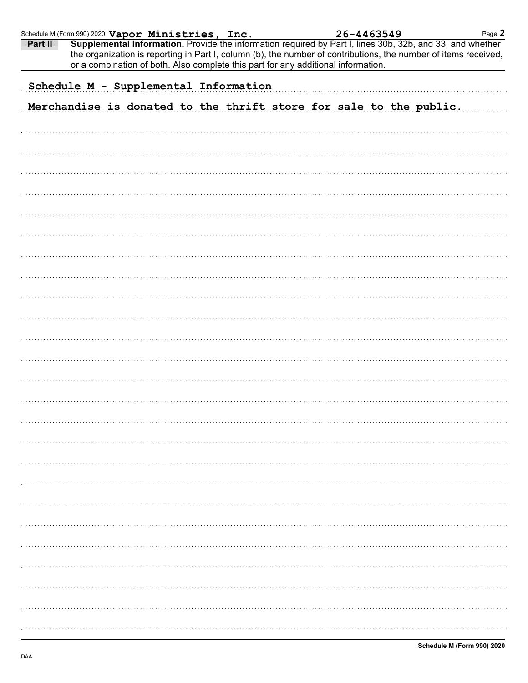| Schedule M (Form 990) 2020 Vapor Ministries, Inc. |  |  |                                                                                                                                                                                                                                                                                                                   |  | 26-4463549 |  |  | Page 2 |
|---------------------------------------------------|--|--|-------------------------------------------------------------------------------------------------------------------------------------------------------------------------------------------------------------------------------------------------------------------------------------------------------------------|--|------------|--|--|--------|
| Part II                                           |  |  | Supplemental Information. Provide the information required by Part I, lines 30b, 32b, and 33, and whether<br>the organization is reporting in Part I, column (b), the number of contributions, the number of items received,<br>or a combination of both. Also complete this part for any additional information. |  |            |  |  |        |
|                                                   |  |  | Schedule M - Supplemental Information                                                                                                                                                                                                                                                                             |  |            |  |  |        |
|                                                   |  |  |                                                                                                                                                                                                                                                                                                                   |  |            |  |  |        |
|                                                   |  |  | Merchandise is donated to the thrift store for sale to the public.                                                                                                                                                                                                                                                |  |            |  |  |        |
|                                                   |  |  |                                                                                                                                                                                                                                                                                                                   |  |            |  |  |        |
|                                                   |  |  |                                                                                                                                                                                                                                                                                                                   |  |            |  |  |        |
|                                                   |  |  |                                                                                                                                                                                                                                                                                                                   |  |            |  |  |        |
|                                                   |  |  |                                                                                                                                                                                                                                                                                                                   |  |            |  |  |        |
|                                                   |  |  |                                                                                                                                                                                                                                                                                                                   |  |            |  |  |        |
|                                                   |  |  |                                                                                                                                                                                                                                                                                                                   |  |            |  |  |        |
|                                                   |  |  |                                                                                                                                                                                                                                                                                                                   |  |            |  |  |        |
|                                                   |  |  |                                                                                                                                                                                                                                                                                                                   |  |            |  |  |        |
|                                                   |  |  |                                                                                                                                                                                                                                                                                                                   |  |            |  |  |        |
|                                                   |  |  |                                                                                                                                                                                                                                                                                                                   |  |            |  |  |        |
|                                                   |  |  |                                                                                                                                                                                                                                                                                                                   |  |            |  |  |        |
|                                                   |  |  |                                                                                                                                                                                                                                                                                                                   |  |            |  |  |        |
|                                                   |  |  |                                                                                                                                                                                                                                                                                                                   |  |            |  |  |        |
|                                                   |  |  |                                                                                                                                                                                                                                                                                                                   |  |            |  |  |        |
|                                                   |  |  |                                                                                                                                                                                                                                                                                                                   |  |            |  |  |        |
|                                                   |  |  |                                                                                                                                                                                                                                                                                                                   |  |            |  |  |        |
|                                                   |  |  |                                                                                                                                                                                                                                                                                                                   |  |            |  |  |        |
|                                                   |  |  |                                                                                                                                                                                                                                                                                                                   |  |            |  |  |        |
|                                                   |  |  |                                                                                                                                                                                                                                                                                                                   |  |            |  |  |        |
|                                                   |  |  |                                                                                                                                                                                                                                                                                                                   |  |            |  |  |        |
|                                                   |  |  |                                                                                                                                                                                                                                                                                                                   |  |            |  |  |        |
|                                                   |  |  |                                                                                                                                                                                                                                                                                                                   |  |            |  |  |        |
|                                                   |  |  |                                                                                                                                                                                                                                                                                                                   |  |            |  |  |        |
|                                                   |  |  |                                                                                                                                                                                                                                                                                                                   |  |            |  |  |        |
|                                                   |  |  |                                                                                                                                                                                                                                                                                                                   |  |            |  |  |        |
|                                                   |  |  |                                                                                                                                                                                                                                                                                                                   |  |            |  |  |        |
|                                                   |  |  |                                                                                                                                                                                                                                                                                                                   |  |            |  |  |        |
|                                                   |  |  |                                                                                                                                                                                                                                                                                                                   |  |            |  |  |        |
|                                                   |  |  |                                                                                                                                                                                                                                                                                                                   |  |            |  |  |        |
|                                                   |  |  |                                                                                                                                                                                                                                                                                                                   |  |            |  |  |        |
|                                                   |  |  |                                                                                                                                                                                                                                                                                                                   |  |            |  |  |        |
|                                                   |  |  |                                                                                                                                                                                                                                                                                                                   |  |            |  |  |        |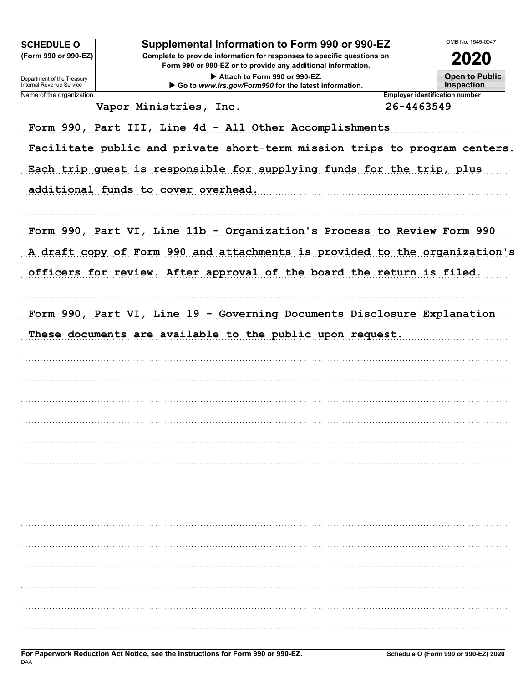| <b>SCHEDULE O</b><br>(Form 990 or 990-EZ)<br>Department of the Treasury<br>Internal Revenue Service | Supplemental Information to Form 990 or 990-EZ<br>Complete to provide information for responses to specific questions on<br>Form 990 or 990-EZ or to provide any additional information.<br>Attach to Form 990 or 990-EZ.<br>Go to www.irs.gov/Form990 for the latest information. |            | OMB No. 1545-0047<br>2020<br><b>Open to Public</b><br><b>Inspection</b> |
|-----------------------------------------------------------------------------------------------------|------------------------------------------------------------------------------------------------------------------------------------------------------------------------------------------------------------------------------------------------------------------------------------|------------|-------------------------------------------------------------------------|
| Name of the organization                                                                            |                                                                                                                                                                                                                                                                                    |            | <b>Employer identification number</b>                                   |
|                                                                                                     | Vapor Ministries, Inc.                                                                                                                                                                                                                                                             | 26-4463549 |                                                                         |
|                                                                                                     | Form 990, Part III, Line 4d - All Other Accomplishments<br>Facilitate public and private short-term mission trips to program centers.                                                                                                                                              |            |                                                                         |
|                                                                                                     | Each trip guest is responsible for supplying funds for the trip, plus                                                                                                                                                                                                              |            |                                                                         |
|                                                                                                     | additional funds to cover overhead.                                                                                                                                                                                                                                                |            |                                                                         |
|                                                                                                     |                                                                                                                                                                                                                                                                                    |            |                                                                         |
|                                                                                                     | Form 990, Part VI, Line 11b - Organization's Process to Review Form 990                                                                                                                                                                                                            |            |                                                                         |
|                                                                                                     | A draft copy of Form 990 and attachments is provided to the organization's                                                                                                                                                                                                         |            |                                                                         |
|                                                                                                     | officers for review. After approval of the board the return is filed.                                                                                                                                                                                                              |            |                                                                         |
|                                                                                                     |                                                                                                                                                                                                                                                                                    |            |                                                                         |
|                                                                                                     | Form 990, Part VI, Line 19 - Governing Documents Disclosure Explanation<br>These documents are available to the public upon request.                                                                                                                                               |            |                                                                         |
|                                                                                                     |                                                                                                                                                                                                                                                                                    |            |                                                                         |
|                                                                                                     |                                                                                                                                                                                                                                                                                    |            |                                                                         |
|                                                                                                     |                                                                                                                                                                                                                                                                                    |            |                                                                         |
|                                                                                                     |                                                                                                                                                                                                                                                                                    |            |                                                                         |
|                                                                                                     |                                                                                                                                                                                                                                                                                    |            |                                                                         |
|                                                                                                     |                                                                                                                                                                                                                                                                                    |            |                                                                         |
|                                                                                                     |                                                                                                                                                                                                                                                                                    |            |                                                                         |
|                                                                                                     |                                                                                                                                                                                                                                                                                    |            |                                                                         |
|                                                                                                     |                                                                                                                                                                                                                                                                                    |            |                                                                         |
|                                                                                                     |                                                                                                                                                                                                                                                                                    |            |                                                                         |
|                                                                                                     |                                                                                                                                                                                                                                                                                    |            |                                                                         |
|                                                                                                     |                                                                                                                                                                                                                                                                                    |            |                                                                         |
|                                                                                                     |                                                                                                                                                                                                                                                                                    |            |                                                                         |
|                                                                                                     |                                                                                                                                                                                                                                                                                    |            |                                                                         |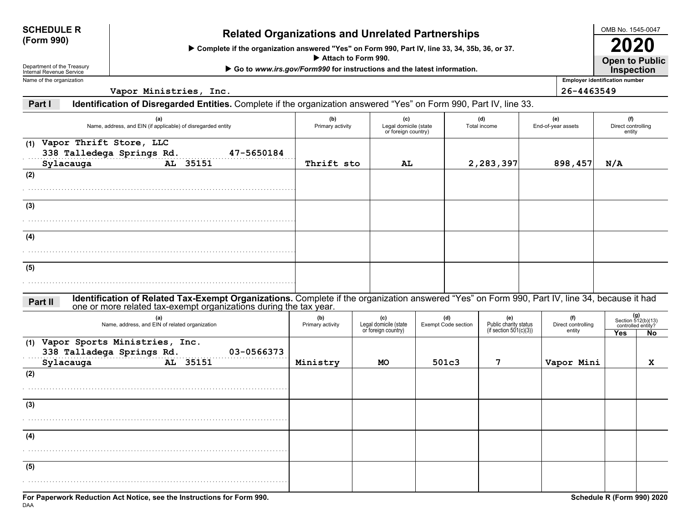| <b>SCHEDULE R</b> |  |
|-------------------|--|
| (Form 990)        |  |

## **(Form 990) Related Organizations and Unrelated Partnerships**

▶ Complete if the organization answered "Yes" on Form 990, Part IV, line 33, 34, 35b, 36, or 37.

▶ Attach to Form 990.

▶ Go to *www.irs.gov/Form990* for instructions and the latest information.

Department of the Treasury Internal Revenue Service Name of the organization

**Vapor Ministries, Inc. 26-4463549**

**Employer identification number Inspection**

**Part IIdentification of Disregarded Entities.** Complete if the organization answered "Yes" on Form 990, Part IV, line 33.

| (a)<br>Name, address, and EIN (if applicable) of disregarded entity                                                                                                                                                           | (b)<br>Primary activity | (c)<br>Legal domicile (state<br>or foreign country) |                                   | (d)<br>(e)<br>Total income<br>End-of-year assets          |                                     | (f)<br>Direct controlling<br>entity                            |  |
|-------------------------------------------------------------------------------------------------------------------------------------------------------------------------------------------------------------------------------|-------------------------|-----------------------------------------------------|-----------------------------------|-----------------------------------------------------------|-------------------------------------|----------------------------------------------------------------|--|
| (1) Vapor Thrift Store, LLC<br>338 Talledega Springs Rd.<br>47-5650184<br>AL 35151<br>Sylacauga                                                                                                                               | Thrift sto              | AL                                                  |                                   | 2,283,397                                                 | 898,457                             | N/A                                                            |  |
| (2)                                                                                                                                                                                                                           |                         |                                                     |                                   |                                                           |                                     |                                                                |  |
| (3)                                                                                                                                                                                                                           |                         |                                                     |                                   |                                                           |                                     |                                                                |  |
| (4)                                                                                                                                                                                                                           |                         |                                                     |                                   |                                                           |                                     |                                                                |  |
| (5)                                                                                                                                                                                                                           |                         |                                                     |                                   |                                                           |                                     |                                                                |  |
| Identification of Related Tax-Exempt Organizations. Complete if the organization answered "Yes" on Form 990, Part IV, line 34, because it had<br>one or more related tax-exempt organizations during the tax year.<br>Part II |                         |                                                     |                                   |                                                           |                                     |                                                                |  |
| (a)<br>Name, address, and EIN of related organization                                                                                                                                                                         | (b)<br>Primary activity | (c)<br>Legal domicile (state<br>or foreign country) | (d)<br><b>Exempt Code section</b> | (e)<br>Public charity status<br>(if section $501(c)(3)$ ) | (f)<br>Direct controlling<br>entity | $(g)$<br>Section 512(b)(13)<br>controlled entity?<br>Yes<br>No |  |
| (1) Vapor Sports Ministries, Inc.<br>338 Talladega Springs Rd.<br>03-0566373<br>AL 35151<br>Sylacauga                                                                                                                         | Ministry                | <b>MO</b>                                           | 501c3                             | 7                                                         | Vapor Mini                          | $\mathbf{x}$                                                   |  |
| (2)                                                                                                                                                                                                                           |                         |                                                     |                                   |                                                           |                                     |                                                                |  |
| (3)                                                                                                                                                                                                                           |                         |                                                     |                                   |                                                           |                                     |                                                                |  |
| (4)                                                                                                                                                                                                                           |                         |                                                     |                                   |                                                           |                                     |                                                                |  |
| (5)                                                                                                                                                                                                                           |                         |                                                     |                                   |                                                           |                                     |                                                                |  |
|                                                                                                                                                                                                                               |                         |                                                     |                                   |                                                           |                                     |                                                                |  |

OMB No. 1545-0047

**Open to Public 2020**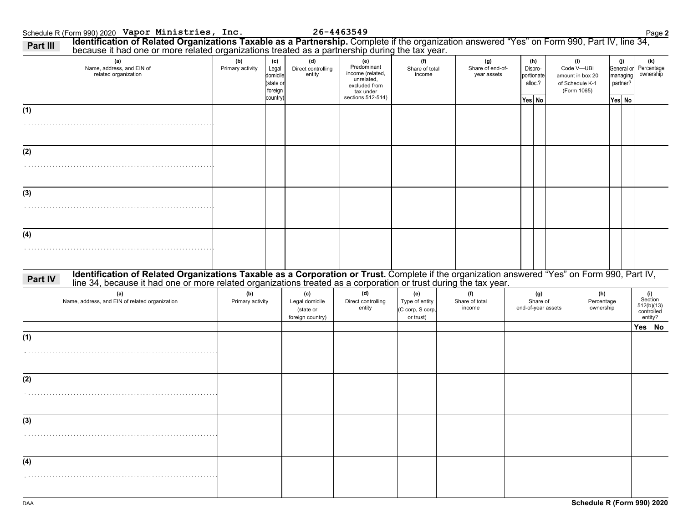| (a)<br>Name, address, and EIN of                                                                                                                                                                                               | (b)<br>Primary activity | (c)<br>Legal                                 | (d)<br>Direct controlling                              | (e)<br>Predominant                                                                | (f)<br>Share of total                                  | (g)<br>Share of end-of-         | (h)<br>Dispro-                        |                 | (i)<br>Code V-UBI               | (j)<br>General or              | (k)<br>Percentage                                               |
|--------------------------------------------------------------------------------------------------------------------------------------------------------------------------------------------------------------------------------|-------------------------|----------------------------------------------|--------------------------------------------------------|-----------------------------------------------------------------------------------|--------------------------------------------------------|---------------------------------|---------------------------------------|-----------------|---------------------------------|--------------------------------|-----------------------------------------------------------------|
| related organization                                                                                                                                                                                                           |                         | domicile<br>(state or<br>foreign<br>country) | entity                                                 | income (related,<br>unrelated,<br>excluded from<br>tax under<br>sections 512-514) | income                                                 | year assets                     | portionate<br>alloc.?<br>Yes No       | of Schedule K-1 | amount in box 20<br>(Form 1065) | managing<br>partner?<br>Yes No | ownership                                                       |
|                                                                                                                                                                                                                                |                         |                                              |                                                        |                                                                                   |                                                        |                                 |                                       |                 |                                 |                                |                                                                 |
|                                                                                                                                                                                                                                |                         |                                              |                                                        |                                                                                   |                                                        |                                 |                                       |                 |                                 |                                |                                                                 |
|                                                                                                                                                                                                                                |                         |                                              |                                                        |                                                                                   |                                                        |                                 |                                       |                 |                                 |                                |                                                                 |
|                                                                                                                                                                                                                                |                         |                                              |                                                        |                                                                                   |                                                        |                                 |                                       |                 |                                 |                                |                                                                 |
|                                                                                                                                                                                                                                |                         |                                              |                                                        |                                                                                   |                                                        |                                 |                                       |                 |                                 |                                |                                                                 |
|                                                                                                                                                                                                                                |                         |                                              |                                                        |                                                                                   |                                                        |                                 |                                       |                 |                                 |                                |                                                                 |
|                                                                                                                                                                                                                                |                         |                                              |                                                        |                                                                                   |                                                        |                                 |                                       |                 |                                 |                                |                                                                 |
|                                                                                                                                                                                                                                |                         |                                              |                                                        |                                                                                   |                                                        |                                 |                                       |                 |                                 |                                |                                                                 |
|                                                                                                                                                                                                                                |                         |                                              |                                                        |                                                                                   |                                                        |                                 |                                       |                 |                                 |                                |                                                                 |
| Identification of Related Organizations Taxable as a Corporation or Trust. Complete if the organization answered "Yes" on Form 990, Part IV, line 34, because it had one or more related organizations treated as a corporatio |                         |                                              |                                                        |                                                                                   |                                                        |                                 |                                       |                 |                                 |                                |                                                                 |
| (a)<br>Name, address, and EIN of related organization                                                                                                                                                                          | (b)<br>Primary activity |                                              | (c)<br>Legal domicile<br>(state or<br>foreign country) | (d)<br>Direct controlling<br>entity                                               | (e)<br>Type of entity<br>(C corp, S corp,<br>or trust) | (f)<br>Share of total<br>income | (g)<br>Share of<br>end-of-year assets |                 | (h)<br>Percentage<br>ownership  |                                |                                                                 |
|                                                                                                                                                                                                                                |                         |                                              |                                                        |                                                                                   |                                                        |                                 |                                       |                 |                                 |                                |                                                                 |
|                                                                                                                                                                                                                                |                         |                                              |                                                        |                                                                                   |                                                        |                                 |                                       |                 |                                 |                                |                                                                 |
|                                                                                                                                                                                                                                |                         |                                              |                                                        |                                                                                   |                                                        |                                 |                                       |                 |                                 |                                |                                                                 |
|                                                                                                                                                                                                                                |                         |                                              |                                                        |                                                                                   |                                                        |                                 |                                       |                 |                                 |                                |                                                                 |
|                                                                                                                                                                                                                                |                         |                                              |                                                        |                                                                                   |                                                        |                                 |                                       |                 |                                 |                                |                                                                 |
|                                                                                                                                                                                                                                |                         |                                              |                                                        |                                                                                   |                                                        |                                 |                                       |                 |                                 |                                |                                                                 |
|                                                                                                                                                                                                                                |                         |                                              |                                                        |                                                                                   |                                                        |                                 |                                       |                 |                                 |                                |                                                                 |
| Part IV                                                                                                                                                                                                                        |                         |                                              |                                                        |                                                                                   |                                                        |                                 |                                       |                 |                                 |                                | (i)<br>Section<br>512(b)(13)<br>controlled<br>entity?<br>Yes No |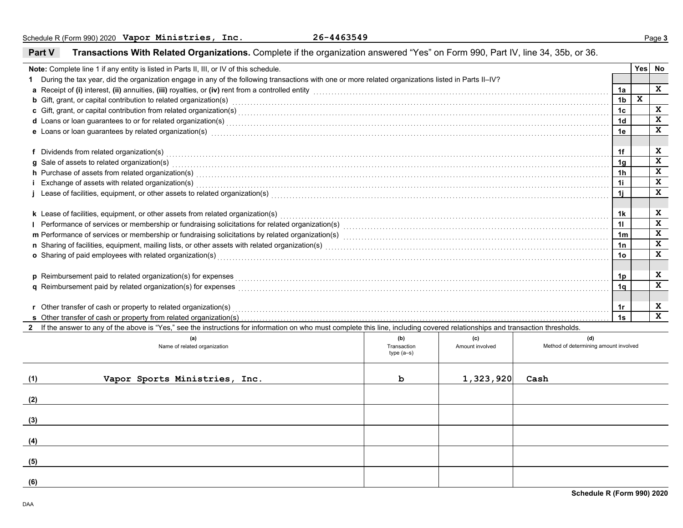**Part V**

**Transactions With Related Organizations.** Complete if the organization answered "Yes" on Form 990, Part IV, line 34, 35b, or 36.

| Note: Complete line 1 if any entity is listed in Parts II, III, or IV of this schedule.                                                                                                                                             |             |                 |                                       |                | <b>Yes</b> | No           |
|-------------------------------------------------------------------------------------------------------------------------------------------------------------------------------------------------------------------------------------|-------------|-----------------|---------------------------------------|----------------|------------|--------------|
| 1 During the tax year, did the organization engage in any of the following transactions with one or more related organizations listed in Parts II–IV?                                                                               |             |                 |                                       |                |            |              |
|                                                                                                                                                                                                                                     |             |                 |                                       |                |            |              |
| <b>b</b> Gift, grant, or capital contribution to related organization(s) encourse consumed and consumed contribution to related organization(s)                                                                                     |             |                 |                                       |                |            |              |
|                                                                                                                                                                                                                                     |             |                 |                                       |                |            |              |
| d Loans or loan guarantees to or for related organization(s) with the contract the contract of contract of contract or contract or contract or contract or contract or contract or contract or contract or contract or contrac      |             |                 |                                       |                |            | $\mathbf{x}$ |
| e Loans or loan guarantees by related organization(s) encourance contains an account of the container container                                                                                                                     |             |                 |                                       |                |            |              |
|                                                                                                                                                                                                                                     |             |                 |                                       |                |            |              |
| f Dividends from related organization(s) encourance contains a substantial container and providends from related organization(s)                                                                                                    |             |                 |                                       | 1f             |            | x            |
| g Sale of assets to related organization(s) with an example and contact the set of assets to related organization(s)                                                                                                                |             |                 |                                       |                |            |              |
| h Purchase of assets from related organization(s) encourance contains an example and container and container and container and container and container and container and container and container and container and container a      |             |                 |                                       |                |            |              |
| i Exchange of assets with related organization(s) exchange contained as a set of the set of the set of assets with related organization(s) and contained as a set of the set of the set of the set of the set of the set of th      |             |                 |                                       | 1i             |            | $\mathbf x$  |
| j Lease of facilities, equipment, or other assets to related organization(s) Materian material content content to the response of facilities, equipment, or other assets to related organization(s) Materian material content       |             |                 |                                       | 1i             |            | $\mathbf x$  |
|                                                                                                                                                                                                                                     |             |                 |                                       |                |            |              |
| k Lease of facilities, equipment, or other assets from related organization(s)                                                                                                                                                      |             |                 |                                       | 1k             |            | x            |
| I Performance of services or membership or fundraising solicitations for related organization(s) [1] performance of services or membership or fundraising solicitations for related organization(s) [1] performance conditiona      |             |                 |                                       |                |            | $\mathbf{x}$ |
|                                                                                                                                                                                                                                     |             |                 |                                       |                |            | $\mathbf x$  |
|                                                                                                                                                                                                                                     |             |                 |                                       |                |            | $\mathbf x$  |
| o Sharing of paid employees with related organization(s) encourance contains an array contained and contained and contained and contained and contained and contained and contained and contained and contained and contained       |             |                 |                                       |                |            | X            |
|                                                                                                                                                                                                                                     |             |                 |                                       |                |            |              |
| p Reimbursement paid to related organization(s) for expenses <b>constructs</b> and construct the construction of the construction of the construction of the construction of the construction of the construction of the constructi |             |                 |                                       | 1p             |            | X            |
|                                                                                                                                                                                                                                     |             |                 |                                       | 1 <sub>a</sub> |            | $\mathbf x$  |
|                                                                                                                                                                                                                                     |             |                 |                                       |                |            |              |
| r Other transfer of cash or property to related organization(s)                                                                                                                                                                     |             |                 |                                       | 1r             |            | x            |
|                                                                                                                                                                                                                                     |             |                 |                                       | 1s             |            | X            |
| If the answer to any of the above is "Yes," see the instructions for information on who must complete this line, including covered relationships and transaction thresholds.<br>$\mathbf{2}$                                        |             |                 |                                       |                |            |              |
| (a)                                                                                                                                                                                                                                 | (b)         | (c)             | (d)                                   |                |            |              |
| Name of related organization                                                                                                                                                                                                        | Transaction | Amount involved | Method of determining amount involved |                |            |              |
|                                                                                                                                                                                                                                     | $type(a-s)$ |                 |                                       |                |            |              |
|                                                                                                                                                                                                                                     |             |                 |                                       |                |            |              |
| Vapor Sports Ministries, Inc.<br>(1)                                                                                                                                                                                                | b           | 1,323,920       | Cash                                  |                |            |              |
|                                                                                                                                                                                                                                     |             |                 |                                       |                |            |              |
| (2)                                                                                                                                                                                                                                 |             |                 |                                       |                |            |              |
|                                                                                                                                                                                                                                     |             |                 |                                       |                |            |              |
| (3)                                                                                                                                                                                                                                 |             |                 |                                       |                |            |              |
|                                                                                                                                                                                                                                     |             |                 |                                       |                |            |              |
| (4)                                                                                                                                                                                                                                 |             |                 |                                       |                |            |              |
|                                                                                                                                                                                                                                     |             |                 |                                       |                |            |              |
| (5)                                                                                                                                                                                                                                 |             |                 |                                       |                |            |              |
|                                                                                                                                                                                                                                     |             |                 |                                       |                |            |              |
| (6)                                                                                                                                                                                                                                 |             |                 |                                       |                |            |              |
|                                                                                                                                                                                                                                     |             |                 |                                       |                |            |              |

DAA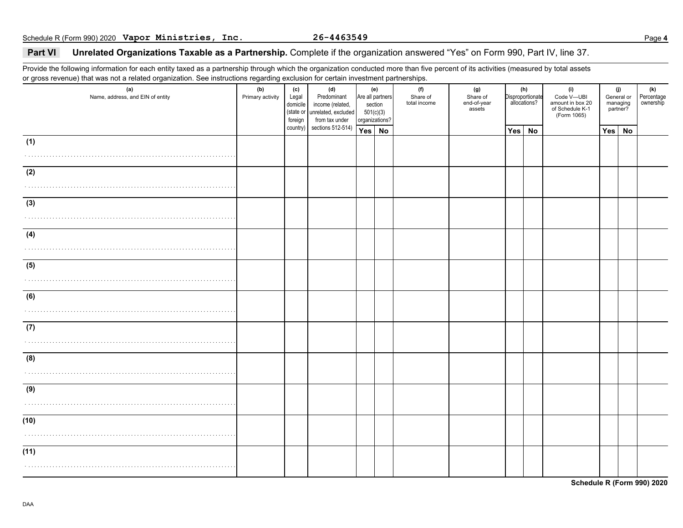### **Part VI Unrelated Organizations Taxable as a Partnership.** Complete if the organization answered "Yes" on Form 990, Part IV, line 37.

Provide the following information for each entity taxed as a partnership through which the organization conducted more than five percent of its activities (measured by total assets or gross revenue) that was not a related organization. See instructions regarding exclusion for certain investment partnerships.

| (a)<br>Name, address, and EIN of entity | . - 9- . - 9   -<br>(b)<br>Primary activity | (c)<br>Legal<br>domicile<br>foreign | (d)<br>Predominant<br>income (related,<br>(state or unrelated, excluded<br>from tax under | (e)<br>Are all partners<br>section<br>501(c)(3)<br>organizations? |  | (f)<br>Share of<br>total income | (g)<br>Share of<br>end-of-year<br>assets | (h)<br>Disproportionate<br>allocations? |    | (i)<br>Code V-UBI<br>amount in box 20<br>of Schedule K-1<br>(Form 1065) | (j)<br>General or<br>managing<br>partner? |    | (k)<br>Percentage<br>ownership |
|-----------------------------------------|---------------------------------------------|-------------------------------------|-------------------------------------------------------------------------------------------|-------------------------------------------------------------------|--|---------------------------------|------------------------------------------|-----------------------------------------|----|-------------------------------------------------------------------------|-------------------------------------------|----|--------------------------------|
|                                         |                                             | country)                            | sections 512-514)                                                                         | Yes No                                                            |  |                                 |                                          | Yes                                     | No |                                                                         | Yes                                       | No |                                |
| (1)                                     |                                             |                                     |                                                                                           |                                                                   |  |                                 |                                          |                                         |    |                                                                         |                                           |    |                                |
|                                         |                                             |                                     |                                                                                           |                                                                   |  |                                 |                                          |                                         |    |                                                                         |                                           |    |                                |
| (2)                                     |                                             |                                     |                                                                                           |                                                                   |  |                                 |                                          |                                         |    |                                                                         |                                           |    |                                |
| .                                       |                                             |                                     |                                                                                           |                                                                   |  |                                 |                                          |                                         |    |                                                                         |                                           |    |                                |
| (3)                                     |                                             |                                     |                                                                                           |                                                                   |  |                                 |                                          |                                         |    |                                                                         |                                           |    |                                |
|                                         |                                             |                                     |                                                                                           |                                                                   |  |                                 |                                          |                                         |    |                                                                         |                                           |    |                                |
|                                         |                                             |                                     |                                                                                           |                                                                   |  |                                 |                                          |                                         |    |                                                                         |                                           |    |                                |
| (4)                                     |                                             |                                     |                                                                                           |                                                                   |  |                                 |                                          |                                         |    |                                                                         |                                           |    |                                |
|                                         |                                             |                                     |                                                                                           |                                                                   |  |                                 |                                          |                                         |    |                                                                         |                                           |    |                                |
| (5)                                     |                                             |                                     |                                                                                           |                                                                   |  |                                 |                                          |                                         |    |                                                                         |                                           |    |                                |
|                                         |                                             |                                     |                                                                                           |                                                                   |  |                                 |                                          |                                         |    |                                                                         |                                           |    |                                |
| (6)                                     |                                             |                                     |                                                                                           |                                                                   |  |                                 |                                          |                                         |    |                                                                         |                                           |    |                                |
|                                         |                                             |                                     |                                                                                           |                                                                   |  |                                 |                                          |                                         |    |                                                                         |                                           |    |                                |
| (7)                                     |                                             |                                     |                                                                                           |                                                                   |  |                                 |                                          |                                         |    |                                                                         |                                           |    |                                |
|                                         |                                             |                                     |                                                                                           |                                                                   |  |                                 |                                          |                                         |    |                                                                         |                                           |    |                                |
| (8)                                     |                                             |                                     |                                                                                           |                                                                   |  |                                 |                                          |                                         |    |                                                                         |                                           |    |                                |
|                                         |                                             |                                     |                                                                                           |                                                                   |  |                                 |                                          |                                         |    |                                                                         |                                           |    |                                |
|                                         |                                             |                                     |                                                                                           |                                                                   |  |                                 |                                          |                                         |    |                                                                         |                                           |    |                                |
| (9)                                     |                                             |                                     |                                                                                           |                                                                   |  |                                 |                                          |                                         |    |                                                                         |                                           |    |                                |
|                                         |                                             |                                     |                                                                                           |                                                                   |  |                                 |                                          |                                         |    |                                                                         |                                           |    |                                |
| (10)                                    |                                             |                                     |                                                                                           |                                                                   |  |                                 |                                          |                                         |    |                                                                         |                                           |    |                                |
|                                         |                                             |                                     |                                                                                           |                                                                   |  |                                 |                                          |                                         |    |                                                                         |                                           |    |                                |
| (11)                                    |                                             |                                     |                                                                                           |                                                                   |  |                                 |                                          |                                         |    |                                                                         |                                           |    |                                |
|                                         |                                             |                                     |                                                                                           |                                                                   |  |                                 |                                          |                                         |    |                                                                         |                                           |    |                                |
|                                         |                                             |                                     |                                                                                           |                                                                   |  |                                 |                                          |                                         |    |                                                                         |                                           |    |                                |

**Schedule R (Form 990) 2020**